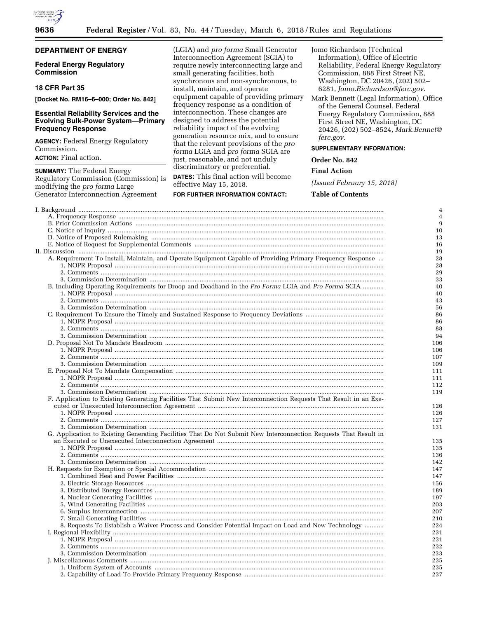

|  | ٠ |
|--|---|
|  |   |

# **DEPARTMENT OF ENERGY**

## **Federal Energy Regulatory Commission**

# **18 CFR Part 35**

**[Docket No. RM16–6–000; Order No. 842]** 

## **Essential Reliability Services and the Evolving Bulk-Power System—Primary Frequency Response**

**AGENCY:** Federal Energy Regulatory Commission.

**ACTION:** Final action.

**SUMMARY:** The Federal Energy Regulatory Commission (Commission) is modifying the *pro forma* Large Generator Interconnection Agreement

(LGIA) and *pro forma* Small Generator Interconnection Agreement (SGIA) to require newly interconnecting large and small generating facilities, both synchronous and non-synchronous, to install, maintain, and operate equipment capable of providing primary frequency response as a condition of interconnection. These changes are designed to address the potential reliability impact of the evolving generation resource mix, and to ensure that the relevant provisions of the *pro forma* LGIA and *pro forma* SGIA are just, reasonable, and not unduly discriminatory or preferential.

**DATES:** This final action will become effective May 15, 2018.

## **FOR FURTHER INFORMATION CONTACT:**

Jomo Richardson (Technical Information), Office of Electric Reliability, Federal Energy Regulatory Commission, 888 First Street NE, Washington, DC 20426, (202) 502– 6281, *[Jomo.Richardson@ferc.gov.](mailto:Jomo.Richardson@ferc.gov)* 

Mark Bennett (Legal Information), Office of the General Counsel, Federal Energy Regulatory Commission, 888 First Street NE, Washington, DC 20426, (202) 502–8524, *[Mark.Bennet@](mailto:Mark.Bennet@ferc.gov) [ferc.gov.](mailto:Mark.Bennet@ferc.gov)* 

## **SUPPLEMENTARY INFORMATION:**

## **Order No. 842**

## **Final Action**

*(Issued February 15, 2018)* 

## **Table of Contents**

|                                                                                                                  | 4              |
|------------------------------------------------------------------------------------------------------------------|----------------|
|                                                                                                                  | $\overline{4}$ |
|                                                                                                                  | 9              |
|                                                                                                                  | 10             |
|                                                                                                                  | 13             |
|                                                                                                                  | 16             |
|                                                                                                                  | 19             |
| A. Requirement To Install, Maintain, and Operate Equipment Capable of Providing Primary Frequency Response       | 28             |
|                                                                                                                  | 28             |
|                                                                                                                  | 29             |
|                                                                                                                  | 33             |
| B. Including Operating Requirements for Droop and Deadband in the Pro Forma LGIA and Pro Forma SGIA              | 40             |
|                                                                                                                  | 40             |
|                                                                                                                  |                |
|                                                                                                                  | 43             |
|                                                                                                                  | 56             |
|                                                                                                                  | 86             |
|                                                                                                                  | 86             |
|                                                                                                                  | 88             |
|                                                                                                                  | 94             |
|                                                                                                                  | 106            |
|                                                                                                                  | 106            |
|                                                                                                                  | 107            |
|                                                                                                                  | 109            |
|                                                                                                                  | 111            |
|                                                                                                                  | 111            |
|                                                                                                                  | 112            |
|                                                                                                                  | 119            |
| F. Application to Existing Generating Facilities That Submit New Interconnection Requests That Result in an Exe- |                |
|                                                                                                                  | 126            |
|                                                                                                                  | 126            |
|                                                                                                                  | 127            |
|                                                                                                                  | 131            |
| G. Application to Existing Generating Facilities That Do Not Submit New Interconnection Requests That Result in  |                |
|                                                                                                                  | 135            |
|                                                                                                                  | 135            |
|                                                                                                                  | 136            |
|                                                                                                                  |                |
|                                                                                                                  | 142            |
|                                                                                                                  | 147            |
|                                                                                                                  | 147            |
|                                                                                                                  | 156            |
|                                                                                                                  | 189            |
|                                                                                                                  | 197            |
|                                                                                                                  | 203            |
|                                                                                                                  | 207            |
|                                                                                                                  | 210            |
| 8. Requests To Establish a Waiver Process and Consider Potential Impact on Load and New Technology               | 224            |
|                                                                                                                  | 231            |
|                                                                                                                  | 231            |
|                                                                                                                  | 232            |
|                                                                                                                  | 233            |
|                                                                                                                  | 235            |
|                                                                                                                  | 235            |
|                                                                                                                  | 237            |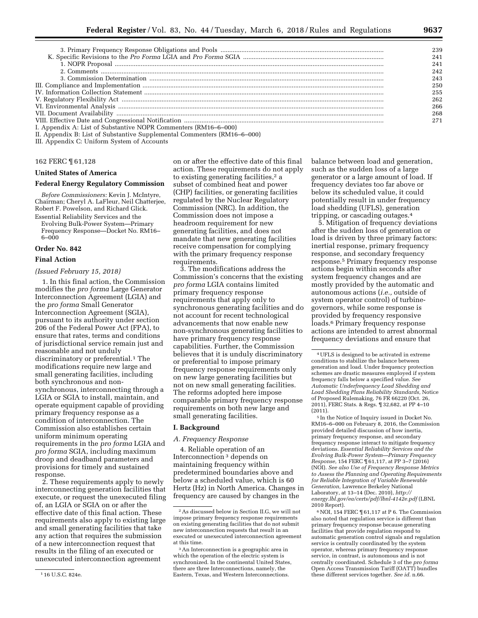|                                                                 | 239 |
|-----------------------------------------------------------------|-----|
|                                                                 | 241 |
|                                                                 | 241 |
|                                                                 | 242 |
|                                                                 | 243 |
|                                                                 | 250 |
|                                                                 | 255 |
|                                                                 | 262 |
|                                                                 | 266 |
|                                                                 | 268 |
|                                                                 |     |
| I. Appendix A: List of Substantive NOPR Commenters (RM16-6-000) |     |

II. Appendix B: List of Substantive Supplemental Commenters (RM16–6–000)

III. Appendix C: Uniform System of Accounts

## 162 FERC ¶ 61,128

## **United States of America**

## **Federal Energy Regulatory Commission**

*Before Commissioners:* Kevin J. McIntyre, Chairman; Cheryl A. LaFleur, Neil Chatterjee, Robert F. Powelson, and Richard Glick. Essential Reliability Services and the Evolving Bulk-Power System—Primary Frequency Response—Docket No. RM16–

#### **Order No. 842**

6–000

#### **Final Action**

## *(Issued February 15, 2018)*

1. In this final action, the Commission modifies the *pro forma* Large Generator Interconnection Agreement (LGIA) and the *pro forma* Small Generator Interconnection Agreement (SGIA), pursuant to its authority under section 206 of the Federal Power Act (FPA), to ensure that rates, terms and conditions of jurisdictional service remain just and reasonable and not unduly discriminatory or preferential.<sup>1</sup> The modifications require new large and small generating facilities, including both synchronous and nonsynchronous, interconnecting through a LGIA or SGIA to install, maintain, and operate equipment capable of providing primary frequency response as a condition of interconnection. The Commission also establishes certain uniform minimum operating requirements in the *pro forma* LGIA and *pro forma* SGIA, including maximum droop and deadband parameters and provisions for timely and sustained response.

2. These requirements apply to newly interconnecting generation facilities that execute, or request the unexecuted filing of, an LGIA or SGIA on or after the effective date of this final action. These requirements also apply to existing large and small generating facilities that take any action that requires the submission of a new interconnection request that results in the filing of an executed or unexecuted interconnection agreement

on or after the effective date of this final action. These requirements do not apply to existing generating facilities,<sup>2</sup> a subset of combined heat and power (CHP) facilities, or generating facilities regulated by the Nuclear Regulatory Commission (NRC). In addition, the Commission does not impose a headroom requirement for new generating facilities, and does not mandate that new generating facilities receive compensation for complying with the primary frequency response requirements.

3. The modifications address the Commission's concerns that the existing *pro forma* LGIA contains limited primary frequency response requirements that apply only to synchronous generating facilities and do not account for recent technological advancements that now enable new non-synchronous generating facilities to have primary frequency response capabilities. Further, the Commission believes that it is unduly discriminatory or preferential to impose primary frequency response requirements only on new large generating facilities but not on new small generating facilities. The reforms adopted here impose comparable primary frequency response requirements on both new large and small generating facilities.

## **I. Background**

## *A. Frequency Response*

4. Reliable operation of an Interconnection 3 depends on maintaining frequency within predetermined boundaries above and below a scheduled value, which is 60 Hertz (Hz) in North America. Changes in frequency are caused by changes in the

balance between load and generation, such as the sudden loss of a large generator or a large amount of load. If frequency deviates too far above or below its scheduled value, it could potentially result in under frequency load shedding (UFLS), generation tripping, or cascading outages.4

5. Mitigation of frequency deviations after the sudden loss of generation or load is driven by three primary factors: inertial response, primary frequency response, and secondary frequency response.5 Primary frequency response actions begin within seconds after system frequency changes and are mostly provided by the automatic and autonomous actions (*i.e.,* outside of system operator control) of turbinegovernors, while some response is provided by frequency responsive loads.6 Primary frequency response actions are intended to arrest abnormal frequency deviations and ensure that

5 In the Notice of Inquiry issued in Docket No. RM16–6–000 on February 8, 2016, the Commission provided detailed discussion of how inertia, primary frequency response, and secondary frequency response interact to mitigate frequency deviations. *Essential Reliability Services and the Evolving Bulk-Power System—Primary Frequency Response,* 154 FERC ¶ 61,117, at PP 3–7 (2016) (NOI). *See also Use of Frequency Response Metrics to Assess the Planning and Operating Requirements for Reliable Integration of Variable Renewable Generation,* Lawrence Berkeley National Laboratory, at 13–14 (Dec. 2010), *[http://](http://energy.lbl.gov/ea/certs/pdf/lbnl-4142e.pdf) [energy.lbl.gov/ea/certs/pdf/lbnl-4142e.pdf](http://energy.lbl.gov/ea/certs/pdf/lbnl-4142e.pdf)* (LBNL 2010 Report).

6NOI, 154 FERC ¶ 61,117 at P 6. The Commission also noted that regulation service is different than primary frequency response because generating facilities that provide regulation respond to automatic generation control signals and regulation service is centrally coordinated by the system operator, whereas primary frequency response service, in contrast, is autonomous and is not centrally coordinated. Schedule 3 of the *pro forma*  Open Access Transmission Tariff (OATT) bundles these different services together. *See id.* n.66.

<sup>1</sup> 16 U.S.C. 824e.

<sup>2</sup>As discussed below in Section II.G, we will not impose primary frequency response requirements on existing generating facilities that do not submit new interconnection requests that result in an executed or unexecuted interconnection agreement at this time.

<sup>3</sup>An Interconnection is a geographic area in which the operation of the electric system is synchronized. In the continental United States, there are three Interconnections, namely, the Eastern, Texas, and Western Interconnections.

<sup>4</sup>UFLS is designed to be activated in extreme conditions to stabilize the balance between generation and load. Under frequency protection schemes are drastic measures employed if system frequency falls below a specified value. *See Automatic Underfrequency Load Shedding and Load Shedding Plans Reliability Standards,* Notice of Proposed Rulemaking, 76 FR 66220 (Oct. 26, 2011), FERC Stats. & Regs. ¶ 32,682, at PP 4–10 (2011).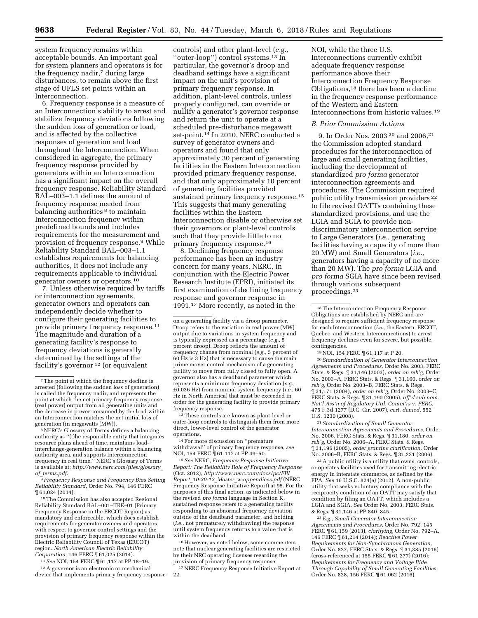system frequency remains within acceptable bounds. An important goal for system planners and operators is for the frequency nadir,<sup>7</sup> during large disturbances, to remain above the first stage of UFLS set points within an Interconnection.

6. Frequency response is a measure of an Interconnection's ability to arrest and stabilize frequency deviations following the sudden loss of generation or load, and is affected by the collective responses of generation and load throughout the Interconnection. When considered in aggregate, the primary frequency response provided by generators within an Interconnection has a significant impact on the overall frequency response. Reliability Standard BAL–003–1.1 defines the amount of frequency response needed from balancing authorities <sup>8</sup> to maintain Interconnection frequency within predefined bounds and includes requirements for the measurement and provision of frequency response.9 While Reliability Standard BAL–003–1.1 establishes requirements for balancing authorities, it does not include any requirements applicable to individual generator owners or operators.10

7. Unless otherwise required by tariffs or interconnection agreements, generator owners and operators can independently decide whether to configure their generating facilities to provide primary frequency response.11 The magnitude and duration of a generating facility's response to frequency deviations is generally determined by the settings of the facility's governor 12 (or equivalent

<sup>10</sup> The Commission has also accepted Regional Reliability Standard BAL–001–TRE–01 (Primary Frequency Response in the ERCOT Region) as mandatory and enforceable, which does establish requirements for generator owners and operators with respect to governor control settings and the provision of primary frequency response within the Electric Reliability Council of Texas (ERCOT) region. *North American Electric Reliability Corporation,* 146 FERC ¶ 61,025 (2014).

11*See* NOI, 154 FERC ¶ 61,117 at PP 18–19. 12A governor is an electronic or mechanical

device that implements primary frequency response

controls) and other plant-level (*e.g.,*  ''outer-loop'') control systems.13 In particular, the governor's droop and deadband settings have a significant impact on the unit's provision of primary frequency response. In addition, plant-level controls, unless properly configured, can override or nullify a generator's governor response and return the unit to operate at a scheduled pre-disturbance megawatt set-point.<sup>14</sup> In 2010, NERC conducted a survey of generator owners and operators and found that only approximately 30 percent of generating facilities in the Eastern Interconnection provided primary frequency response, and that only approximately 10 percent of generating facilities provided sustained primary frequency response.15 This suggests that many generating facilities within the Eastern Interconnection disable or otherwise set their governors or plant-level controls such that they provide little to no primary frequency response.16

8. Declining frequency response performance has been an industry concern for many years. NERC, in conjunction with the Electric Power Research Institute (EPRI), initiated its first examination of declining frequency response and governor response in 1991.17 More recently, as noted in the

13These controls are known as plant-level or outer-loop controls to distinguish them from more direct, lower-level control of the generator operations.

14For more discussion on ''premature withdrawal'' of primary frequency response, *see*  NOI, 154 FERC ¶ 61,117 at PP 49–50.

15*See* NERC, *Frequency Response Initiative Report: The Reliability Role of Frequency Response*  (Oct. 2012), *[http://www.nerc.com/docs/pc/FRI](http://www.nerc.com/docs/pc/FRI_Report_10-30-12_Master_w-appendices.pdf)*\_ *Report*\_*10-30-12*\_*Master*\_*[w-appendices.pdf](http://www.nerc.com/docs/pc/FRI_Report_10-30-12_Master_w-appendices.pdf)* (NERC Frequency Response Initiative Report) at 95. For the purposes of this final action, as indicated below in the revised *pro forma* language in Section K, sustained response refers to a generating facility responding to an abnormal frequency deviation outside of the deadband parameter, and holding (*i.e.,* not prematurely withdrawing) the response until system frequency returns to a value that is within the deadband.

16However, as noted below, some commenters note that nuclear generating facilities are restricted by their NRC operating licenses regarding the provision of primary frequency response.

17NERC Frequency Response Initiative Report at 22.

NOI, while the three U.S. Interconnections currently exhibit adequate frequency response performance above their Interconnection Frequency Response Obligations,18 there has been a decline in the frequency response performance of the Western and Eastern Interconnections from historic values.19

#### *B. Prior Commission Actions*

9. In Order Nos. 2003 20 and 2006,21 the Commission adopted standard procedures for the interconnection of large and small generating facilities, including the development of standardized *pro forma* generator interconnection agreements and procedures. The Commission required public utility transmission providers 22 to file revised OATTs containing these standardized provisions, and use the LGIA and SGIA to provide nondiscriminatory interconnection service to Large Generators (*i.e.,* generating facilities having a capacity of more than 20 MW) and Small Generators (*i.e.,*  generators having a capacity of no more than 20 MW). The *pro forma* LGIA and *pro forma* SGIA have since been revised through various subsequent proceedings.23

19NOI, 154 FERC ¶ 61,117 at P 20.

20*Standardization of Generator Interconnection Agreements and Procedures,* Order No. 2003, FERC Stats. & Regs. ¶ 31,146 (2003), *order on reh'g,* Order No. 2003–A, FERC Stats. & Regs. ¶ 31,160, *order on reh'g,* Order No. 2003–B, FERC Stats. & Regs. ¶ 31,171 (2004), *order on reh'g,* Order No. 2003–C, FERC Stats. & Regs. ¶ 31,190 (2005), *aff'd sub nom. Nat'l Ass'n of Regulatory Util. Comm'rs* v. *FERC,*  475 F.3d 1277 (D.C. Cir. 2007), *cert. denied,* 552 U.S. 1230 (2008).

21*Standardization of Small Generator Interconnection Agreements and Procedures,* Order No. 2006, FERC Stats. & Regs. ¶ 31,180, *order on reh'g,* Order No. 2006–A, FERC Stats. & Regs. ¶ 31,196 (2005), *order granting clarification,* Order No. 2006–B, FERC Stats. & Regs. ¶ 31,221 (2006).

22A public utility is a utility that owns, controls, or operates facilities used for transmitting electric energy in interstate commerce, as defined by the FPA. *See* 16 U.S.C. 824(e) (2012). A non-public utility that seeks voluntary compliance with the reciprocity condition of an OATT may satisfy that condition by filing an OATT, which includes a LGIA and SGIA. *See* Order No. 2003, FERC Stats. & Regs. ¶ 31,146 at PP 840–845.

23*E.g., Small Generator Interconnection Agreements and Procedures,* Order No. 792, 145 FERC ¶ 61,159 (2013), *clarifying,* Order No. 792–A, 146 FERC ¶ 61,214 (2014); *Reactive Power Requirements for Non-Synchronous Generation,*  Order No. 827, FERC Stats. & Regs. ¶ 31,385 (2016) (cross-referenced at 155 FERC ¶ 61,277) (2016); *Requirements for Frequency and Voltage Ride Through Capability of Small Generating Facilities,*  Order No. 828, 156 FERC ¶ 61,062 (2016).

<sup>7</sup>The point at which the frequency decline is arrested (following the sudden loss of generation) is called the frequency nadir, and represents the point at which the net primary frequency response (real power) output from all generating units and the decrease in power consumed by the load within an Interconnection matches the net initial loss of generation (in megawatts (MW)).

<sup>8</sup>NERC's Glossary of Terms defines a balancing authority as ''(t)he responsible entity that integrates resource plans ahead of time, maintains loadinterchange-generation balance within a balancing authority area, and supports Interconnection frequency in real time.'' NERC's Glossary of Terms is available at: *[http://www.nerc.com/files/glossary](http://www.nerc.com/files/glossary_of_terms.pdf)*\_ *of*\_*[terms.pdf.](http://www.nerc.com/files/glossary_of_terms.pdf)* 

<sup>9</sup> *Frequency Response and Frequency Bias Setting Reliability Standard,* Order No. 794, 146 FERC

on a generating facility via a droop parameter. Droop refers to the variation in real power (MW) output due to variations in system frequency and is typically expressed as a percentage (*e.g.,* 5 percent droop). Droop reflects the amount of frequency change from nominal (*e.g.,* 5 percent of 60 Hz is 3 Hz) that is necessary to cause the main prime mover control mechanism of a generating facility to move from fully closed to fully open. A governor also has a deadband parameter which represents a minimum frequency deviation (*e.g.,*  ±0.036 Hz) from nominal system frequency (*i.e.,* 60 Hz in North America) that must be exceeded in order for the generating facility to provide primary frequency response.

<sup>18</sup>The Interconnection Frequency Response Obligations are established by NERC and are designed to require sufficient frequency response for each Interconnection (*i.e.,* the Eastern, ERCOT, Quebec, and Western Interconnections) to arrest frequency declines even for severe, but possible, contingencies.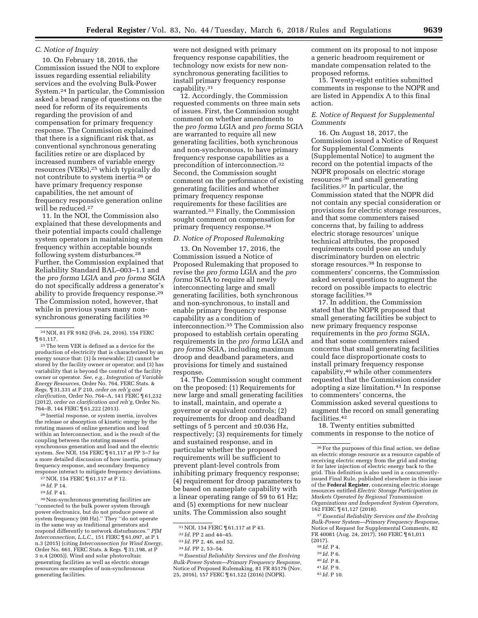### *C. Notice of Inquiry*

10. On February 18, 2016, the Commission issued the NOI to explore issues regarding essential reliability services and the evolving Bulk-Power System.24 In particular, the Commission asked a broad range of questions on the need for reform of its requirements regarding the provision of and compensation for primary frequency response. The Commission explained that there is a significant risk that, as conventional synchronous generating facilities retire or are displaced by increased numbers of variable energy resources (VERs),25 which typically do not contribute to system inertia 26 or have primary frequency response capabilities, the net amount of frequency responsive generation online will be reduced.<sup>27</sup>

11. In the NOI, the Commission also explained that these developments and their potential impacts could challenge system operators in maintaining system frequency within acceptable bounds following system disturbances.28 Further, the Commission explained that Reliability Standard BAL–003–1.1 and the *pro forma* LGIA and *pro forma* SGIA do not specifically address a generator's ability to provide frequency response.29 The Commission noted, however, that while in previous years many nonsynchronous generating facilities 30

26 Inertial response, or system inertia, involves the release or absorption of kinetic energy by the rotating masses of online generation and load within an Interconnection, and is the result of the coupling between the rotating masses of synchronous generation and load and the electric system. *See* NOI, 154 FERC ¶ 61,117 at PP 3–7 for a more detailed discussion of how inertia, primary frequency response, and secondary frequency response interact to mitigate frequency deviations.

27NOI, 154 FERC ¶ 61,117 at P 12.

28 *Id.* P 14.

29 *Id.* P 41.

30Non-synchronous generating facilities are ''connected to the bulk power system through power electronics, but do not produce power at system frequency (60 Hz).'' They ''do not operate in the same way as traditional generators and respond differently to network disturbances.'' *PJM Interconnection, L.L.C.,* 151 FERC ¶ 61,097, at P 1 n.3 (2015) (citing *Interconnection for Wind Energy,*  Order No. 661, FERC Stats. & Regs. ¶ 31,198, at P 3 n.4 (2005)). Wind and solar photovoltaic generating facilities as well as electric storage resources are examples of non-synchronous generating facilities.

12. Accordingly, the Commission requested comments on three main sets of issues. First, the Commission sought comment on whether amendments to the *pro forma* LGIA and *pro forma* SGIA are warranted to require all new generating facilities, both synchronous and non-synchronous, to have primary frequency response capabilities as a precondition of interconnection.32 Second, the Commission sought comment on the performance of existing generating facilities and whether primary frequency response requirements for these facilities are warranted.33 Finally, the Commission sought comment on compensation for primary frequency response.34

#### *D. Notice of Proposed Rulemaking*

13. On November 17, 2016, the Commission issued a Notice of Proposed Rulemaking that proposed to revise the *pro forma* LGIA and the *pro forma* SGIA to require all newly interconnecting large and small generating facilities, both synchronous and non-synchronous, to install and enable primary frequency response capability as a condition of interconnection.35 The Commission also proposed to establish certain operating requirements in the *pro forma* LGIA and *pro forma* SGIA, including maximum droop and deadband parameters, and provisions for timely and sustained response.

14. The Commission sought comment on the proposed: (1) Requirements for new large and small generating facilities to install, maintain, and operate a governor or equivalent controls; (2) requirements for droop and deadband settings of 5 percent and ±0.036 Hz, respectively; (3) requirements for timely and sustained response, and in particular whether the proposed requirements will be sufficient to prevent plant-level controls from inhibiting primary frequency response; (4) requirement for droop parameters to be based on nameplate capability with a linear operating range of 59 to 61 Hz; and (5) exemptions for new nuclear units. The Commission also sought

35*Essential Reliability Services and the Evolving Bulk-Power System—Primary Frequency Response,*  Notice of Proposed Rulemaking, 81 FR 85176 (Nov. 25, 2016), 157 FERC ¶ 61,122 (2016) (NOPR).

comment on its proposal to not impose a generic headroom requirement or mandate compensation related to the proposed reforms.

15. Twenty-eight entities submitted comments in response to the NOPR and are listed in Appendix A to this final action.

## *E. Notice of Request for Supplemental Comments*

16. On August 18, 2017, the Commission issued a Notice of Request for Supplemental Comments (Supplemental Notice) to augment the record on the potential impacts of the NOPR proposals on electric storage resources 36 and small generating facilities.37 In particular, the Commission stated that the NOPR did not contain any special consideration or provisions for electric storage resources, and that some commenters raised concerns that, by failing to address electric storage resources' unique technical attributes, the proposed requirements could pose an unduly discriminatory burden on electric storage resources.38 In response to commenters' concerns, the Commission asked several questions to augment the record on possible impacts to electric storage facilities.39

17. In addition, the Commission stated that the NOPR proposed that small generating facilities be subject to new primary frequency response requirements in the *pro forma* SGIA, and that some commenters raised concerns that small generating facilities could face disproportionate costs to install primary frequency response capability,40 while other commenters requested that the Commission consider adopting a size limitation.41 In response to commenters' concerns, the Commission asked several questions to augment the record on small generating facilities.42

18. Twenty entities submitted comments in response to the notice of

37*Essential Reliability Services and the Evolving Bulk-Power System—Primary Frequency Response,*  Notice of Request for Supplemental Comments, 82 FR 40081 (Aug. 24, 2017), 160 FERC ¶ 61,011

- 
- 
- 

<sup>24</sup>NOI, 81 FR 9182 (Feb. 24, 2016), 154 FERC ¶ 61,117.

<sup>25</sup>The term VER is defined as a device for the production of electricity that is characterized by an energy source that: (1) Is renewable; (2) cannot be stored by the facility owner or operator; and (3) has variability that is beyond the control of the facility owner or operator. *See, e.g., Integration of Variable Energy Resources,* Order No. 764, FERC Stats. & Regs. ¶ 31,331 at P 210, *order on reh'g and clarification,* Order No. 764–A, 141 FERC ¶ 61,232 (2012), *order on clarification and reh'g,* Order No. 764–B, 144 FERC ¶ 61,222 (2013).

were not designed with primary frequency response capabilities, the technology now exists for new nonsynchronous generating facilities to install primary frequency response capability.31

<sup>31</sup>NOI, 154 FERC ¶ 61,117 at P 43.

<sup>32</sup> *Id.* PP 2 and 44–45.

<sup>33</sup> *Id.* PP 2, 46, and 52.

<sup>34</sup> *Id.* PP 2, 53–54.

<sup>36</sup>For the purposes of this final action, we define an electric storage resource as a resource capable of receiving electric energy from the grid and storing it for later injection of electric energy back to the grid. This definition is also used in a concurrentlyissued Final Rule, published elsewhere in this issue of the **Federal Register**, concerning electric storage resources entitled *Electric Storage Participation in Markets Operated by Regional Transmission Organizations and Independent System Operators,*  162 FERC ¶ 61,127 (2018).

<sup>(2017). 38</sup> *Id.* P 4. 39 *Id.* P 6. 40 *Id.* P 8. 41 *Id.* P 9. 42 *Id.* P 10.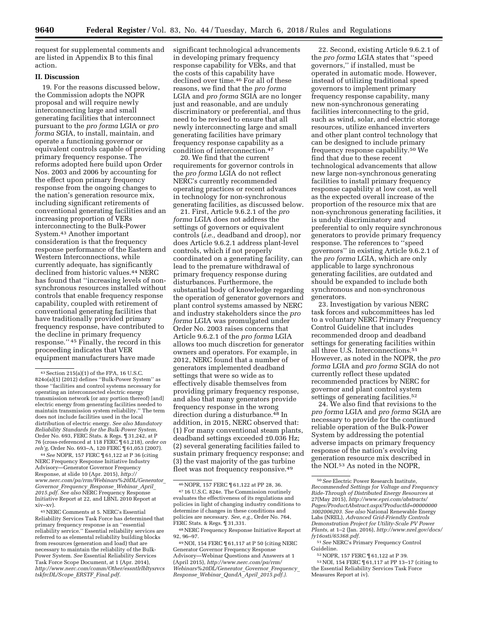request for supplemental comments and are listed in Appendix B to this final action.

## **II. Discussion**

19. For the reasons discussed below, the Commission adopts the NOPR proposal and will require newly interconnecting large and small generating facilities that interconnect pursuant to the *pro forma* LGIA or *pro forma* SGIA, to install, maintain, and operate a functioning governor or equivalent controls capable of providing primary frequency response. The reforms adopted here build upon Order Nos. 2003 and 2006 by accounting for the effect upon primary frequency response from the ongoing changes to the nation's generation resource mix, including significant retirements of conventional generating facilities and an increasing proportion of VERs interconnecting to the Bulk-Power System.43 Another important consideration is that the frequency response performance of the Eastern and Western Interconnections, while currently adequate, has significantly declined from historic values.44 NERC has found that ''increasing levels of nonsynchronous resources installed without controls that enable frequency response capability, coupled with retirement of conventional generating facilities that have traditionally provided primary frequency response, have contributed to the decline in primary frequency response.'' 45 Finally, the record in this proceeding indicates that VER equipment manufacturers have made

44*See* NOPR, 157 FERC ¶ 61,122 at P 36 (citing NERC Frequency Response Initiative Industry Advisory—Generator Governor Frequency Response, at slide 10 (Apr. 2015), *[http://](http://www.nerc.com/pa/rrm/Webinars%20DL/Generator_Governor_Frequency_Response_Webinar_April_2015.pdf) [www.nerc.com/pa/rrm/Webinars%20DL/Generator](http://www.nerc.com/pa/rrm/Webinars%20DL/Generator_Governor_Frequency_Response_Webinar_April_2015.pdf)*\_ *Governor*\_*[Frequency](http://www.nerc.com/pa/rrm/Webinars%20DL/Generator_Governor_Frequency_Response_Webinar_April_2015.pdf)*\_*Response*\_*Webinar*\_*April*\_ *[2015.pdf.](http://www.nerc.com/pa/rrm/Webinars%20DL/Generator_Governor_Frequency_Response_Webinar_April_2015.pdf) See also* NERC Frequency Response Initiative Report at 22, and LBNL 2010 Report at xiv–xv).

45NERC Comments at 5. NERC's Essential Reliability Services Task Force has determined that primary frequency response is an ''essential reliability service.'' Essential reliability services are referred to as elemental reliability building blocks from resources (generation and load) that are necessary to maintain the reliability of the Bulk-Power System. *See* Essential Reliability Services Task Force Scope Document, at 1 (Apr. 2014), *[http://www.nerc.com/comm/Other/essntlrlbltysrvcs](http://www.nerc.com/comm/Other/essntlrlbltysrvcstskfrcDL/Scope_ERSTF_Final.pdf) [tskfrcDL/Scope](http://www.nerc.com/comm/Other/essntlrlbltysrvcstskfrcDL/Scope_ERSTF_Final.pdf)*\_*ERSTF*\_*Final.pdf.* 

significant technological advancements in developing primary frequency response capability for VERs, and that the costs of this capability have declined over time.46 For all of these reasons, we find that the *pro forma*  LGIA and *pro forma* SGIA are no longer just and reasonable, and are unduly discriminatory or preferential, and thus need to be revised to ensure that all newly interconnecting large and small generating facilities have primary frequency response capability as a condition of interconnection.47

20. We find that the current requirements for governor controls in the *pro forma* LGIA do not reflect NERC's currently recommended operating practices or recent advances in technology for non-synchronous generating facilities, as discussed below.

21. First, Article 9.6.2.1 of the *pro forma* LGIA does not address the settings of governors or equivalent controls (*i.e.,* deadband and droop), nor does Article 9.6.2.1 address plant-level controls, which if not properly coordinated on a generating facility, can lead to the premature withdrawal of primary frequency response during disturbances. Furthermore, the substantial body of knowledge regarding the operation of generator governors and plant control systems amassed by NERC and industry stakeholders since the *pro forma* LGIA was promulgated under Order No. 2003 raises concerns that Article 9.6.2.1 of the *pro forma* LGIA allows too much discretion for generator owners and operators. For example, in 2012, NERC found that a number of generators implemented deadband settings that were so wide as to effectively disable themselves from providing primary frequency response, and also that many generators provide frequency response in the wrong direction during a disturbance.48 In addition, in 2015, NERC observed that: (1) For many conventional steam plants, deadband settings exceeded ±0.036 Hz; (2) several generating facilities failed to sustain primary frequency response; and (3) the vast majority of the gas turbine fleet was not frequency responsive.49

22. Second, existing Article 9.6.2.1 of the *pro forma* LGIA states that ''speed governors,'' if installed, must be operated in automatic mode. However, instead of utilizing traditional speed governors to implement primary frequency response capability, many new non-synchronous generating facilities interconnecting to the grid, such as wind, solar, and electric storage resources, utilize enhanced inverters and other plant control technology that can be designed to include primary frequency response capability.50 We find that due to these recent technological advancements that allow new large non-synchronous generating facilities to install primary frequency response capability at low cost, as well as the expected overall increase of the proportion of the resource mix that are non-synchronous generating facilities, it is unduly discriminatory and preferential to only require synchronous generators to provide primary frequency response. The references to ''speed governors'' in existing Article 9.6.2.1 of the *pro forma* LGIA, which are only applicable to large synchronous generating facilities, are outdated and should be expanded to include both synchronous and non-synchronous generators.

23. Investigation by various NERC task forces and subcommittees has led to a voluntary NERC Primary Frequency Control Guideline that includes recommended droop and deadband settings for generating facilities within all three U.S. Interconnections.51 However, as noted in the NOPR, the *pro forma* LGIA and *pro forma* SGIA do not currently reflect these updated recommended practices by NERC for governor and plant control system settings of generating facilities.<sup>52</sup>

24. We also find that revisions to the *pro forma* LGIA and *pro forma* SGIA are necessary to provide for the continued reliable operation of the Bulk-Power System by addressing the potential adverse impacts on primary frequency response of the nation's evolving generation resource mix described in the NOI.53 As noted in the NOPR,

<sup>43</sup>Section 215(a)(1) of the FPA, 16 U.S.C. 824o(a)(1) (2012) defines ''Bulk-Power System'' as those ''facilities and control systems necessary for operating an interconnected electric energy transmission network (or any portion thereof) [and] electric energy from generating facilities needed to maintain transmission system reliability.'' The term does not include facilities used in the local distribution of electric energy. *See also Mandatory Reliability Standards for the Bulk-Power System,*  Order No. 693, FERC Stats. & Regs. ¶ 31,242, at P 76 (cross-referenced at 118 FERC ¶ 61,218), *order on reh'g,* Order No. 693–A, 120 FERC ¶ 61,053 (2007).

<sup>46</sup>NOPR, 157 FERC ¶ 61,122 at PP 28, 36.

<sup>47</sup> 16 U.S.C. 824e. The Commission routinely evaluates the effectiveness of its regulations and policies in light of changing industry conditions to determine if changes in these conditions and policies are necessary. *See, e.g.,* Order No. 764, FERC Stats. & Regs. ¶ 31,331.

<sup>48</sup>NERC Frequency Response Initiative Report at 92, 96–97.

<sup>49</sup>NOI, 154 FERC ¶ 61,117 at P 50 (citing NERC Generator Governor Frequency Response Advisory—Webinar Questions and Answers at 1 (April 2015), *[http://www.nerc.com/pa/rrm/](http://www.nerc.com/pa/rrm/Webinars%20DL/Generator_Governor_Frequency_Response_Webinar_QandA_April_2015.pdf) [Webinars%20DL/Generator](http://www.nerc.com/pa/rrm/Webinars%20DL/Generator_Governor_Frequency_Response_Webinar_QandA_April_2015.pdf)*\_*Governor*\_*Frequency*\_ *Response*\_*Webinar*\_*QandA*\_*April*\_*[2015.pdf.\).](http://www.nerc.com/pa/rrm/Webinars%20DL/Generator_Governor_Frequency_Response_Webinar_QandA_April_2015.pdf)* 

<sup>50</sup>*See* Electric Power Research Institute, *Recommended Settings for Voltage and Frequency Ride-Through of Distributed Energy Resources* at 27(May 2015), *[http://www.epri.com/abstracts/](http://www.epri.com/abstracts/Pages/ProductAbstract.aspx?ProductId=000000003002006203) [Pages/ProductAbstract.aspx?ProductId=00000000](http://www.epri.com/abstracts/Pages/ProductAbstract.aspx?ProductId=000000003002006203) [3002006203.](http://www.epri.com/abstracts/Pages/ProductAbstract.aspx?ProductId=000000003002006203) See also* National Renewable Energy Labs (NREL), *Advanced Grid-Friendly Controls Demonstration Project for Utility-Scale PV Power Plants,* at 1–2 (Jan. 2016), *[http://www.nrel.gov/docs/](http://www.nrel.gov/docs/fy16osti/65368.pdf)  [fy16osti/65368.pdf.](http://www.nrel.gov/docs/fy16osti/65368.pdf)* 

<sup>51</sup>*See* NERC's Primary Frequency Control

 $52$  NOPR, 157 FERC  $\frac{1}{2}$  61,122 at P 39.<br> $53$  NOI, 154 FERC  $\frac{1}{2}$  61,117 at PP 13–17 (citing to the Essential Reliability Services Task Force Measures Report at iv).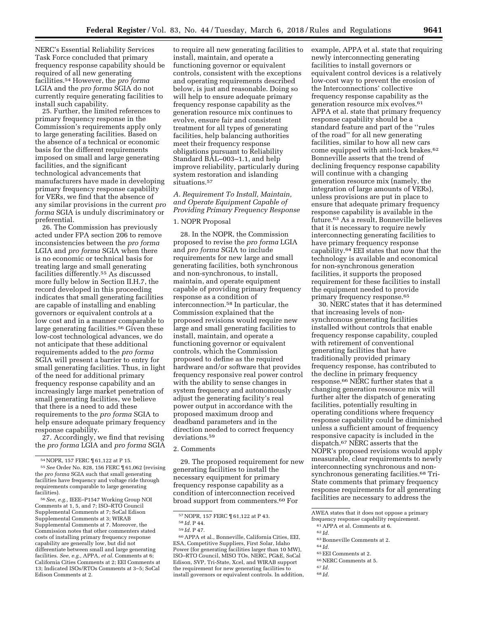NERC's Essential Reliability Services Task Force concluded that primary frequency response capability should be required of all new generating facilities.54 However, the *pro forma*  LGIA and the *pro forma* SGIA do not currently require generating facilities to install such capability.

25. Further, the limited references to primary frequency response in the Commission's requirements apply only to large generating facilities. Based on the absence of a technical or economic basis for the different requirements imposed on small and large generating facilities, and the significant technological advancements that manufacturers have made in developing primary frequency response capability for VERs, we find that the absence of any similar provisions in the current *pro forma* SGIA is unduly discriminatory or preferential.

26. The Commission has previously acted under FPA section 206 to remove inconsistencies between the *pro forma*  LGIA and *pro forma* SGIA when there is no economic or technical basis for treating large and small generating facilities differently.55 As discussed more fully below in Section II.H.7, the record developed in this proceeding indicates that small generating facilities are capable of installing and enabling governors or equivalent controls at a low cost and in a manner comparable to large generating facilities.56 Given these low-cost technological advances, we do not anticipate that these additional requirements added to the *pro forma*  SGIA will present a barrier to entry for small generating facilities. Thus, in light of the need for additional primary frequency response capability and an increasingly large market penetration of small generating facilities, we believe that there is a need to add these requirements to the *pro forma* SGIA to help ensure adequate primary frequency response capability.

27. Accordingly, we find that revising the *pro forma* LGIA and *pro forma* SGIA

56*See, e.g.,* IEEE–P1547 Working Group NOI Comments at 1, 5, and 7; ISO–RTO Council Supplemental Comments at 7; SoCal Edison Supplemental Comments at 3; WIRAB Supplemental Comments at 7. Moreover, the Commission notes that other commenters stated costs of installing primary frequency response capability are generally low, but did not differentiate between small and large generating facilities. *See, e.g.,* APPA, *et al.* Comments at 6; California Cities Comments at 2; EEI Comments at 13; Indicated ISOs/RTOs Comments at 3–5; SoCal Edison Comments at 2.

to require all new generating facilities to install, maintain, and operate a functioning governor or equivalent controls, consistent with the exceptions and operating requirements described below, is just and reasonable. Doing so will help to ensure adequate primary frequency response capability as the generation resource mix continues to evolve, ensure fair and consistent treatment for all types of generating facilities, help balancing authorities meet their frequency response obligations pursuant to Reliability Standard BAL–003–1.1, and help improve reliability, particularly during system restoration and islanding situations.57

*A. Requirement To Install, Maintain, and Operate Equipment Capable of Providing Primary Frequency Response* 

## 1. NOPR Proposal

28. In the NOPR, the Commission proposed to revise the *pro forma* LGIA and *pro forma* SGIA to include requirements for new large and small generating facilities, both synchronous and non-synchronous, to install, maintain, and operate equipment capable of providing primary frequency response as a condition of interconnection.58 In particular, the Commission explained that the proposed revisions would require new large and small generating facilities to install, maintain, and operate a functioning governor or equivalent controls, which the Commission proposed to define as the required hardware and/or software that provides frequency responsive real power control with the ability to sense changes in system frequency and autonomously adjust the generating facility's real power output in accordance with the proposed maximum droop and deadband parameters and in the direction needed to correct frequency deviations.59

## 2. Comments

29. The proposed requirement for new generating facilities to install the necessary equipment for primary frequency response capability as a condition of interconnection received broad support from commenters.60 For

example, APPA et al. state that requiring newly interconnecting generating facilities to install governors or equivalent control devices is a relatively low-cost way to prevent the erosion of the Interconnections' collective frequency response capability as the generation resource mix evolves.61 APPA et al. state that primary frequency response capability should be a standard feature and part of the ''rules of the road'' for all new generating facilities, similar to how all new cars come equipped with anti-lock brakes.62 Bonneville asserts that the trend of declining frequency response capability will continue with a changing generation resource mix (namely, the integration of large amounts of VERs), unless provisions are put in place to ensure that adequate primary frequency response capability is available in the future.63 As a result, Bonneville believes that it is necessary to require newly interconnecting generating facilities to have primary frequency response capability.64 EEI states that now that the technology is available and economical for non-synchronous generation facilities, it supports the proposed requirement for these facilities to install the equipment needed to provide primary frequency response.65

30. NERC states that it has determined that increasing levels of nonsynchronous generating facilities installed without controls that enable frequency response capability, coupled with retirement of conventional generating facilities that have traditionally provided primary frequency response, has contributed to the decline in primary frequency response.66 NERC further states that a changing generation resource mix will further alter the dispatch of generating facilities, potentially resulting in operating conditions where frequency response capability could be diminished unless a sufficient amount of frequency responsive capacity is included in the dispatch.67 NERC asserts that the NOPR's proposed revisions would apply measurable, clear requirements to newly interconnecting synchronous and nonsynchronous generating facilities.<sup>68</sup> Tri-State comments that primary frequency response requirements for all generating facilities are necessary to address the

- 63Bonneville Comments at 2.
- 64 *Id.*
- 65EEI Comments at 2.
- 66NERC Comments at 5.
- 67 *Id.*
- 68 *Id.*

<sup>54</sup>NOPR, 157 FERC ¶ 61,122 at P 15.

<sup>55</sup>*See* Order No. 828, 156 FERC ¶ 61,062 (revising the *pro forma* SGIA such that small generating facilities have frequency and voltage ride through requirements comparable to large generating facilities).

<sup>57</sup>NOPR, 157 FERC ¶ 61,122 at P 43.

<sup>58</sup> *Id.* P 44.

<sup>59</sup> *Id.* P 47.

<sup>60</sup>APPA et al., Bonneville, California Cities, EEI, ESA, Competitive Suppliers, First Solar, Idaho Power (for generating facilities larger than 10 MW), ISO–RTO Council, MISO TOs, NERC, PG&E, SoCal Edison, SVP, Tri-State, Xcel, and WIRAB support the requirement for new generating facilities to install governors or equivalent controls. In addition,

AWEA states that it does not oppose a primary frequency response capability requirement.

<sup>61</sup>APPA et al. Comments at 6.

<sup>62</sup> *Id.*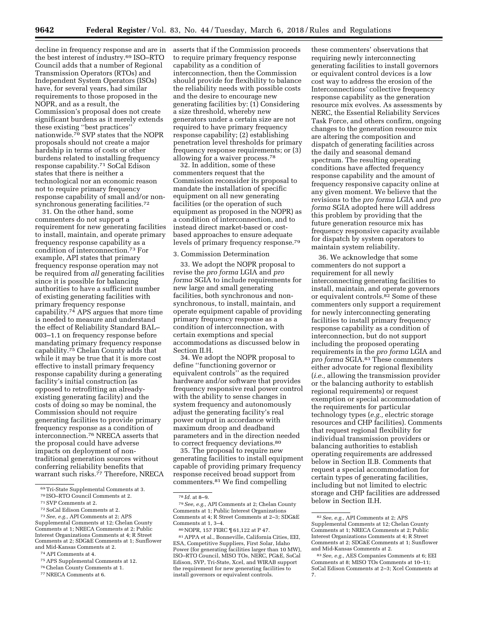decline in frequency response and are in the best interest of industry.69 ISO–RTO Council adds that a number of Regional Transmission Operators (RTOs) and Independent System Operators (ISOs) have, for several years, had similar requirements to those proposed in the NOPR, and as a result, the Commission's proposal does not create significant burdens as it merely extends these existing ''best practices'' nationwide.<sup>70</sup> SVP states that the NOPR proposals should not create a major hardship in terms of costs or other burdens related to installing frequency response capability.71 SoCal Edison states that there is neither a technological nor an economic reason not to require primary frequency response capability of small and/or nonsynchronous generating facilities.<sup>72</sup>

31. On the other hand, some commenters do not support a requirement for new generating facilities to install, maintain, and operate primary frequency response capability as a condition of interconnection.73 For example, API states that primary frequency response operation may not be required from *all* generating facilities since it is possible for balancing authorities to have a sufficient number of existing generating facilities with primary frequency response capability.74 APS argues that more time is needed to measure and understand the effect of Reliability Standard BAL– 003–1.1 on frequency response before mandating primary frequency response capability.75 Chelan County adds that while it may be true that it is more cost effective to install primary frequency response capability during a generating facility's initial construction (as opposed to retrofitting an alreadyexisting generating facility) and the costs of doing so may be nominal, the Commission should not require generating facilities to provide primary frequency response as a condition of interconnection.76 NRECA asserts that the proposal could have adverse impacts on deployment of nontraditional generation sources without conferring reliability benefits that warrant such risks.77 Therefore, NRECA

- 
- <sup>74</sup> API Comments at 4.<br><sup>75</sup> APS Supplemental Comments at 12.<br><sup>76</sup> Chelan County Comments at 1.<br><sup>77</sup> NRECA Comments at 6.
- 
- 

asserts that if the Commission proceeds to require primary frequency response capability as a condition of interconnection, then the Commission should provide for flexibility to balance the reliability needs with possible costs and the desire to encourage new generating facilities by: (1) Considering a size threshold, whereby new generators under a certain size are not required to have primary frequency response capability; (2) establishing penetration level thresholds for primary frequency response requirements; or (3) allowing for a waiver process.78

32. In addition, some of these commenters request that the Commission reconsider its proposal to mandate the installation of specific equipment on all new generating facilities (or the operation of such equipment as proposed in the NOPR) as a condition of interconnection, and to instead direct market-based or costbased approaches to ensure adequate levels of primary frequency response.79

#### 3. Commission Determination

33. We adopt the NOPR proposal to revise the *pro forma* LGIA and *pro forma* SGIA to include requirements for new large and small generating facilities, both synchronous and nonsynchronous, to install, maintain, and operate equipment capable of providing primary frequency response as a condition of interconnection, with certain exemptions and special accommodations as discussed below in Section II.H.

34. We adopt the NOPR proposal to define ''functioning governor or equivalent controls'' as the required hardware and/or software that provides frequency responsive real power control with the ability to sense changes in system frequency and autonomously adjust the generating facility's real power output in accordance with maximum droop and deadband parameters and in the direction needed to correct frequency deviations.80

35. The proposal to require new generating facilities to install equipment capable of providing primary frequency response received broad support from commenters.81 We find compelling

these commenters' observations that requiring newly interconnecting generating facilities to install governors or equivalent control devices is a low cost way to address the erosion of the Interconnections' collective frequency response capability as the generation resource mix evolves. As assessments by NERC, the Essential Reliability Services Task Force, and others confirm, ongoing changes to the generation resource mix are altering the composition and dispatch of generating facilities across the daily and seasonal demand spectrum. The resulting operating conditions have affected frequency response capability and the amount of frequency responsive capacity online at any given moment. We believe that the revisions to the *pro forma* LGIA and *pro forma* SGIA adopted here will address this problem by providing that the future generation resource mix has frequency responsive capacity available for dispatch by system operators to maintain system reliability.

36. We acknowledge that some commenters do not support a requirement for all newly interconnecting generating facilities to install, maintain, and operate governors or equivalent controls.82 Some of these commenters only support a requirement for newly interconnecting generating facilities to install primary frequency response capability as a condition of interconnection, but do not support including the proposed operating requirements in the *pro forma* LGIA and *pro forma* SGIA.83 These commenters either advocate for regional flexibility (*i.e.,* allowing the transmission provider or the balancing authority to establish regional requirements) or request exemption or special accommodation of the requirements for particular technology types (*e.g.,* electric storage resources and CHP facilities). Comments that request regional flexibility for individual transmission providers or balancing authorities to establish operating requirements are addressed below in Section II.B. Comments that request a special accommodation for certain types of generating facilities, including but not limited to electric storage and CHP facilities are addressed below in Section II.H.

<sup>69</sup>Tri-State Supplemental Comments at 3. 70 ISO–RTO Council Comments at 2. 71SVP Comments at 2. 72SoCal Edison Comments at 2. 73*See, e.g.,* API Comments at 2; APS Supplemental Comments at 12; Chelan County Comments at 1; NRECA Comments at 2; Public Interest Organizations Comments at 4; R Street Comments at 2; SDG&E Comments at 1; Sunflower

<sup>78</sup> *Id.* at 8–9.

<sup>79</sup>*See, e.g.,* API Comments at 2; Chelan County Comments at 1; Public Interest Organizations Comments at 4; R Street Comments at 2–3; SDG&E Comments at 1, 3–4.

<sup>80</sup>NOPR, 157 FERC ¶ 61,122 at P 47.

<sup>81</sup>APPA et al., Bonneville, California Cities, EEI, ESA, Competitive Suppliers, First Solar, Idaho Power (for generating facilities larger than 10 MW), ISO–RTO Council, MISO TOs, NERC, PG&E, SoCal Edison, SVP, Tri-State, Xcel, and WIRAB support the requirement for new generating facilities to install governors or equivalent controls.

<sup>82</sup>*See, e.g.,* API Comments at 2; APS Supplemental Comments at 12; Chelan County Comments at 1; NRECA Comments at 2; Public Interest Organizations Comments at 4; R Street Comments at 2; SDG&E Comments at 1; Sunflower and Mid-Kansas Comments at 2.

<sup>83</sup>*See, e.g.,* AES Companies Comments at 6; EEI Comments at 8; MISO TOs Comments at 10–11; SoCal Edison Comments at 2–3; Xcel Comments at 7.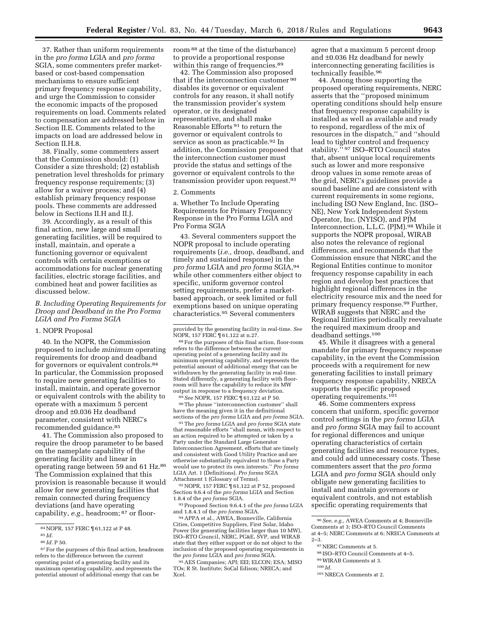37. Rather than uniform requirements in the *pro forma* LGIA and *pro forma*  SGIA, some commenters prefer marketbased or cost-based compensation mechanisms to ensure sufficient primary frequency response capability, and urge the Commission to consider the economic impacts of the proposed requirements on load. Comments related to compensation are addressed below in Section II.E. Comments related to the impacts on load are addressed below in Section II.H.8.

38. Finally, some commenters assert that the Commission should: (1) Consider a size threshold; (2) establish penetration level thresholds for primary frequency response requirements; (3) allow for a waiver process; and (4) establish primary frequency response pools. These comments are addressed below in Sections II.H and II.J.

39. Accordingly, as a result of this final action, new large and small generating facilities, will be required to install, maintain, and operate a functioning governor or equivalent controls with certain exemptions or accommodations for nuclear generating facilities, electric storage facilities, and combined heat and power facilities as discussed below.

## *B. Including Operating Requirements for Droop and Deadband in the Pro Forma LGIA and Pro Forma SGIA*

#### 1. NOPR Proposal

40. In the NOPR, the Commission proposed to include *minimum* operating requirements for droop and deadband for governors or equivalent controls.84 In particular, the Commission proposed to require new generating facilities to install, maintain, and operate governor or equivalent controls with the ability to operate with a maximum 5 percent droop and ±0.036 Hz deadband parameter, consistent with NERC's recommended guidance.85

41. The Commission also proposed to require the droop parameter to be based on the nameplate capability of the generating facility and linear in operating range between 59 and 61 Hz.86 The Commission explained that this provision is reasonable because it would allow for new generating facilities that remain connected during frequency deviations (and have operating capability, *e.g.,* headroom; 87 or floorroom 88 at the time of the disturbance) to provide a proportional response within this range of frequencies.<sup>89</sup>

42. The Commission also proposed that if the interconnection customer 90 disables its governor or equivalent controls for any reason, it shall notify the transmission provider's system operator, or its designated representative, and shall make Reasonable Efforts 91 to return the governor or equivalent controls to service as soon as practicable.92 In addition, the Commission proposed that the interconnection customer must provide the status and settings of the governor or equivalent controls to the transmission provider upon request.93

#### 2. Comments

a. Whether To Include Operating Requirements for Primary Frequency Response in the Pro Forma LGIA and Pro Forma SGIA

43. Several commenters support the NOPR proposal to include operating requirements (*i.e.,* droop, deadband, and timely and sustained response) in the *pro forma* LGIA and *pro forma* SGIA,94 while other commenters either object to specific, uniform governor control setting requirements, prefer a marketbased approach, or seek limited or full exemptions based on unique operating characteristics.95 Several commenters

 $^{90}\rm{The}$  phrase ''interconnection customer'' shall have the meaning given it in the definitional

sections of the *pro forma* LGIA and *pro forma* SGIA. 91The *pro forma* LGIA and *pro forma* SGIA state that reasonable efforts ''shall mean, with respect to an action required to be attempted or taken by a Party under the Standard Large Generator Interconnection Agreement, efforts that are timely and consistent with Good Utility Practice and are otherwise substantially equivalent to those a Party would use to protect its own interests.'' *Pro forma*  LGIA Art. 1 (Definitions). *Pro forma* SGIA Attachment 1 (Glossary of Terms).

92NOPR, 157 FERC ¶ 61,122 at P 52, proposed Section 9.6.4 of the *pro forma* LGIA and Section 1.8.4 of the *pro forma* SGIA.

93Proposed Section 9.6.4.1 of the *pro forma* LGIA and 1.8.4.1 of the *pro forma* SGIA.

94APPA et al., AWEA, Bonneville, California Cities, Competitive Suppliers, First Solar, Idaho Power (for generating facilities larger than 10 MW), ISO–RTO Council, NERC, PG&E, SVP, and WIRAB state that they either support or do not object to the inclusion of the proposed operating requirements in the *pro forma* LGIA and *pro forma* SGIA.

95 AES Companies; API; EEI; ELCON; ESA; MISO TOs; R St. Institute; SoCal Edison; NRECA; and Xcel.

agree that a maximum 5 percent droop and ±0.036 Hz deadband for newly interconnecting generating facilities is technically feasible.96

44. Among those supporting the proposed operating requirements, NERC asserts that the ''proposed minimum operating conditions should help ensure that frequency response capability is installed as well as available and ready to respond, regardless of the mix of resources in the dispatch,'' and ''should lead to tighter control and frequency stability.'' 97 ISO–RTO Council states that, absent unique local requirements such as lower and more responsive droop values in some remote areas of the grid, NERC's guidelines provide a sound baseline and are consistent with current requirements in some regions, including ISO New England, Inc. (ISO– NE), New York Independent System Operator, Inc. (NYISO), and PJM Interconnection, L.L.C. (PJM).98 While it supports the NOPR proposal, WIRAB also notes the relevance of regional differences, and recommends that the Commission ensure that NERC and the Regional Entities continue to monitor frequency response capability in each region and develop best practices that highlight regional differences in the electricity resource mix and the need for primary frequency response.99 Further, WIRAB suggests that NERC and the Regional Entities periodically reevaluate the required maximum droop and deadband settings.100

45. While it disagrees with a general mandate for primary frequency response capability, in the event the Commission proceeds with a requirement for new generating facilities to install primary frequency response capability, NRECA supports the specific proposed operating requirements.101

46. Some commenters express concern that uniform, specific governor control settings in the *pro forma* LGIA and *pro forma* SGIA may fail to account for regional differences and unique operating characteristics of certain generating facilities and resource types, and could add unnecessary costs. These commenters assert that the *pro forma*  LGIA and *pro forma* SGIA should only obligate new generating facilities to install and maintain governors or equivalent controls, and not establish specific operating requirements that

- 98 ISO–RTO Council Comments at 4–5.
- 99WIRAB Comments at 3.

<sup>84</sup>NOPR, 157 FERC ¶ 61,122 at P 48.

<sup>85</sup> *Id.* 

<sup>86</sup> *Id.* P 50.

<sup>87</sup>For the purposes of this final action, headroom refers to the difference between the current operating point of a generating facility and its maximum operating capability, and represents the potential amount of additional energy that can be

provided by the generating facility in real-time. *See* 

<sup>&</sup>lt;sup>88</sup> For the purposes of this final action, floor-room refers to the difference between the current operating point of a generating facility and its minimum operating capability, and represents the potential amount of additional energy that can be withdrawn by the generating facility in real-time. Stated differently, a generating facility with floorroom will have the capability to reduce its MW output in response to a frequency deviation.<br><sup>89</sup> See NOPR, 157 FERC  $\P$  61,122 at P 50.

<sup>96</sup>*See, e.g.,* AWEA Comments at 4; Bonneville Comments at 3; ISO–RTO Council Comments at 4–5; NERC Comments at 6; NRECA Comments at  $2 - 3$ .

<sup>97</sup>NERC Comments at 5.

<sup>100</sup> *Id.* 

<sup>101</sup>NRECA Comments at 2.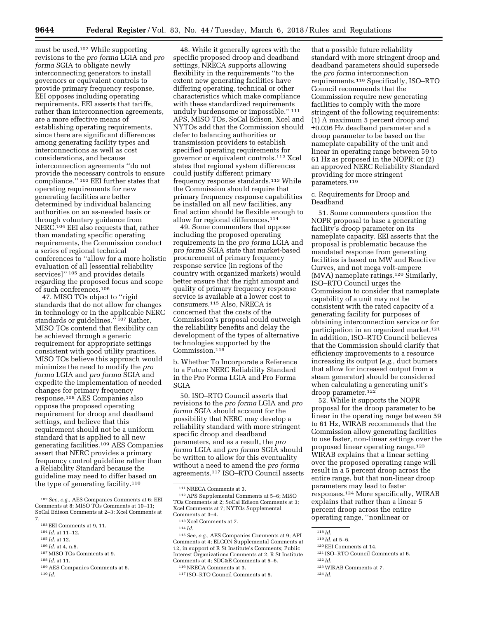must be used.102 While supporting revisions to the *pro forma* LGIA and *pro forma* SGIA to obligate newly interconnecting generators to install governors or equivalent controls to provide primary frequency response, EEI opposes including operating requirements. EEI asserts that tariffs, rather than interconnection agreements, are a more effective means of establishing operating requirements, since there are significant differences among generating facility types and interconnections as well as cost considerations, and because interconnection agreements ''do not provide the necessary controls to ensure compliance.'' 103 EEI further states that operating requirements for new generating facilities are better determined by individual balancing authorities on an as-needed basis or through voluntary guidance from NERC.104 EEI also requests that, rather than mandating specific operating requirements, the Commission conduct a series of regional technical conferences to ''allow for a more holistic evaluation of all [essential reliability services]'' 105 and provides details regarding the proposed focus and scope of such conferences.106

47. MISO TOs object to ''rigid standards that do not allow for changes in technology or in the applicable NERC standards or guidelines."<sup>107</sup> Rather, MISO TOs contend that flexibility can be achieved through a generic requirement for appropriate settings consistent with good utility practices. MISO TOs believe this approach would minimize the need to modify the *pro forma* LGIA and *pro forma* SGIA and expedite the implementation of needed changes for primary frequency response.108 AES Companies also oppose the proposed operating requirement for droop and deadband settings, and believe that this requirement should not be a uniform standard that is applied to all new generating facilities.109 AES Companies assert that NERC provides a primary frequency control guideline rather than a Reliability Standard because the guideline may need to differ based on the type of generating facility.110

- 105 *Id.* at 12.
- 106 *Id.* at 4, n.5.
- 107MISO TOs Comments at 9.
- 108 *Id.* at 11.

48. While it generally agrees with the specific proposed droop and deadband settings, NRECA supports allowing flexibility in the requirements ''to the extent new generating facilities have differing operating, technical or other characteristics which make compliance with these standardized requirements unduly burdensome or impossible.'' 111 APS, MISO TOs, SoCal Edison, Xcel and NYTOs add that the Commission should defer to balancing authorities or transmission providers to establish specified operating requirements for governor or equivalent controls.112 Xcel states that regional system differences could justify different primary frequency response standards.113 While the Commission should require that primary frequency response capabilities be installed on all new facilities, any final action should be flexible enough to allow for regional differences.114

49. Some commenters that oppose including the proposed operating requirements in the *pro forma* LGIA and *pro forma* SGIA state that market-based procurement of primary frequency response service (in regions of the country with organized markets) would better ensure that the right amount and quality of primary frequency response service is available at a lower cost to consumers.115 Also, NRECA is concerned that the costs of the Commission's proposal could outweigh the reliability benefits and delay the development of the types of alternative technologies supported by the Commission.<sup>116</sup>

b. Whether To Incorporate a Reference to a Future NERC Reliability Standard in the Pro Forma LGIA and Pro Forma SGIA

50. ISO–RTO Council asserts that revisions to the *pro forma* LGIA and *pro forma* SGIA should account for the possibility that NERC may develop a reliability standard with more stringent specific droop and deadband parameters, and as a result, the *pro forma* LGIA and *pro forma* SGIA should be written to allow for this eventuality without a need to amend the *pro forma*  agreements.117 ISO–RTO Council asserts

115*See, e.g.,* AES Companies Comments at 9; API Comments at 4; ELCON Supplemental Comments at 12, in support of R St Institute's Comments; Public Interest Organizations Comments at 2; R St Institute Comments at 4; SDG&E Comments at 5–6.

that a possible future reliability standard with more stringent droop and deadband parameters should supersede the *pro forma* interconnection requirements.118 Specifically, ISO–RTO Council recommends that the Commission require new generating facilities to comply with the more stringent of the following requirements: (1) A maximum 5 percent droop and ±0.036 Hz deadband parameter and a droop parameter to be based on the nameplate capability of the unit and linear in operating range between 59 to 61 Hz as proposed in the NOPR; or (2) an approved NERC Reliability Standard providing for more stringent parameters.119

c. Requirements for Droop and Deadband

51. Some commenters question the NOPR proposal to base a generating facility's droop parameter on its nameplate capacity. EEI asserts that the proposal is problematic because the mandated response from generating facilities is based on MW and Reactive Curves, and not mega volt-ampere (MVA) nameplate ratings.120 Similarly, ISO–RTO Council urges the Commission to consider that nameplate capability of a unit may not be consistent with the rated capacity of a generating facility for purposes of obtaining interconnection service or for participation in an organized market.121 In addition, ISO–RTO Council believes that the Commission should clarify that efficiency improvements to a resource increasing its output (*e.g.,* duct burners that allow for increased output from a steam generator) should be considered when calculating a generating unit's droop parameter.122

52. While it supports the NOPR proposal for the droop parameter to be linear in the operating range between 59 to 61 Hz, WIRAB recommends that the Commission allow generating facilities to use faster, non-linear settings over the proposed linear operating range.123 WIRAB explains that a linear setting over the proposed operating range will result in a 5 percent droop across the entire range, but that non-linear droop parameters may lead to faster responses.124 More specifically, WIRAB explains that rather than a linear 5 percent droop across the entire operating range, ''nonlinear or

- 123WIRAB Comments at 7.
- 124 *Id.*

<sup>102</sup>*See, e.g.,* AES Companies Comments at 6; EEI Comments at 8; MISO TOs Comments at 10–11; SoCal Edison Comments at 2–3; Xcel Comments at 7.

<sup>103</sup>EEI Comments at 9, 11.

<sup>104</sup> *Id.* at 11–12.

<sup>109</sup>AES Companies Comments at 6. 110 *Id.* 

<sup>&</sup>lt;sup>111</sup>NRECA Comments at 3.

<sup>112</sup>APS Supplemental Comments at 5–6; MISO TOs Comments at 2; SoCal Edison Comments at 3; Xcel Comments at 7; NYTOs Supplemental Comments at 3–4.

 $^{\rm 113}\!$  Xcel Comments at 7.

<sup>114</sup> *Id.* 

<sup>116</sup>NRECA Comments at 3.

<sup>117</sup> ISO–RTO Council Comments at 5.

<sup>118</sup> *Id.* 

<sup>119</sup> *Id.* at 5–6.

<sup>120</sup>EEI Comments at 14.

<sup>121</sup> ISO–RTO Council Comments at 6.

<sup>122</sup> *Id.*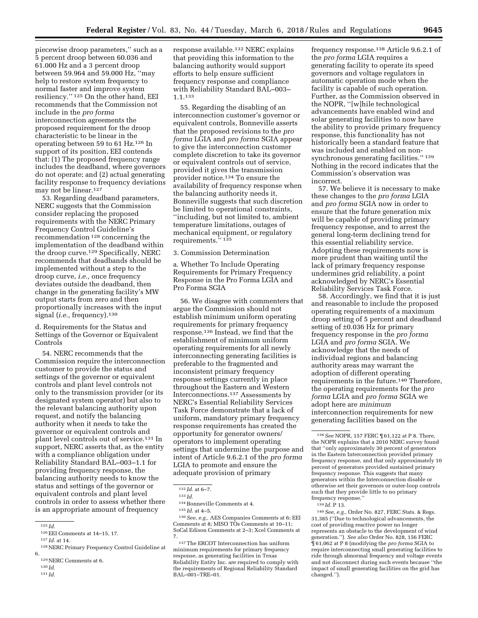piecewise droop parameters,'' such as a 5 percent droop between 60.036 and 61.000 Hz and a 3 percent droop between 59.964 and 59.000 Hz, ''may help to restore system frequency to normal faster and improve system resiliency.'' 125 On the other hand, EEI recommends that the Commission not include in the *pro forma*  interconnection agreements the proposed requirement for the droop characteristic to be linear in the operating between 59 to 61 Hz.126 In support of its position, EEI contends that: (1) The proposed frequency range includes the deadband, where governors do not operate; and (2) actual generating facility response to frequency deviations may not be linear.127

53. Regarding deadband parameters, NERC suggests that the Commission consider replacing the proposed requirements with the NERC Primary Frequency Control Guideline's recommendation 128 concerning the implementation of the deadband within the droop curve.129 Specifically, NERC recommends that deadbands should be implemented without a step to the droop curve, *i.e.,* once frequency deviates outside the deadband, then change in the generating facility's MW output starts from zero and then proportionally increases with the input signal (*i.e.,* frequency).130

d. Requirements for the Status and Settings of the Governor or Equivalent Controls

54. NERC recommends that the Commission require the interconnection customer to provide the status and settings of the governor or equivalent controls and plant level controls not only to the transmission provider (or its designated system operator) but also to the relevant balancing authority upon request, and notify the balancing authority when it needs to take the governor or equivalent controls and plant level controls out of service.131 In support, NERC asserts that, as the entity with a compliance obligation under Reliability Standard BAL–003–1.1 for providing frequency response, the balancing authority needs to know the status and settings of the governor or equivalent controls and plant level controls in order to assess whether there is an appropriate amount of frequency

131 *Id.* 

response available.132 NERC explains that providing this information to the balancing authority would support efforts to help ensure sufficient frequency response and compliance with Reliability Standard BAL–003– 1.1.133

55. Regarding the disabling of an interconnection customer's governor or equivalent controls, Bonneville asserts that the proposed revisions to the *pro forma* LGIA and *pro forma* SGIA appear to give the interconnection customer complete discretion to take its governor or equivalent controls out of service, provided it gives the transmission provider notice.134 To ensure the availability of frequency response when the balancing authority needs it, Bonneville suggests that such discretion be limited to operational constraints, ''including, but not limited to, ambient temperature limitations, outages of mechanical equipment, or regulatory requirements.'' 135

#### 3. Commission Determination

a. Whether To Include Operating Requirements for Primary Frequency Response in the Pro Forma LGIA and Pro Forma SGIA

56. We disagree with commenters that argue the Commission should not establish minimum uniform operating requirements for primary frequency response.136 Instead, we find that the establishment of minimum uniform operating requirements for all newly interconnecting generating facilities is preferable to the fragmented and inconsistent primary frequency response settings currently in place throughout the Eastern and Western Interconnections.137 Assessments by NERC's Essential Reliability Services Task Force demonstrate that a lack of uniform, mandatory primary frequency response requirements has created the opportunity for generator owners/ operators to implement operating settings that undermine the purpose and intent of Article 9.6.2.1 of the *pro forma*  LGIA to promote and ensure the adequate provision of primary

136*See, e.g.,* AES Companies Comments at 6; EEI Comments at 8; MISO TOs Comments at 10–11; SoCal Edison Comments at 2–3; Xcel Comments at 7.

frequency response.138 Article 9.6.2.1 of the *pro forma* LGIA requires a generating facility to operate its speed governors and voltage regulators in automatic operation mode when the facility is capable of such operation. Further, as the Commission observed in the NOPR, ''[w]hile technological advancements have enabled wind and solar generating facilities to now have the ability to provide primary frequency response, this functionality has not historically been a standard feature that was included and enabled on nonsynchronous generating facilities.'' 139 Nothing in the record indicates that the Commission's observation was incorrect.

57. We believe it is necessary to make these changes to the *pro forma* LGIA and *pro forma* SGIA now in order to ensure that the future generation mix will be capable of providing primary frequency response, and to arrest the general long-term declining trend for this essential reliability service. Adopting these requirements now is more prudent than waiting until the lack of primary frequency response undermines grid reliability, a point acknowledged by NERC's Essential Reliability Services Task Force.

58. Accordingly, we find that it is just and reasonable to include the proposed operating requirements of a maximum droop setting of 5 percent and deadband setting of ±0.036 Hz for primary frequency response in the *pro forma*  LGIA and *pro forma* SGIA. We acknowledge that the needs of individual regions and balancing authority areas may warrant the adoption of different operating requirements in the future.140 Therefore, the operating requirements for the *pro forma* LGIA and *pro forma* SGIA we adopt here are *minimum*  interconnection requirements for new generating facilities based on the

140*See, e.g.,* Order No. 827, FERC Stats. & Regs. 31,385 (''Due to technological advancements, the cost of providing reactive power no longer represents an obstacle to the development of wind generation.''). *See also* Order No. 828, 156 FERC ¶ 61,062 at P 8 (modifying the *pro forma* SGIA to require interconnecting small generating facilities to ride through abnormal frequency and voltage events and not disconnect during such events because ''the impact of small generating facilities on the grid has changed.'').

<sup>125</sup> *Id.* 

 $^{126}\mbox{EEI}\mbox{ Comments}$  at 14–15, 17.

<sup>127</sup> *Id.* at 14.

<sup>128</sup>NERC Primary Frequency Control Guideline at 6.

<sup>129</sup>NERC Comments at 6.

<sup>130</sup> *Id.* 

<sup>132</sup> *Id.* at 6–7.

<sup>133</sup> *Id.* 

 $^{\rm 134}$  Bonneville Comments at 4.

<sup>135</sup> *Id.* at 4–5.

<sup>137</sup>The ERCOT Interconnection has uniform minimum requirements for primary frequency response, as generating facilities in Texas Reliability Entity Inc. are required to comply with the requirements of Regional Reliability Standard BAL–001–TRE–01.

<sup>138</sup>*See* NOPR, 157 FERC ¶ 61,122 at P 8. There, the NOPR explains that a 2010 NERC survey found that ''only approximately 30 percent of generators in the Eastern Interconnection provided primary frequency response, and that only approximately 10 percent of generators provided sustained primary frequency response. This suggests that many generators within the Interconnection disable or otherwise set their governors or outer-loop controls such that they provide little to no primary frequency response.''

<sup>139</sup> *Id.* P 13.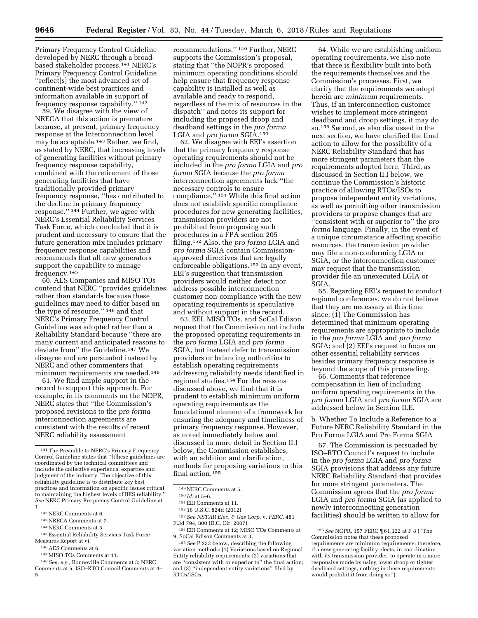Primary Frequency Control Guideline developed by NERC through a broadbased stakeholder process.141 NERC's Primary Frequency Control Guideline ''reflect[s] the most advanced set of continent-wide best practices and information available in support of frequency response capability.'' 142

59. We disagree with the view of NRECA that this action is premature because, at present, primary frequency response at the Interconnection level may be acceptable.143 Rather, we find, as stated by NERC, that increasing levels of generating facilities without primary frequency response capability, combined with the retirement of those generating facilities that have traditionally provided primary frequency response, ''has contributed to the decline in primary frequency response.'' 144 Further, we agree with NERC's Essential Reliability Services Task Force, which concluded that it is prudent and necessary to ensure that the future generation mix includes primary frequency response capabilities and recommends that all new generators support the capability to manage frequency.145

60. AES Companies and MISO TOs contend that NERC ''provides guidelines rather than standards because these guidelines may need to differ based on the type of resource,'' 146 and that NERC's Primary Frequency Control Guideline was adopted rather than a Reliability Standard because ''there are many current and anticipated reasons to deviate from'' the Guideline.147 We disagree and are persuaded instead by NERC and other commenters that minimum requirements are needed.148

61. We find ample support in the record to support this approach. For example, in its comments on the NOPR, NERC states that ''the Commission's proposed revisions to the *pro forma*  interconnection agreements are consistent with the results of recent NERC reliability assessment

- 145Essential Reliability Services Task Force Measures Report at vi.
- 146AES Comments at 6.
- 147MISO TOs Comments at 11.
- 148*See, e.g.,* Bonneville Comments at 3; NERC Comments at 5; ISO–RTO Council Comments at 4– 5.

recommendations.'' 149 Further, NERC supports the Commission's proposal, stating that ''the NOPR's proposed minimum operating conditions should help ensure that frequency response capability is installed as well as available and ready to respond, regardless of the mix of resources in the dispatch'' and notes its support for including the proposed droop and deadband settings in the *pro forma*  LGIA and *pro forma* SGIA.150

62. We disagree with EEI's assertion that the primary frequency response operating requirements should not be included in the *pro forma* LGIA and *pro forma* SGIA because the *pro forma*  interconnection agreements lack ''the necessary controls to ensure compliance.'' 151 While this final action does not establish specific compliance procedures for new generating facilities, transmission providers are not prohibited from proposing such procedures in a FPA section 205 filing.152 Also, the *pro forma* LGIA and *pro forma* SGIA contain Commissionapproved directives that are legally enforceable obligations.153 In any event, EEI's suggestion that transmission providers would neither detect nor address possible interconnection customer non-compliance with the new operating requirements is speculative and without support in the record.

63. EEI, MISO TOs, and SoCal Edison request that the Commission not include the proposed operating requirements in the *pro forma* LGIA and *pro forma*  SGIA, but instead defer to transmission providers or balancing authorities to establish operating requirements addressing reliability needs identified in regional studies.154 For the reasons discussed above, we find that it is prudent to establish minimum uniform operating requirements as the foundational element of a framework for ensuring the adequacy and timeliness of primary frequency response. However, as noted immediately below and discussed in more detail in Section II.I below, the Commission establishes, with an addition and clarification, methods for proposing variations to this final action.155

64. While we are establishing uniform operating requirements, we also note that there is flexibility built into both the requirements themselves and the Commission's processes. First, we clarify that the requirements we adopt herein are *minimum* requirements. Thus, if an interconnection customer wishes to implement more stringent deadband and droop settings, it may do so.156 Second, as also discussed in the next section, we have clarified the final action to allow for the possibility of a NERC Reliability Standard that has more stringent parameters than the requirements adopted here. Third, as discussed in Section II.I below, we continue the Commission's historic practice of allowing RTOs/ISOs to propose independent entity variations, as well as permitting other transmission providers to propose changes that are ''consistent with or superior to'' the *pro forma* language. Finally, in the event of a unique circumstance affecting specific resources, the transmission provider may file a non-conforming LGIA or SGIA, or the interconnection customer may request that the transmission provider file an unexecuted LGIA or SGIA.

65. Regarding EEI's request to conduct regional conferences, we do not believe that they are necessary at this time since: (1) The Commission has determined that minimum operating requirements are appropriate to include in the *pro forma* LGIA and *pro forma*  SGIA; and (2) EEI's request to focus on other essential reliability services besides primary frequency response is beyond the scope of this proceeding.

66. Comments that reference compensation in lieu of including uniform operating requirements in the *pro forma* LGIA and *pro forma* SGIA are addressed below in Section II.E.

b. Whether To Include a Reference to a Future NERC Reliability Standard in the Pro Forma LGIA and Pro Forma SGIA

67. The Commission is persuaded by ISO–RTO Council's request to include in the *pro forma* LGIA and *pro forma*  SGIA provisions that address any future NERC Reliability Standard that provides for more stringent parameters. The Commission agrees that the *pro forma*  LGIA and *pro forma* SGIA (as applied to newly interconnecting generation facilities) should be written to allow for

<sup>141</sup>The Preamble to NERC's Primary Frequency Control Guideline states that ''[t]hese guidelines are coordinated by the technical committees and include the collective experience, expertise and judgment of the industry. The objective of this reliability guideline is to distribute key best practices and information on specific issues critical to maintaining the highest levels of BES reliability.'' *See* NERC Primary Frequency Control Guideline at 1.

<sup>142</sup>NERC Comments at 6.

<sup>143</sup>NRECA Comments at 7.

<sup>144</sup>NERC Comments at 5.

<sup>149</sup>NERC Comments at 5.

<sup>150</sup> *Id.* at 5–6.

<sup>151</sup>EEI Comments at 11.

<sup>152</sup> 16 U.S.C. 824d (2012).

<sup>153</sup>*See NSTAR Elec. & Gas Corp.* v. *FERC,* 481 F.3d 794, 800 (D.C. Cir. 2007).

<sup>154</sup>EEI Comments at 12; MISO TOs Comments at 9; SoCal Edison Comments at 3.

<sup>155</sup>*See* P 233 below, describing the following variation methods: (1) Variations based on Regional Entity reliability requirements; (2) variations that are ''consistent with or superior to'' the final action; and (3) ''independent entity variations'' filed by RTOs/ISOs.

<sup>156</sup>*See* NOPR, 157 FERC ¶ 61,122 at P 8 (''The Commission notes that these proposed requirements are minimum requirements; therefore, if a new generating facility elects, in coordination with its transmission provider, to operate in a more responsive mode by using lower droop or tighter deadband settings, nothing in these requirements would prohibit it from doing so'').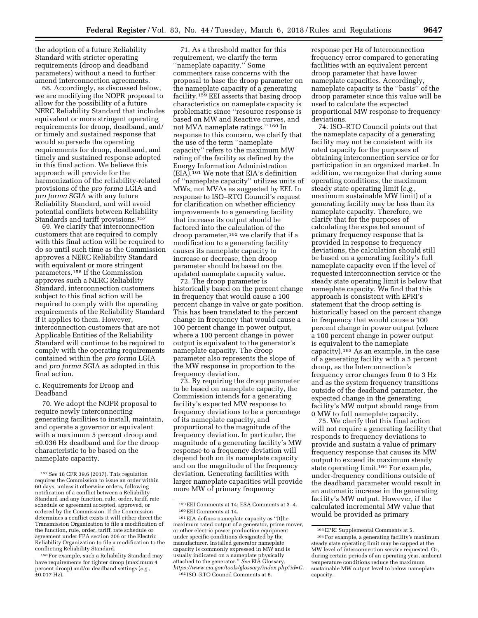the adoption of a future Reliability Standard with stricter operating requirements (droop and deadband parameters) without a need to further amend interconnection agreements.

68. Accordingly, as discussed below, we are modifying the NOPR proposal to allow for the possibility of a future NERC Reliability Standard that includes equivalent or more stringent operating requirements for droop, deadband, and/ or timely and sustained response that would supersede the operating requirements for droop, deadband, and timely and sustained response adopted in this final action. We believe this approach will provide for the harmonization of the reliability-related provisions of the *pro forma* LGIA and *pro forma* SGIA with any future Reliability Standard, and will avoid potential conflicts between Reliability Standards and tariff provisions.157

69. We clarify that interconnection customers that are required to comply with this final action will be required to do so until such time as the Commission approves a NERC Reliability Standard with equivalent or more stringent parameters.158 If the Commission approves such a NERC Reliability Standard, interconnection customers subject to this final action will be required to comply with the operating requirements of the Reliability Standard if it applies to them. However, interconnection customers that are not Applicable Entities of the Reliability Standard will continue to be required to comply with the operating requirements contained within the *pro forma* LGIA and *pro forma* SGIA as adopted in this final action.

c. Requirements for Droop and Deadband

70. We adopt the NOPR proposal to require newly interconnecting generating facilities to install, maintain, and operate a governor or equivalent with a maximum 5 percent droop and ±0.036 Hz deadband and for the droop characteristic to be based on the nameplate capacity.

71. As a threshold matter for this requirement, we clarify the term ''nameplate capacity.'' Some commenters raise concerns with the proposal to base the droop parameter on the nameplate capacity of a generating facility.159 EEI asserts that basing droop characteristics on nameplate capacity is problematic since ''resource response is based on MW and Reactive curves, and not MVA nameplate ratings.'' 160 In response to this concern, we clarify that the use of the term ''nameplate capacity'' refers to the maximum MW rating of the facility as defined by the Energy Information Administration (EIA).161 We note that EIA's definition of ''nameplate capacity'' utilizes units of MWs, not MVAs as suggested by EEI. In response to ISO–RTO Council's request for clarification on whether efficiency improvements to a generating facility that increase its output should be factored into the calculation of the droop parameter,162 we clarify that if a modification to a generating facility causes its nameplate capacity to increase or decrease, then droop parameter should be based on the updated nameplate capacity value.

72. The droop parameter is historically based on the percent change in frequency that would cause a 100 percent change in valve or gate position. This has been translated to the percent change in frequency that would cause a 100 percent change in power output, where a 100 percent change in power output is equivalent to the generator's nameplate capacity. The droop parameter also represents the slope of the MW response in proportion to the frequency deviation.

73. By requiring the droop parameter to be based on nameplate capacity, the Commission intends for a generating facility's expected MW response to frequency deviations to be a percentage of its nameplate capacity, and proportional to the magnitude of the frequency deviation. In particular, the magnitude of a generating facility's MW response to a frequency deviation will depend both on its nameplate capacity and on the magnitude of the frequency deviation. Generating facilities with larger nameplate capacities will provide more MW of primary frequency

response per Hz of Interconnection frequency error compared to generating facilities with an equivalent percent droop parameter that have lower nameplate capacities. Accordingly, nameplate capacity is the ''basis'' of the droop parameter since this value will be used to calculate the expected proportional MW response to frequency deviations.

74. ISO–RTO Council points out that the nameplate capacity of a generating facility may not be consistent with its rated capacity for the purposes of obtaining interconnection service or for participation in an organized market. In addition, we recognize that during some operating conditions, the maximum steady state operating limit (*e.g.,*  maximum sustainable MW limit) of a generating facility may be less than its nameplate capacity. Therefore, we clarify that for the purposes of calculating the expected amount of primary frequency response that is provided in response to frequency deviations, the calculation should still be based on a generating facility's full nameplate capacity even if the level of requested interconnection service or the steady state operating limit is below that nameplate capacity. We find that this approach is consistent with EPRI's statement that the droop setting is historically based on the percent change in frequency that would cause a 100 percent change in power output (where a 100 percent change in power output is equivalent to the nameplate capacity).163 As an example, in the case of a generating facility with a 5 percent droop, as the Interconnection's frequency error changes from 0 to 3 Hz and as the system frequency transitions outside of the deadband parameter, the expected change in the generating facility's MW output should range from 0 MW to full nameplate capacity.

75. We clarify that this final action will not require a generating facility that responds to frequency deviations to provide and sustain a value of primary frequency response that causes its MW output to exceed its maximum steady state operating limit.164 For example, under-frequency conditions outside of the deadband parameter would result in an automatic increase in the generating facility's MW output. However, if the calculated incremental MW value that would be provided as primary

<sup>157</sup>*See* 18 CFR 39.6 (2017). This regulation requires the Commission to issue an order within 60 days, unless it otherwise orders, following notification of a conflict between a Reliability Standard and any function, rule, order, tariff, rate schedule or agreement accepted, approved, or ordered by the Commission. If the Commission determines a conflict exists it will either direct the Transmission Organization to file a modification of the function, rule, order, tariff, rate schedule or agreement under FPA section 206 or the Electric Reliability Organization to file a modification to the conflicting Reliability Standard.

<sup>158</sup>For example, such a Reliability Standard may have requirements for tighter droop (maximum 4 percent droop) and/or deadband settings (*e.g.,*  ±0.017 Hz).

<sup>&</sup>lt;sup>159</sup> EEI Comments at 14; ESA Comments at 3–4.<br><sup>160</sup> EEI Comments at 14.<br><sup>161</sup> EIA defines nameplate capacity as ''[t]he

maximum rated output of a generator, prime mover, or other electric power production equipment under specific conditions designated by the manufacturer. Installed generator nameplate capacity is commonly expressed in MW and is usually indicated on a nameplate physically attached to the generator.'' *See* EIA Glossary, *[https://www.eia.gov/tools/glossary/index.php?id=G.](https://www.eia.gov/tools/glossary/index.php?id=G)*  162 ISO–RTO Council Comments at 6.

<sup>163</sup>EPRI Supplemental Comments at 5.

<sup>164</sup>For example, a generating facility's maximum steady state operating limit may be capped at the MW level of interconnection service requested. Or, during certain periods of an operating year, ambient temperature conditions reduce the maximum sustainable MW output level to below nameplate capacity.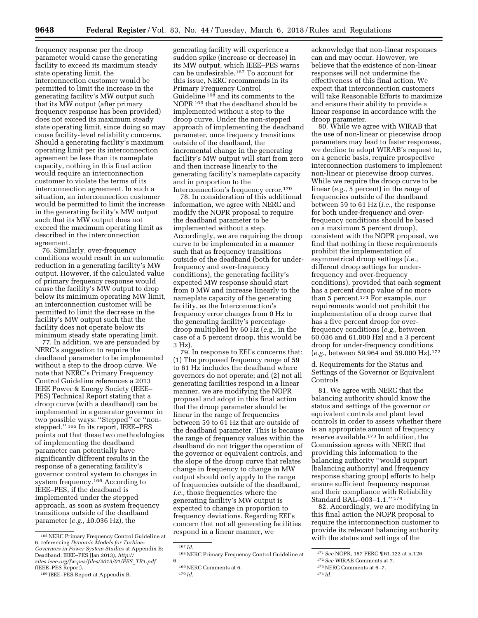frequency response per the droop parameter would cause the generating facility to exceed its maximum steady state operating limit, the interconnection customer would be permitted to limit the increase in the generating facility's MW output such that its MW output (after primary frequency response has been provided) does not exceed its maximum steady state operating limit, since doing so may cause facility-level reliability concerns. Should a generating facility's maximum operating limit per its interconnection agreement be less than its nameplate capacity, nothing in this final action would require an interconnection customer to violate the terms of its interconnection agreement. In such a situation, an interconnection customer would be permitted to limit the increase in the generating facility's MW output such that its MW output does not exceed the maximum operating limit as described in the interconnection agreement.

76. Similarly, over-frequency conditions would result in an automatic reduction in a generating facility's MW output. However, if the calculated value of primary frequency response would cause the facility's MW output to drop below its minimum operating MW limit, an interconnection customer will be permitted to limit the decrease in the facility's MW output such that the facility does not operate below its minimum steady state operating limit.

77. In addition, we are persuaded by NERC's suggestion to require the deadband parameter to be implemented without a step to the droop curve. We note that NERC's Primary Frequency Control Guideline references a 2013 IEEE Power & Energy Society (IEEE– PES) Technical Report stating that a droop curve (with a deadband) can be implemented in a generator governor in two possible ways: "Stepped" or "nonstepped.'' 165 In its report, IEEE–PES points out that these two methodologies of implementing the deadband parameter can potentially have significantly different results in the response of a generating facility's governor control system to changes in system frequency.166 According to IEEE–PES, if the deadband is implemented under the stepped approach, as soon as system frequency transitions outside of the deadband parameter (*e.g.,* ±0.036 Hz), the

generating facility will experience a sudden spike (increase or decrease) in its MW output, which IEEE–PES warns can be undesirable.167 To account for this issue, NERC recommends in its Primary Frequency Control Guideline 168 and its comments to the NOPR 169 that the deadband should be implemented without a step to the droop curve. Under the non-stepped approach of implementing the deadband parameter, once frequency transitions outside of the deadband, the incremental change in the generating facility's MW output will start from zero and then increase linearly to the generating facility's nameplate capacity and in proportion to the Interconnection's frequency error.170

78. In consideration of this additional information, we agree with NERC and modify the NOPR proposal to require the deadband parameter to be implemented without a step. Accordingly, we are requiring the droop curve to be implemented in a manner such that as frequency transitions outside of the deadband (both for underfrequency and over-frequency conditions), the generating facility's expected MW response should start from 0 MW and increase linearly to the nameplate capacity of the generating facility, as the Interconnection's frequency error changes from 0 Hz to the generating facility's percentage droop multiplied by 60 Hz (*e.g.,* in the case of a 5 percent droop, this would be 3 Hz).

79. In response to EEI's concerns that: (1) The proposed frequency range of 59 to 61 Hz includes the deadband where governors do not operate; and (2) not all generating facilities respond in a linear manner, we are modifying the NOPR proposal and adopt in this final action that the droop parameter should be linear in the range of frequencies between 59 to 61 Hz that are outside of the deadband parameter. This is because the range of frequency values within the deadband do not trigger the operation of the governor or equivalent controls, and the slope of the droop curve that relates change in frequency to change in MW output should only apply to the range of frequencies outside of the deadband, *i.e.,* those frequencies where the generating facility's MW output is expected to change in proportion to frequency deviations. Regarding EEI's concern that not all generating facilities respond in a linear manner, we

acknowledge that non-linear responses can and may occur. However, we believe that the existence of non-linear responses will not undermine the effectiveness of this final action. We expect that interconnection customers will take Reasonable Efforts to maximize and ensure their ability to provide a linear response in accordance with the droop parameter.

80. While we agree with WIRAB that the use of non-linear or piecewise droop parameters may lead to faster responses, we decline to adopt WIRAB's request to, on a generic basis, require prospective interconnection customers to implement non-linear or piecewise droop curves. While we require the droop curve to be linear (*e.g.,* 5 percent) in the range of frequencies outside of the deadband between 59 to 61 Hz (*i.e.,* the response for both under-frequency and overfrequency conditions should be based on a maximum 5 percent droop), consistent with the NOPR proposal, we find that nothing in these requirements prohibit the implementation of asymmetrical droop settings (*i.e.,*  different droop settings for underfrequency and over-frequency conditions), provided that each segment has a percent droop value of no more than 5 percent.171 For example, our requirements would not prohibit the implementation of a droop curve that has a five percent droop for overfrequency conditions (*e.g.,* between 60.036 and 61.000 Hz) and a 3 percent droop for under-frequency conditions (*e.g.,* between 59.964 and 59.000 Hz).172

d. Requirements for the Status and Settings of the Governor or Equivalent Controls

81. We agree with NERC that the balancing authority should know the status and settings of the governor or equivalent controls and plant level controls in order to assess whether there is an appropriate amount of frequency reserve available.173 In addition, the Commission agrees with NERC that providing this information to the balancing authority ''would support [balancing authority] and [frequency response sharing group] efforts to help ensure sufficient frequency response and their compliance with Reliability Standard BAL–003–1.1.'' 174

82. Accordingly, we are modifying in this final action the NOPR proposal to require the interconnection customer to provide its relevant balancing authority with the status and settings of the

<sup>165</sup>NERC Primary Frequency Control Guideline at 6, referencing *Dynamic Models for Turbine-Governors in Power System Studie*s at Appendix B: Deadband, IEEE–PES (Jan 2013), *[http://](http://sites.ieee.org/fw-pes/files/2013/01/PES_TR1.pdf) [sites.ieee.org/fw-pes/files/2013/01/PES](http://sites.ieee.org/fw-pes/files/2013/01/PES_TR1.pdf)*\_*TR1.pdf*  (IEEE–PES Report).

<sup>166</sup> IEEE–PES Report at Appendix B.

<sup>167</sup> *Id.* 

<sup>168</sup>NERC Primary Frequency Control Guideline at 6.

<sup>169</sup>NERC Comments at 6.

<sup>170</sup> *Id.* 

<sup>171</sup>*See* NOPR, 157 FERC ¶ 61,122 at n.126.

<sup>172</sup>*See* WIRAB Comments at 7.

<sup>173</sup>NERC Comments at 6–7.

<sup>174</sup> *Id.*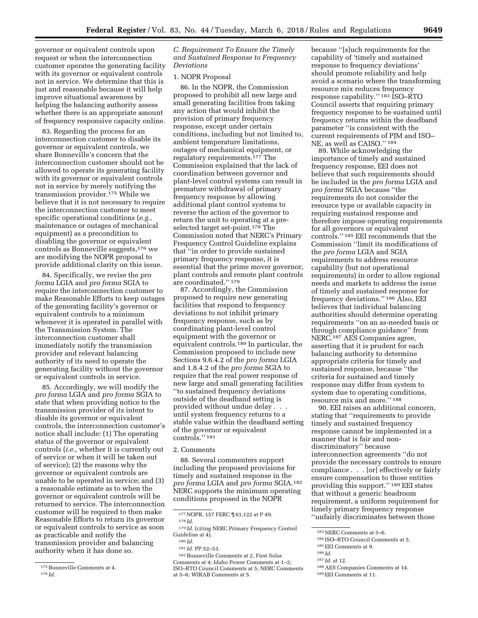governor or equivalent controls upon request or when the interconnection customer operates the generating facility with its governor or equivalent controls not in service. We determine that this is just and reasonable because it will help improve situational awareness by helping the balancing authority assess whether there is an appropriate amount of frequency responsive capacity online.

83. Regarding the process for an interconnection customer to disable its governor or equivalent controls, we share Bonneville's concern that the interconnection customer should not be allowed to operate its generating facility with its governor or equivalent controls not in service by merely notifying the transmission provider.175 While we believe that it is not necessary to require the interconnection customer to meet specific operational conditions (*e.g.,*  maintenance or outages of mechanical equipment) as a precondition to disabling the governor or equivalent controls as Bonneville suggests,176 we are modifying the NOPR proposal to provide additional clarity on this issue.

84. Specifically, we revise the *pro forma* LGIA and *pro forma* SGIA to require the interconnection customer to make Reasonable Efforts to keep outages of the generating facility's governor or equivalent controls to a minimum whenever it is operated in parallel with the Transmission System. The interconnection customer shall immediately notify the transmission provider and relevant balancing authority of its need to operate the generating facility without the governor or equivalent controls in service.

85. Accordingly, we will modify the *pro forma* LGIA and *pro forma* SGIA to state that when providing notice to the transmission provider of its intent to disable its governor or equivalent controls, the interconnection customer's notice shall include: (1) The operating status of the governor or equivalent controls (*i.e.,* whether it is currently out of service or when it will be taken out of service); (2) the reasons why the governor or equivalent controls are unable to be operated in service; and (3) a reasonable estimate as to when the governor or equivalent controls will be returned to service. The interconnection customer will be required to then make Reasonable Efforts to return its governor or equivalent controls to service as soon as practicable and notify the transmission provider and balancing authority when it has done so.

*C. Requirement To Ensure the Timely and Sustained Response to Frequency Deviations* 

#### 1. NOPR Proposal

86. In the NOPR, the Commission proposed to prohibit all new large and small generating facilities from taking any action that would inhibit the provision of primary frequency response, except under certain conditions, including but not limited to, ambient temperature limitations, outages of mechanical equipment, or regulatory requirements.177 The Commission explained that the lack of coordination between governor and plant-level control systems can result in premature withdrawal of primary frequency response by allowing additional plant control systems to reverse the action of the governor to return the unit to operating at a preselected target set-point.178 The Commission noted that NERC's Primary Frequency Control Guideline explains that ''in order to provide sustained primary frequency response, it is essential that the prime mover governor, plant controls and remote plant controls are coordinated."<sup>179</sup>

87. Accordingly, the Commission proposed to require new generating facilities that respond to frequency deviations to not inhibit primary frequency response, such as by coordinating plant-level control equipment with the governor or equivalent controls.180 In particular, the Commission proposed to include new Sections 9.6.4.2 of the *pro forma* LGIA and 1.8.4.2 of the *pro forma* SGIA to require that the real power response of new large and small generating facilities ''to sustained frequency deviations outside of the deadband setting is provided without undue delay . . . until system frequency returns to a stable value within the deadband setting of the governor or equivalent controls.'' 181

#### 2. Comments

88. Several commenters support including the proposed provisions for timely and sustained response in the *pro forma* LGIA and *pro forma* SGIA.182 NERC supports the minimum operating conditions proposed in the NOPR

because ''[s]uch requirements for the capability of 'timely and sustained response to frequency deviations' should promote reliability and help avoid a scenario where the transforming resource mix reduces frequency response capability.'' 183 ISO–RTO Council asserts that requiring primary frequency response to be sustained until frequency returns within the deadband parameter ''is consistent with the current requirements of PJM and ISO– NE, as well as CAISO.'' 184

89. While acknowledging the importance of timely and sustained frequency response, EEI does not believe that such requirements should be included in the *pro forma* LGIA and *pro forma* SGIA because ''the requirements do not consider the resource type or available capacity in requiring sustained response and therefore impose operating requirements for all governors or equivalent controls.'' 185 EEI recommends that the Commission ''limit its modifications of the *pro forma* LGIA and SGIA requirements to address resource capability (but not operational requirements) in order to allow regional needs and markets to address the issue of timely and sustained response for frequency deviations.'' 186 Also, EEI believes that individual balancing authorities should determine operating requirements ''on an as-needed basis or through compliance guidance'' from NERC.187 AES Companies agree, asserting that it is prudent for each balancing authority to determine appropriate criteria for timely and sustained response, because ''the criteria for sustained and timely response may differ from system to system due to operating conditions, resource mix and more.'' 188

90. EEI raises an additional concern, stating that ''requirements to provide timely and sustained frequency response cannot be implemented in a manner that is fair and nondiscriminatory'' because interconnection agreements ''do not provide the necessary controls to ensure compliance . . . [or] effectively or fairly ensure compensation to those entities providing this support.'' 189 EEI states that without a generic headroom requirement, a uniform requirement for timely primary frequency response ''unfairly discriminates between those

- 185EEI Comments at 9.
- 186 *Id.*
- 187 *Id.* at 12.
- 188AES Companies Comments at 14.
- 189EEI Comments at 11.

<sup>175</sup>Bonneville Comments at 4. 176 *Id.* 

<sup>177</sup>NOPR, 157 FERC ¶ 61,122 at P 49. 178 *Id.* 

<sup>179</sup> *Id.* (citing NERC Primary Frequency Control Guideline at 4).

<sup>180</sup> *Id.*  181 *Id.* PP 52–53.

<sup>182</sup>Bonneville Comments at 2, First Solar Comments at 4; Idaho Power Comments at 1–2; ISO–RTO Council Comments at 5; NERC Comments at 5–6; WIRAB Comments at 5.

<sup>183</sup>NERC Comments at 5–6.

<sup>184</sup> ISO–RTO Council Comments at 5.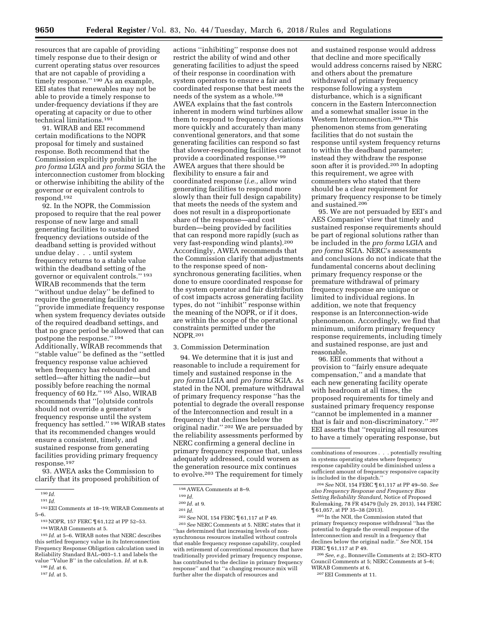resources that are capable of providing timely response due to their design or current operating status over resources that are not capable of providing a timely response." 190 As an example, EEI states that renewables may not be able to provide a timely response to under-frequency deviations if they are operating at capacity or due to other technical limitations.191

91. WIRAB and EEI recommend certain modifications to the NOPR proposal for timely and sustained response. Both recommend that the Commission explicitly prohibit in the *pro forma* LGIA and *pro forma* SGIA the interconnection customer from blocking or otherwise inhibiting the ability of the governor or equivalent controls to respond.192

92. In the NOPR, the Commission proposed to require that the real power response of new large and small generating facilities to sustained frequency deviations outside of the deadband setting is provided without undue delay . . . until system frequency returns to a stable value within the deadband setting of the governor or equivalent controls.'' 193 WIRAB recommends that the term ''without undue delay'' be defined to require the generating facility to ''provide immediate frequency response when system frequency deviates outside of the required deadband settings, and that no grace period be allowed that can postpone the response.'' 194 Additionally, WIRAB recommends that ''stable value'' be defined as the ''settled frequency response value achieved when frequency has rebounded and settled—after hitting the nadir—but possibly before reaching the normal frequency of 60 Hz.'' 195 Also, WIRAB recommends that ''[o]utside controls should not override a generator's frequency response until the system frequency has settled.'' 196 WIRAB states that its recommended changes would ensure a consistent, timely, and sustained response from generating facilities providing primary frequency response.197

93. AWEA asks the Commission to clarify that its proposed prohibition of

193NOPR, 157 FERC ¶ 61,122 at PP 52–53.

195 *Id.* at 5–6. WIRAB notes that NERC describes this settled frequency value in its Interconnection Frequency Response Obligation calculation used in Reliability Standard BAL–003–1.1 and labels the value ''Value B'' in the calculation. *Id.* at n.8.

197 *Id.* at 5.

actions ''inhibiting'' response does not restrict the ability of wind and other generating facilities to adjust the speed of their response in coordination with system operators to ensure a fair and coordinated response that best meets the needs of the system as a whole.198 AWEA explains that the fast controls inherent in modern wind turbines allow them to respond to frequency deviations more quickly and accurately than many conventional generators, and that some generating facilities can respond so fast that slower-responding facilities cannot provide a coordinated response.199 AWEA argues that there should be flexibility to ensure a fair and coordinated response (*i.e.,* allow wind generating facilities to respond more slowly than their full design capability) that meets the needs of the system and does not result in a disproportionate share of the response—and cost burden—being provided by facilities that can respond more rapidly (such as very fast-responding wind plants).200 Accordingly, AWEA recommends that the Commission clarify that adjustments to the response speed of nonsynchronous generating facilities, when done to ensure coordinated response for the system operator and fair distribution of cost impacts across generating facility types, do not ''inhibit'' response within the meaning of the NOPR, or if it does, are within the scope of the operational constraints permitted under the NOPR.201

#### 3. Commission Determination

94. We determine that it is just and reasonable to include a requirement for timely and sustained response in the *pro forma* LGIA and *pro forma* SGIA. As stated in the NOI, premature withdrawal of primary frequency response ''has the potential to degrade the overall response of the Interconnection and result in a frequency that declines below the original nadir.'' 202 We are persuaded by the reliability assessments performed by NERC confirming a general decline in primary frequency response that, unless adequately addressed, could worsen as the generation resource mix continues to evolve.203 The requirement for timely

203*See* NERC Comments at 5. NERC states that it ''has determined that increasing levels of nonsynchronous resources installed without controls that enable frequency response capability, coupled with retirement of conventional resources that have traditionally provided primary frequency response, has contributed to the decline in primary frequency response'' and that ''a changing resource mix will further alter the dispatch of resources and

and sustained response would address that decline and more specifically would address concerns raised by NERC and others about the premature withdrawal of primary frequency response following a system disturbance, which is a significant concern in the Eastern Interconnection and a somewhat smaller issue in the Western Interconnection.204 This phenomenon stems from generating facilities that do not sustain the response until system frequency returns to within the deadband parameter; instead they withdraw the response soon after it is provided.<sup>205</sup> In adopting this requirement, we agree with commenters who stated that there should be a clear requirement for primary frequency response to be timely and sustained.206

95. We are not persuaded by EEI's and AES Companies' view that timely and sustained response requirements should be part of regional solutions rather than be included in the *pro forma* LGIA and *pro forma* SGIA. NERC's assessments and conclusions do not indicate that the fundamental concerns about declining primary frequency response or the premature withdrawal of primary frequency response are unique or limited to individual regions. In addition, we note that frequency response is an Interconnection-wide phenomenon. Accordingly, we find that minimum, uniform primary frequency response requirements, including timely and sustained response, are just and reasonable.

96. EEI comments that without a provision to ''fairly ensure adequate compensation,'' and a mandate that each new generating facility operate with headroom at all times, the proposed requirements for timely and sustained primary frequency response ''cannot be implemented in a manner that is fair and non-discriminatory.'' 207 EEI asserts that ''requiring all resources to have a timely operating response, but

204*See* NOI, 154 FERC ¶ 61,117 at PP 49–50. *See also Frequency Response and Frequency Bias Setting Reliability Standard,* Notice of Proposed Rulemaking, 78 FR 45479 (July 29, 2013), 144 FERC ¶ 61,057, at PP 35–38 (2013).

205 In the NOI, the Commission stated that primary frequency response withdrawal ''has the potential to degrade the overall response of the Interconnection and result in a frequency that declines below the original nadir.'' *See* NOI, 154 FERC ¶ 61,117 at P 49.

206*See, e.g.,* Bonneville Comments at 2; ISO–RTO Council Comments at 5; NERC Comments at 5–6; WIRAB Comments at 6.

207EEI Comments at 11.

<sup>190</sup> *Id.* 

<sup>191</sup> *Id.* 

<sup>192</sup>EEI Comments at 18–19; WIRAB Comments at 5–6.

<sup>194</sup>WIRAB Comments at 5.

<sup>196</sup> *Id.* at 6.

<sup>198</sup>AWEA Comments at 8–9.

<sup>199</sup> *Id.* 

<sup>200</sup> *Id.* at 9.

<sup>201</sup> *Id.* 

<sup>202</sup>*See* NOI, 154 FERC ¶ 61,117 at P 49.

combinations of resources . . . potentially resulting in systems operating states where frequency response capability could be diminished unless a sufficient amount of frequency responsive capacity is included in the dispatch.''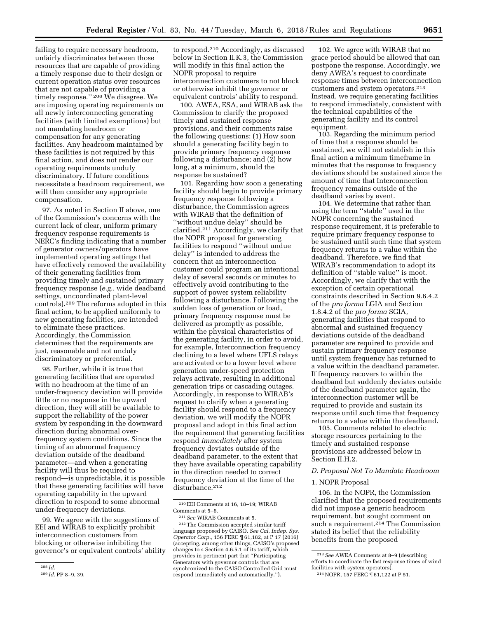failing to require necessary headroom, unfairly discriminates between those resources that are capable of providing a timely response due to their design or current operation status over resources that are not capable of providing a timely response.'' 208 We disagree. We are imposing operating requirements on all newly interconnecting generating facilities (with limited exemptions) but not mandating headroom or compensation for any generating facilities. Any headroom maintained by these facilities is not required by this final action, and does not render our operating requirements unduly discriminatory. If future conditions necessitate a headroom requirement, we will then consider any appropriate compensation.

97. As noted in Section II above, one of the Commission's concerns with the current lack of clear, uniform primary frequency response requirements is NERC's finding indicating that a number of generator owners/operators have implemented operating settings that have effectively removed the availability of their generating facilities from providing timely and sustained primary frequency response (*e.g.,* wide deadband settings, uncoordinated plant-level controls).209 The reforms adopted in this final action, to be applied uniformly to new generating facilities, are intended to eliminate these practices. Accordingly, the Commission determines that the requirements are just, reasonable and not unduly discriminatory or preferential.

98. Further, while it is true that generating facilities that are operated with no headroom at the time of an under-frequency deviation will provide little or no response in the upward direction, they will still be available to support the reliability of the power system by responding in the downward direction during abnormal overfrequency system conditions. Since the timing of an abnormal frequency deviation outside of the deadband parameter—and when a generating facility will thus be required to respond—is unpredictable, it is possible that these generating facilities will have operating capability in the upward direction to respond to some abnormal under-frequency deviations.

99. We agree with the suggestions of EEI and WIRAB to explicitly prohibit interconnection customers from blocking or otherwise inhibiting the governor's or equivalent controls' ability

to respond.210 Accordingly, as discussed below in Section II.K.3, the Commission will modify in this final action the NOPR proposal to require interconnection customers to not block or otherwise inhibit the governor or equivalent controls' ability to respond.

100. AWEA, ESA, and WIRAB ask the Commission to clarify the proposed timely and sustained response provisions, and their comments raise the following questions: (1) How soon should a generating facility begin to provide primary frequency response following a disturbance; and (2) how long, at a minimum, should the response be sustained?

101. Regarding how soon a generating facility should begin to provide primary frequency response following a disturbance, the Commission agrees with WIRAB that the definition of ''without undue delay'' should be clarified.211 Accordingly, we clarify that the NOPR proposal for generating facilities to respond ''without undue delay'' is intended to address the concern that an interconnection customer could program an intentional delay of several seconds or minutes to effectively avoid contributing to the support of power system reliability following a disturbance. Following the sudden loss of generation or load, primary frequency response must be delivered as promptly as possible, within the physical characteristics of the generating facility, in order to avoid, for example, Interconnection frequency declining to a level where UFLS relays are activated or to a lower level where generation under-speed protection relays activate, resulting in additional generation trips or cascading outages. Accordingly, in response to WIRAB's request to clarify when a generating facility should respond to a frequency deviation, we will modify the NOPR proposal and adopt in this final action the requirement that generating facilities respond *immediately* after system frequency deviates outside of the deadband parameter, to the extent that they have available operating capability in the direction needed to correct frequency deviation at the time of the disturbance.<sup>212</sup>

102. We agree with WIRAB that no grace period should be allowed that can postpone the response. Accordingly, we deny AWEA's request to coordinate response times between interconnection customers and system operators.213 Instead, we require generating facilities to respond immediately, consistent with the technical capabilities of the generating facility and its control equipment.

103. Regarding the minimum period of time that a response should be sustained, we will not establish in this final action a minimum timeframe in minutes that the response to frequency deviations should be sustained since the amount of time that Interconnection frequency remains outside of the deadband varies by event.

104. We determine that rather than using the term ''stable'' used in the NOPR concerning the sustained response requirement, it is preferable to require primary frequency response to be sustained until such time that system frequency returns to a value within the deadband. Therefore, we find that WIRAB's recommendation to adopt its definition of ''stable value'' is moot. Accordingly, we clarify that with the exception of certain operational constraints described in Section 9.6.4.2 of the *pro forma* LGIA and Section 1.8.4.2 of the *pro forma* SGIA, generating facilities that respond to abnormal and sustained frequency deviations outside of the deadband parameter are required to provide and sustain primary frequency response until system frequency has returned to a value within the deadband parameter. If frequency recovers to within the deadband but suddenly deviates outside of the deadband parameter again, the interconnection customer will be required to provide and sustain its response until such time that frequency returns to a value within the deadband.

105. Comments related to electric storage resources pertaining to the timely and sustained response provisions are addressed below in Section II.H.2.

## *D. Proposal Not To Mandate Headroom*

## 1. NOPR Proposal

106. In the NOPR, the Commission clarified that the proposed requirements did not impose a generic headroom requirement, but sought comment on such a requirement.<sup>214</sup> The Commission stated its belief that the reliability benefits from the proposed

<sup>208</sup> *Id.* 

<sup>209</sup> *Id.* PP 8–9, 39.

<sup>210</sup>EEI Comments at 16, 18–19; WIRAB Comments at 5–6.

<sup>211</sup>*See* WIRAB Comments at 5.

<sup>212</sup>The Commission accepted similar tariff language proposed by CAISO. *See Cal. Indep. Sys. Operator Corp.,* 156 FERC ¶ 61,182, at P 17 (2016) (accepting, among other things, CAISO's proposed changes to s Section 4.6.5.1 of its tariff, which provides in pertinent part that ''Participating Generators with governor controls that are synchronized to the CAISO Controlled Grid must respond immediately and automatically.'').

<sup>213</sup>*See* AWEA Comments at 8–9 (describing efforts to coordinate the fast response times of wind facilities with system operators).

<sup>214</sup>NOPR, 157 FERC ¶ 61,122 at P 51.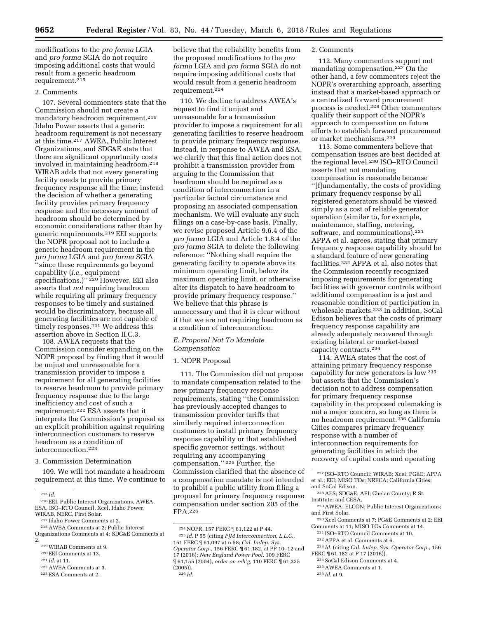modifications to the *pro forma* LGIA and *pro forma* SGIA do not require imposing additional costs that would result from a generic headroom requirement.<sup>215</sup>

#### 2. Comments

107. Several commenters state that the Commission should not create a mandatory headroom requirement.216 Idaho Power asserts that a generic headroom requirement is not necessary at this time.217 AWEA, Public Interest Organizations, and SDG&E state that there are significant opportunity costs involved in maintaining headroom.218 WIRAB adds that not every generating facility needs to provide primary frequency response all the time; instead the decision of whether a generating facility provides primary frequency response and the necessary amount of headroom should be determined by economic considerations rather than by generic requirements.219 EEI supports the NOPR proposal not to include a generic headroom requirement in the *pro forma* LGIA and *pro forma* SGIA ''since these requirements go beyond capability (*i.e.,* equipment specifications.)"<sup>220</sup> However, EEI also asserts that *not* requiring headroom while requiring all primary frequency responses to be timely and sustained would be discriminatory, because all generating facilities are not capable of timely responses.<sup>221</sup> We address this assertion above in Section II.C.3.

108. AWEA requests that the Commission consider expanding on the NOPR proposal by finding that it would be unjust and unreasonable for a transmission provider to impose a requirement for all generating facilities to reserve headroom to provide primary frequency response due to the large inefficiency and cost of such a requirement.222 ESA asserts that it interprets the Commission's proposal as an explicit prohibition against requiring interconnection customers to reserve headroom as a condition of interconnection.223

## 3. Commission Determination

109. We will not mandate a headroom requirement at this time. We continue to

220EEI Comments at 13.

believe that the reliability benefits from the proposed modifications to the *pro forma* LGIA and *pro forma* SGIA do not require imposing additional costs that would result from a generic headroom requirement.224

110. We decline to address AWEA's request to find it unjust and unreasonable for a transmission provider to impose a requirement for all generating facilities to reserve headroom to provide primary frequency response. Instead, in response to AWEA and ESA, we clarify that this final action does not prohibit a transmission provider from arguing to the Commission that headroom should be required as a condition of interconnection in a particular factual circumstance and proposing an associated compensation mechanism. We will evaluate any such filings on a case-by-case basis. Finally, we revise proposed Article 9.6.4 of the *pro forma* LGIA and Article 1.8.4 of the *pro forma* SGIA to delete the following reference: ''Nothing shall require the generating facility to operate above its minimum operating limit, below its maximum operating limit, or otherwise alter its dispatch to have headroom to provide primary frequency response.'' We believe that this phrase is unnecessary and that it is clear without it that we are not requiring headroom as a condition of interconnection.

## *E. Proposal Not To Mandate Compensation*

#### 1. NOPR Proposal

111. The Commission did not propose to mandate compensation related to the new primary frequency response requirements, stating ''the Commission has previously accepted changes to transmission provider tariffs that similarly required interconnection customers to install primary frequency response capability or that established specific governor settings, without requiring any accompanying compensation.'' 225 Further, the Commission clarified that the absence of a compensation mandate is not intended to prohibit a public utility from filing a proposal for primary frequency response compensation under section 205 of the FPA.226

2. Comments

112. Many commenters support not mandating compensation.<sup>227</sup> On the other hand, a few commenters reject the NOPR's overarching approach, asserting instead that a market-based approach or a centralized forward procurement process is needed.228 Other commenters qualify their support of the NOPR's approach to compensation on future efforts to establish forward procurement or market mechanisms.229

113. Some commenters believe that compensation issues are best decided at the regional level.230 ISO–RTO Council asserts that not mandating compensation is reasonable because ''[f]undamentally, the costs of providing primary frequency response by all registered generators should be viewed simply as a cost of reliable generator operation (similar to, for example, maintenance, staffing, metering, software, and communications).231 APPA et al. agrees, stating that primary frequency response capability should be a standard feature of new generating facilities.232 APPA et al. also notes that the Commission recently recognized imposing requirements for generating facilities with governor controls without additional compensation is a just and reasonable condition of participation in wholesale markets.233 In addition, SoCal Edison believes that the costs of primary frequency response capability are already adequately recovered through existing bilateral or market-based capacity contracts.234

114. AWEA states that the cost of attaining primary frequency response capability for new generators is low 235 but asserts that the Commission's decision not to address compensation for primary frequency response capability in the proposed rulemaking is not a major concern, so long as there is no headroom requirement.236 California Cities compares primary frequency response with a number of interconnection requirements for generating facilities in which the recovery of capital costs and operating

- 228AES; SDG&E; API; Chelan County; R St. Institute; and CESA.
- 229AWEA; ELCON; Public Interest Organizations; and First Solar.
- 230 Xcel Comments at 7; PG&E Comments at 2; EEI Comments at 11; MISO TOs Comments at 14.
- 231 ISO–RTO Council Comments at 10. 232APPA et al. Comments at 6.
- 233 *Id.* (citing *Cal. Indep. Sys. Operator Corp.,* 156 FERC  $\P$  61,182 at P 17 (2016)).
- 234SoCal Edison Comments at 4.

236 *Id.* at 9.

<sup>215</sup> *Id.* 

<sup>216</sup>EEI, Public Interest Organizations, AWEA, ESA, ISO–RTO Council, Xcel, Idaho Power,<br>WIRAB, NERC, First Solar,

<sup>&</sup>lt;sup>217</sup> Idaho Power Comments at 2.<br><sup>218</sup> AWEA Comments at 2; Public Interest

Organizations Comments at 4; SDG&E Comments at 2.

<sup>219</sup>WIRAB Comments at 9.

<sup>221</sup> *Id.* at 11.

<sup>222</sup>AWEA Comments at 3.

<sup>223</sup>ESA Comments at 2.

<sup>224</sup>NOPR, 157 FERC ¶ 61,122 at P 44.

<sup>225</sup> *Id.* P 55 (citing *PJM Interconnection, L.L.C.,*  151 FERC ¶ 61,097 at n.58; *Cal. Indep. Sys. Operator Corp.,* 156 FERC ¶ 61,182, at PP 10–12 and 17 (2016); *New England Power Pool,* 109 FERC ¶ 61,155 (2004), *order on reh'g,* 110 FERC ¶ 61,335 (2005)). 226 *Id.* 

<sup>227</sup> ISO–RTO Council; WIRAB; Xcel; PG&E; APPA et al.; EEI; MISO TOs; NRECA; California Cities;

and SoCal Edison.

<sup>235</sup>AWEA Comments at 1.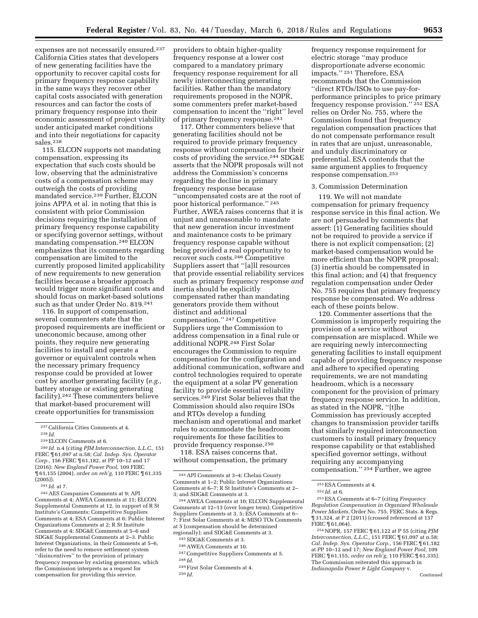providers to obtain higher-quality frequency response at a lower cost compared to a mandatory primary frequency response requirement for all

newly interconnecting generating facilities. Rather than the mandatory requirements proposed in the NOPR, some commenters prefer market-based

of primary frequency response.243 117. Other commenters believe that generating facilities should not be required to provide primary frequency

address the Commission's concerns regarding the decline in primary frequency response because

inertia should be explicitly

distinct and additional

compensated rather than mandating generators provide them without

compensation.'' 247 Competitive Suppliers urge the Commission to address compensation in a final rule or additional NOPR.248 First Solar encourages the Commission to require compensation for the configuration and additional communication, software and control technologies required to operate the equipment at a solar PV generation facility to provide essential reliability services.249 First Solar believes that the Commission should also require ISOs

''uncompensated costs are at the root of poor historical performance.'' 245 Further, AWEA raises concerns that it is unjust and unreasonable to mandate that new generation incur investment and maintenance costs to be primary frequency response capable without being provided a real opportunity to recover such costs.246 Competitive Suppliers assert that ''[a]ll resources that provide essential reliability services such as primary frequency response *and* 

243API Comments at 3–4; Chelan County Comments at 1–2; Public Interest Organizations Comments at 6–7; R St Institute's Comments at 2–

mechanism and operational and market rules to accommodate the headroom requirements for these facilities to provide frequency response.250 118. ESA raises concerns that, without compensation, the primary

and RTOs develop a funding

247Competitive Suppliers Comments at 5.

249First Solar Comments at 4.

244AWEA Comments at 10; ELCON Supplemental Comments at 12–13 (over longer term); Competitive Suppliers Comments at 3, 5; ESA Comments at 6– 7; First Solar Comments at 4; MISO TOs Comments at 5 (compensation should be determined regionally); and SDG&E Comments at 3. 245SDG&E Comments at 3. 246AWEA Comments at 10.

3; and SDG&E Comments at 3.

248 *Id.* 

250 *Id.* 

expenses are not necessarily ensured.237 California Cities states that developers of new generating facilities have the opportunity to recover capital costs for primary frequency response capability in the same ways they recover other capital costs associated with generation resources and can factor the costs of primary frequency response into their economic assessment of project viability under anticipated market conditions and into their negotiations for capacity sales.238

115. ELCON supports not mandating compensation, expressing its expectation that such costs should be low, observing that the administrative costs of a compensation scheme may outweigh the costs of providing mandated service.<sup>239</sup> Further, ELCON joins APPA et al. in noting that this is consistent with prior Commission decisions requiring the installation of primary frequency response capability or specifying governor settings, without mandating compensation.240 ELCON emphasizes that its comments regarding compensation are limited to the currently proposed limited applicability of new requirements to new generation facilities because a broader approach would trigger more significant costs and should focus on market-based solutions such as that under Order No. 819.241

116. In support of compensation, several commenters state that the proposed requirements are inefficient or uneconomic because, among other points, they require new generating facilities to install and operate a governor or equivalent controls when the necessary primary frequency response could be provided at lower cost by another generating facility (*e.g.,*  battery storage or existing generating facility).242 These commenters believe that market-based procurement will create opportunities for transmission

242AES Companies Comments at 9; API Comments at 4; AWEA Comments at 11; ELCON Supplemental Comments at 12, in support of R St Institute's Comments; Competitive Suppliers Comments at 4; ESA Comments at 6; Public Interest Organizations Comments at 2; R St Institute Comments at 4; SDG&E Comments at 5–6 and SDG&E Supplemental Comments at 2–3. Public Interest Organizations, in their Comments at 5–6, refer to the need to remove settlement system ''disincentives'' to the provision of primary frequency response by existing generators, which the Commission interprets as a request for compensation for providing this service.

compensation to incent the ''right'' level response without compensation for their costs of providing the service.244 SDG&E asserts that the NOPR proposals will not frequency response requirement for electric storage ''may produce disproportionate adverse economic impacts.'' 251 Therefore, ESA recommends that the Commission ''direct RTOs/ISOs to use pay-forperformance principles to price primary frequency response provision.'' 252 ESA relies on Order No. 755, where the Commission found that frequency regulation compensation practices that do not compensate performance result in rates that are unjust, unreasonable, and unduly discriminatory or preferential. ESA contends that the same argument applies to frequency response compensation.253

#### 3. Commission Determination

119. We will not mandate compensation for primary frequency response service in this final action. We are not persuaded by comments that assert: (1) Generating facilities should not be required to provide a service if there is not explicit compensation; (2) market-based compensation would be more efficient than the NOPR proposal; (3) inertia should be compensated in this final action; and (4) that frequency regulation compensation under Order No. 755 requires that primary frequency response be compensated. We address each of these points below.

120. Commenter assertions that the Commission is improperly requiring the provision of a service without compensation are misplaced. While we are requiring newly interconnecting generating facilities to install equipment capable of providing frequency response and adhere to specified operating requirements, we are not mandating headroom, which is a necessary component for the provision of primary frequency response service. In addition, as stated in the NOPR, ''[t]he Commission has previously accepted changes to transmission provider tariffs that similarly required interconnection customers to install primary frequency response capability or that established specified governor settings, without requiring any accompanying compensation.'' 254 Further, we agree

253ESA Comments at 6–7 (citing *Frequency Regulation Compensation in Organized Wholesale Power Markets,* Order No. 755, FERC Stats. & Regs. ¶ 31,324, at P 2 (2011) (crossed referenced at 137 FERC ¶ 61,064).

<sup>237</sup>California Cities Comments at 4.

<sup>238</sup> *Id.* 

<sup>239</sup>ELCON Comments at 6.

<sup>240</sup> *Id.* n.4 (citing *PJM Interconnection, L.L.C.,* 151 FERC ¶ 61,097 at n.58; *Cal. Indep. Sys. Operator Corp.,* 156 FERC ¶ 61,182, at PP 10–12 and 17 (2016); *New England Power Pool,* 109 FERC ¶ 61,155 (2004), *order on reh'g,* 110 FERC ¶ 61,335 (2005)).

<sup>241</sup> *Id.* at 7.

<sup>251</sup>ESA Comments at 4.

<sup>252</sup> *Id.* at 6.

<sup>254</sup>NOPR, 157 FERC ¶ 61,122 at P 55 (citing *PJM Interconnection, L.L.C.,* 151 FERC ¶ 61,097 at n.58; *Cal. Indep. Sys. Operator Corp.,* 156 FERC ¶ 61,182 at PP 10–12 and 17; *New England Power Pool,* 109 FERC ¶ 61,155, *order on reh'g,* 110 FERC ¶ 61,335). The Commission reiterated this approach in *Indianapolis Power & Light Company* v.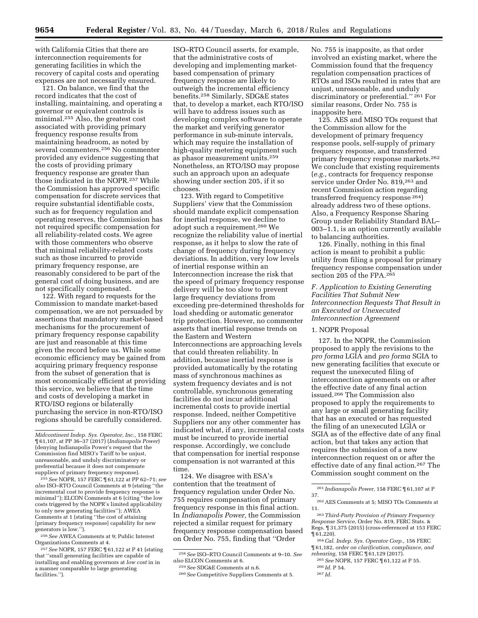with California Cities that there are interconnection requirements for generating facilities in which the recovery of capital costs and operating expenses are not necessarily ensured.

121. On balance, we find that the record indicates that the cost of installing, maintaining, and operating a governor or equivalent controls is minimal.255 Also, the greatest cost associated with providing primary frequency response results from maintaining headroom, as noted by several commenters.256 No commenter provided any evidence suggesting that the costs of providing primary frequency response are greater than those indicated in the NOPR.257 While the Commission has approved specific compensation for discrete services that require substantial identifiable costs, such as for frequency regulation and operating reserves, the Commission has not required specific compensation for all reliability-related costs. We agree with those commenters who observe that minimal reliability-related costs such as those incurred to provide primary frequency response, are reasonably considered to be part of the general cost of doing business, and are not specifically compensated.

122. With regard to requests for the Commission to mandate market-based compensation, we are not persuaded by assertions that mandatory market-based mechanisms for the procurement of primary frequency response capability are just and reasonable at this time given the record before us. While some economic efficiency may be gained from acquiring primary frequency response from the subset of generation that is most economically efficient at providing this service, we believe that the time and costs of developing a market in RTO/ISO regions or bilaterally purchasing the service in non-RTO/ISO regions should be carefully considered.

255*See* NOPR, 157 FERC ¶ 61,122 at PP 62–71; *see also* ISO–RTO Council Comments at 9 (stating ''the incremental cost to provide frequency response is minimal''); ELCON Comments at 6 (citing ''the low costs triggered by the NOPR's limited applicability to only new generating facilities''); AWEA Comments at 1 (stating ''the cost of attaining [primary frequency response] capability for new generators is low.'').

256*See* AWEA Comments at 9; Public Interest Organizations Comments at 4.

257*See* NOPR, 157 FERC ¶ 61,122 at P 41 (stating that ''small generating facilities are capable of installing and enabling governors at *low cost* in in a manner comparable to large generating facilities.'').

ISO–RTO Council asserts, for example, that the administrative costs of developing and implementing marketbased compensation of primary frequency response are likely to outweigh the incremental efficiency benefits.258 Similarly, SDG&E states that, to develop a market, each RTO/ISO will have to address issues such as developing complex software to operate the market and verifying generator performance in sub-minute intervals, which may require the installation of high-quality metering equipment such as phasor measurement units.259 Nonetheless, an RTO/ISO may propose such an approach upon an adequate showing under section 205, if it so chooses.

123. With regard to Competitive Suppliers' view that the Commission should mandate explicit compensation for inertial response, we decline to adopt such a requirement.260 We recognize the reliability value of inertial response, as it helps to slow the rate of change of frequency during frequency deviations. In addition, very low levels of inertial response within an Interconnection increase the risk that the speed of primary frequency response delivery will be too slow to prevent large frequency deviations from exceeding pre-determined thresholds for load shedding or automatic generator trip protection. However, no commenter asserts that inertial response trends on the Eastern and Western Interconnections are approaching levels that could threaten reliability. In addition, because inertial response is provided automatically by the rotating mass of synchronous machines as system frequency deviates and is not controllable, synchronous generating facilities do not incur additional incremental costs to provide inertial response. Indeed, neither Competitive Suppliers nor any other commenter has indicated what, if any, incremental costs must be incurred to provide inertial response. Accordingly, we conclude that compensation for inertial response compensation is not warranted at this time.

124. We disagree with ESA's contention that the treatment of frequency regulation under Order No. 755 requires compensation of primary frequency response in this final action. In *Indianapolis Power,* the Commission rejected a similar request for primary frequency response compensation based on Order No. 755, finding that ''Order

No. 755 is inapposite, as that order involved an existing market, where the Commission found that the frequency regulation compensation practices of RTOs and ISOs resulted in rates that are unjust, unreasonable, and unduly discriminatory or preferential.'' 261 For similar reasons, Order No. 755 is inapposite here.

125. AES and MISO TOs request that the Commission allow for the development of primary frequency response pools, self-supply of primary frequency response, and transferred primary frequency response markets.262 We conclude that existing requirements (*e.g.,* contracts for frequency response service under Order No. 819,263 and recent Commission action regarding transferred frequency response 264) already address two of these options. Also, a Frequency Response Sharing Group under Reliability Standard BAL– 003–1.1, is an option currently available to balancing authorities.

126. Finally, nothing in this final action is meant to prohibit a public utility from filing a proposal for primary frequency response compensation under section 205 of the FPA.265

## *F. Application to Existing Generating Facilities That Submit New Interconnection Requests That Result in an Executed or Unexecuted Interconnection Agreement*

#### 1. NOPR Proposal

127. In the NOPR, the Commission proposed to apply the revisions to the *pro forma* LGIA and *pro forma* SGIA to new generating facilities that execute or request the unexecuted filing of interconnection agreements on or after the effective date of any final action issued.266 The Commission also proposed to apply the requirements to any large or small generating facility that has an executed or has requested the filing of an unexecuted LGIA or SGIA as of the effective date of any final action, but that takes any action that requires the submission of a new interconnection request on or after the effective date of any final action.267 The Commission sought comment on the

264*Cal. Indep. Sys. Operator Corp.,* 156 FERC ¶ 61,182, *order on clarification, compliance, and rehearing,* 158 FERC ¶ 61,129 (2017).

*Midcontinent Indep. Sys. Operator, Inc.,* 158 FERC ¶ 61,107, at PP 36–37 (2017) (*Indianapolis Power*) (denying Indianapolis Power's request that the Commission find MISO's Tariff to be unjust, unreasonable, and unduly discriminatory or preferential because it does not compensate suppliers of primary frequency response).

<sup>258</sup>*See* ISO–RTO Council Comments at 9–10. *See also* ELCON Comments at 6.

<sup>259</sup>*See* SDG&E Comments at n.6.

<sup>260</sup>*See* Competitive Suppliers Comments at 5.

<sup>261</sup> *Indianapolis Power,* 158 FERC ¶ 61,107 at P 37.

<sup>262</sup>AES Comments at 5; MISO TOs Comments at 11.

<sup>263</sup>*Third-Party Provision of Primary Frequency Response Service,* Order No. 819, FERC Stats. & Regs. ¶ 31,375 (2015) (cross-referenced at 153 FERC ¶ 61,220).

<sup>265</sup>*See* NOPR, 157 FERC ¶ 61,122 at P 55. 266 *Id.* P 54.

<sup>267</sup> *Id.*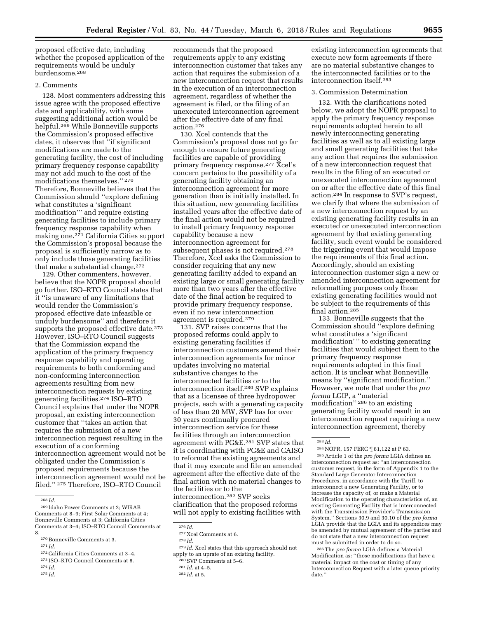proposed effective date, including whether the proposed application of the requirements would be unduly burdensome.268

## 2. Comments

128. Most commenters addressing this issue agree with the proposed effective date and applicability, with some suggesting additional action would be helpful.269 While Bonneville supports the Commission's proposed effective dates, it observes that ''if significant modifications are made to the generating facility, the cost of including primary frequency response capability may not add much to the cost of the modifications themselves.'' 270 Therefore, Bonneville believes that the Commission should ''explore defining what constitutes a 'significant modification''' and require existing generating facilities to include primary frequency response capability when making one.271 California Cities support the Commission's proposal because the proposal is sufficiently narrow as to only include those generating facilities that make a substantial change.272

129. Other commenters, however, believe that the NOPR proposal should go further. ISO–RTO Council states that it ''is unaware of any limitations that would render the Commission's proposed effective date infeasible or unduly burdensome'' and therefore it supports the proposed effective date.<sup>273</sup> However, ISO–RTO Council suggests that the Commission expand the application of the primary frequency response capability and operating requirements to both conforming and non-conforming interconnection agreements resulting from new interconnection requests by existing generating facilities.274 ISO–RTO Council explains that under the NOPR proposal, an existing interconnection customer that ''takes an action that requires the submission of a new interconnection request resulting in the execution of a conforming interconnection agreement would not be obligated under the Commission's proposed requirements because the interconnection agreement would not be filed.'' 275 Therefore, ISO–RTO Council

- 272California Cities Comments at 3–4.
- 273 ISO–RTO Council Comments at 8.
- 274 *Id.*

recommends that the proposed requirements apply to any existing interconnection customer that takes any action that requires the submission of a new interconnection request that results in the execution of an interconnection agreement, regardless of whether the agreement is filed, or the filing of an unexecuted interconnection agreement after the effective date of any final action.276

130. Xcel contends that the Commission's proposal does not go far enough to ensure future generating facilities are capable of providing primary frequency response.277 Xcel's concern pertains to the possibility of a generating facility obtaining an interconnection agreement for more generation than is initially installed. In this situation, new generating facilities installed years after the effective date of the final action would not be required to install primary frequency response capability because a new interconnection agreement for subsequent phases is not required.278 Therefore, Xcel asks the Commission to consider requiring that any new generating facility added to expand an existing large or small generating facility more than two years after the effective date of the final action be required to provide primary frequency response, even if no new interconnection agreement is required.279

131. SVP raises concerns that the proposed reforms could apply to existing generating facilities if interconnection customers amend their interconnection agreements for minor updates involving no material substantive changes to the interconnected facilities or to the interconnection itself.280 SVP explains that as a licensee of three hydropower projects, each with a generating capacity of less than 20 MW, SVP has for over 30 years continually procured interconnection service for these facilities through an interconnection agreement with PG&E.281 SVP states that it is coordinating with PG&E and CAISO to reformat the existing agreements and that it may execute and file an amended agreement after the effective date of the final action with no material changes to the facilities or to the interconnection.282 SVP seeks clarification that the proposed reforms will not apply to existing facilities with

existing interconnection agreements that execute new form agreements if there are no material substantive changes to the interconnected facilities or to the interconnection itself.283

## 3. Commission Determination

132. With the clarifications noted below, we adopt the NOPR proposal to apply the primary frequency response requirements adopted herein to all newly interconnecting generating facilities as well as to all existing large and small generating facilities that take any action that requires the submission of a new interconnection request that results in the filing of an executed or unexecuted interconnection agreement on or after the effective date of this final action.284 In response to SVP's request, we clarify that where the submission of a new interconnection request by an existing generating facility results in an executed or unexecuted interconnection agreement by that existing generating facility, such event would be considered the triggering event that would impose the requirements of this final action. Accordingly, should an existing interconnection customer sign a new or amended interconnection agreement for reformatting purposes only those existing generating facilities would not be subject to the requirements of this final action.285

133. Bonneville suggests that the Commission should ''explore defining what constitutes a 'significant modification' '' to existing generating facilities that would subject them to the primary frequency response requirements adopted in this final action. It is unclear what Bonneville means by ''significant modification.'' However, we note that under the *pro forma* LGIP, a ''material modification'' 286 to an existing generating facility would result in an interconnection request requiring a new interconnection agreement, thereby

284NOPR, 157 FERC ¶ 61,122 at P 63. 285Article 1 of the *pro forma* LGIA defines an interconnection request as: ''an interconnection customer request, in the form of Appendix 1 to the Standard Large Generator Interconnection Procedures, in accordance with the Tariff, to interconnect a new Generating Facility, or to increase the capacity of, or make a Material Modification to the operating characteristics of, an existing Generating Facility that is interconnected with the Transmission Provider's Transmission System.'' Sections 30.9 and 30.10 of the *pro forma*  LGIA provide that the LGIA and its appendices may be amended by mutual agreement of the parties and do not state that a new interconnection request must be submitted in order to do so.

286The *pro forma* LGIA defines a Material Modification as: ''those modifications that have a material impact on the cost or timing of any Interconnection Request with a later queue priority date.''

<sup>268</sup> *Id.* 

<sup>269</sup> Idaho Power Comments at 2; WIRAB Comments at 8–9; First Solar Comments at 4; Bonneville Comments at 3; California Cities Comments at 3–4; ISO–RTO Council Comments at 8.

<sup>270</sup>Bonneville Comments at 3.

<sup>271</sup> *Id.* 

<sup>275</sup> *Id.* 

<sup>276</sup> *Id.* 

 $\substack{277\\278}$  Xcel Comments at 6.  $\substack{278\\1d.}$ 

<sup>279</sup> *Id.* Xcel states that this approach should not apply to an uprate of an existing facility.<br><sup>280</sup> SVP Comments at 5–6.<br><sup>281</sup> *Id.* at 4–5.<br><sup>282</sup> *Id.* at 5.

<sup>283</sup> *Id.*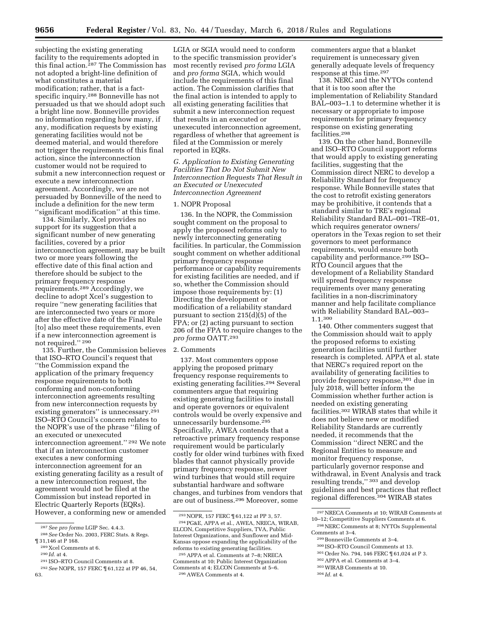subjecting the existing generating facility to the requirements adopted in this final action.287 The Commission has not adopted a bright-line definition of what constitutes a material modification; rather, that is a factspecific inquiry.288 Bonneville has not persuaded us that we should adopt such a bright line now. Bonneville provides no information regarding how many, if any, modification requests by existing generating facilities would not be deemed material, and would therefore not trigger the requirements of this final action, since the interconnection customer would not be required to submit a new interconnection request or execute a new interconnection agreement. Accordingly, we are not persuaded by Bonneville of the need to include a definition for the new term ''significant modification'' at this time.

134. Similarly, Xcel provides no support for its suggestion that a significant number of new generating facilities, covered by a prior interconnection agreement, may be built two or more years following the effective date of this final action and therefore should be subject to the primary frequency response requirements.289 Accordingly, we decline to adopt Xcel's suggestion to require ''new generating facilities that are interconnected two years or more after the effective date of the Final Rule [to] also meet these requirements, even if a new interconnection agreement is not required.'' 290

135. Further, the Commission believes that ISO–RTO Council's request that ''the Commission expand the application of the primary frequency response requirements to both conforming and non-conforming interconnection agreements resulting from new interconnection requests by existing generators'' is unnecessary.291 ISO–RTO Council's concern relates to the NOPR's use of the phrase ''filing of an executed or unexecuted interconnection agreement.'' 292 We note that if an interconnection customer executes a new conforming interconnection agreement for an existing generating facility as a result of a new interconnection request, the agreement would not be filed at the Commission but instead reported in Electric Quarterly Reports (EQRs). However, a conforming new or amended

 $^{289}\rm{X}$  Cel Comments at 6.  $^{290}\rm{Id.}$  at 4.

291 ISO–RTO Council Comments at 8.

LGIA or SGIA would need to conform to the specific transmission provider's most recently revised *pro forma* LGIA and *pro forma* SGIA, which would include the requirements of this final action. The Commission clarifies that the final action is intended to apply to all existing generating facilities that submit a new interconnection request that results in an executed or unexecuted interconnection agreement, regardless of whether that agreement is filed at the Commission or merely reported in EQRs.

*G. Application to Existing Generating Facilities That Do Not Submit New Interconnection Requests That Result in an Executed or Unexecuted Interconnection Agreement* 

# 1. NOPR Proposal

136. In the NOPR, the Commission sought comment on the proposal to apply the proposed reforms only to newly interconnecting generating facilities. In particular, the Commission sought comment on whether additional primary frequency response performance or capability requirements for existing facilities are needed, and if so, whether the Commission should impose those requirements by: (1) Directing the development or modification of a reliability standard pursuant to section 215(d)(5) of the FPA; or (2) acting pursuant to section 206 of the FPA to require changes to the *pro forma* OATT.293

#### 2. Comments

137. Most commenters oppose applying the proposed primary frequency response requirements to existing generating facilities.<sup>294</sup> Several commenters argue that requiring existing generating facilities to install and operate governors or equivalent controls would be overly expensive and unnecessarily burdensome.295 Specifically, AWEA contends that a retroactive primary frequency response requirement would be particularly costly for older wind turbines with fixed blades that cannot physically provide primary frequency response, newer wind turbines that would still require substantial hardware and software changes, and turbines from vendors that are out of business.296 Moreover, some

commenters argue that a blanket requirement is unnecessary given generally adequate levels of frequency response at this time.297

138. NERC and the NYTOs contend that it is too soon after the implementation of Reliability Standard BAL–003–1.1 to determine whether it is necessary or appropriate to impose requirements for primary frequency response on existing generating facilities.298

139. On the other hand, Bonneville and ISO–RTO Council support reforms that would apply to existing generating facilities, suggesting that the Commission direct NERC to develop a Reliability Standard for frequency response. While Bonneville states that the cost to retrofit existing generators may be prohibitive, it contends that a standard similar to TRE's regional Reliability Standard BAL–001–TRE–01, which requires generator owners/ operators in the Texas region to set their governors to meet performance requirements, would ensure both capability and performance.299 ISO– RTO Council argues that the development of a Reliability Standard will spread frequency response requirements over many generating facilities in a non-discriminatory manner and help facilitate compliance with Reliability Standard BAL–003– 1.1.300

140. Other commenters suggest that the Commission should wait to apply the proposed reforms to existing generation facilities until further research is completed. APPA et al. state that NERC's required report on the availability of generating facilities to provide frequency response,301 due in July 2018, will better inform the Commission whether further action is needed on existing generating facilities.302 WIRAB states that while it does not believe new or modified Reliability Standards are currently needed, it recommends that the Commission ''direct NERC and the Regional Entities to measure and monitor frequency response, particularly governor response and withdrawal, in Event Analysis and track resulting trends,'' 303 and develop guidelines and best practices that reflect regional differences.304 WIRAB states

- 300 ISO–RTO Council Comments at 13.
- 301Order No. 794, 146 FERC ¶ 61,024 at P 3.
- 302APPA et al. Comments at 3–4. 303WIRAB Comments at 10.
- 304 *Id.* at 4.

<sup>287</sup>*See pro forma* LGIP Sec. 4.4.3. 288*See* Order No. 2003, FERC Stats. & Regs.

<sup>292</sup>*See* NOPR, 157 FERC ¶ 61,122 at PP 46, 54, 63.

<sup>293</sup>NOPR, 157 FERC ¶ 61,122 at PP 3, 57. 294PG&E, APPA et al., AWEA, NRECA, WIRAB, ELCON, Competitive Suppliers, TVA, Public Interest Organizations, and Sunflower and Mid-Kansas oppose expanding the applicability of the reforms to existing generating facilities.

<sup>295</sup>APPA et al. Comments at 7–8; NRECA Comments at 10; Public Interest Organization Comments at 4; ELCON Comments at 5–6. 296AWEA Comments at 4.

<sup>297</sup>NRECA Comments at 10; WIRAB Comments at 10–12; Competitive Suppliers Comments at 6.

<sup>298</sup>NERC Comments at 8; NYTOs Supplemental Comments at 3–4.

<sup>299</sup>Bonneville Comments at 3–4.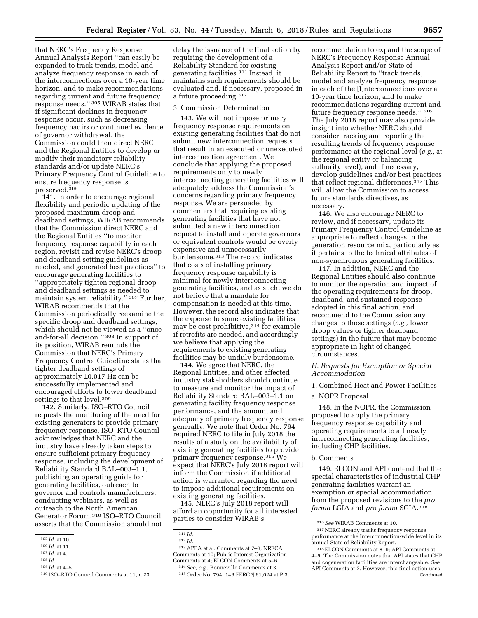that NERC's Frequency Response Annual Analysis Report ''can easily be expanded to track trends, model and analyze frequency response in each of the interconnections over a 10-year time horizon, and to make recommendations regarding current and future frequency response needs.'' 305 WIRAB states that if significant declines in frequency response occur, such as decreasing frequency nadirs or continued evidence of governor withdrawal, the Commission could then direct NERC and the Regional Entities to develop or modify their mandatory reliability standards and/or update NERC's Primary Frequency Control Guideline to ensure frequency response is preserved.306

141. In order to encourage regional flexibility and periodic updating of the proposed maximum droop and deadband settings, WIRAB recommends that the Commission direct NERC and the Regional Entities ''to monitor frequency response capability in each region, revisit and revise NERC's droop and deadband setting guidelines as needed, and generated best practices'' to encourage generating facilities to ''appropriately tighten regional droop and deadband settings as needed to maintain system reliability.'' 307 Further, WIRAB recommends that the Commission periodically reexamine the specific droop and deadband settings, which should not be viewed as a ''onceand-for-all decision.'' 308 In support of its position, WIRAB reminds the Commission that NERC's Primary Frequency Control Guideline states that tighter deadband settings of approximately ±0.017 Hz can be successfully implemented and encouraged efforts to lower deadband settings to that level.<sup>309</sup>

142. Similarly, ISO–RTO Council requests the monitoring of the need for existing generators to provide primary frequency response. ISO–RTO Council acknowledges that NERC and the industry have already taken steps to ensure sufficient primary frequency response, including the development of Reliability Standard BAL–003–1.1, publishing an operating guide for generating facilities, outreach to governor and controls manufacturers, conducting webinars, as well as outreach to the North American Generator Forum.310 ISO–RTO Council asserts that the Commission should not

- 307 *Id.* at 4.
- 308 *Id.*

delay the issuance of the final action by requiring the development of a Reliability Standard for existing generating facilities.311 Instead, it maintains such requirements should be evaluated and, if necessary, proposed in a future proceeding.312

#### 3. Commission Determination

143. We will not impose primary frequency response requirements on existing generating facilities that do not submit new interconnection requests that result in an executed or unexecuted interconnection agreement. We conclude that applying the proposed requirements only to newly interconnecting generating facilities will adequately address the Commission's concerns regarding primary frequency response. We are persuaded by commenters that requiring existing generating facilities that have not submitted a new interconnection request to install and operate governors or equivalent controls would be overly expensive and unnecessarily burdensome.313 The record indicates that costs of installing primary frequency response capability is minimal for newly interconnecting generating facilities, and as such, we do not believe that a mandate for compensation is needed at this time. However, the record also indicates that the expense to some existing facilities may be cost prohibitive, 314 for example if retrofits are needed, and accordingly we believe that applying the requirements to existing generating facilities may be unduly burdensome.

144. We agree that NERC, the Regional Entities, and other affected industry stakeholders should continue to measure and monitor the impact of Reliability Standard BAL–003–1.1 on generating facility frequency response performance, and the amount and adequacy of primary frequency response generally. We note that Order No. 794 required NERC to file in July 2018 the results of a study on the availability of existing generating facilities to provide primary frequency response.315 We expect that NERC's July 2018 report will inform the Commission if additional action is warranted regarding the need to impose additional requirements on existing generating facilities.

145. NERC's July 2018 report will afford an opportunity for all interested parties to consider WIRAB's

313APPA et al. Comments at 7–8; NRECA Comments at 10; Public Interest Organization Comments at 4; ELCON Comments at 5–6. 314*See, e.g.,* Bonneville Comments at 3.

315Order No. 794, 146 FERC ¶ 61,024 at P 3.

recommendation to expand the scope of NERC's Frequency Response Annual Analysis Report and/or State of Reliability Report to ''track trends, model and analyze frequency response in each of the [I]nterconnections over a 10-year time horizon, and to make recommendations regarding current and future frequency response needs.'' 316 The July 2018 report may also provide insight into whether NERC should consider tracking and reporting the resulting trends of frequency response performance at the regional level (*e.g.,* at the regional entity or balancing authority level), and if necessary, develop guidelines and/or best practices that reflect regional differences.317 This will allow the Commission to access future standards directives, as necessary.

146. We also encourage NERC to review, and if necessary, update its Primary Frequency Control Guideline as appropriate to reflect changes in the generation resource mix, particularly as it pertains to the technical attributes of non-synchronous generating facilities.

147. In addition, NERC and the Regional Entities should also continue to monitor the operation and impact of the operating requirements for droop, deadband, and sustained response adopted in this final action, and recommend to the Commission any changes to those settings (*e.g.,* lower droop values or tighter deadband settings) in the future that may become appropriate in light of changed circumstances.

*H. Requests for Exemption or Special Accommodation* 

1. Combined Heat and Power Facilities

a. NOPR Proposal

148. In the NOPR, the Commission proposed to apply the primary frequency response capability and operating requirements to all newly interconnecting generating facilities, including CHP facilities.

## b. Comments

149. ELCON and API contend that the special characteristics of industrial CHP generating facilities warrant an exemption or special accommodation from the proposed revisions to the *pro forma* LGIA and *pro forma* SGIA.318

<sup>305</sup> *Id.* at 10.

<sup>306</sup> *Id.* at 11.

<sup>309</sup> *Id.* at 4–5.

<sup>310</sup> ISO–RTO Council Comments at 11, n.23.

<sup>311</sup> *Id.* 

<sup>312</sup> *Id.* 

<sup>316</sup>*See* WIRAB Comments at 10.

<sup>317</sup>NERC already tracks frequency response performance at the Interconnection-wide level in its annual State of Reliability Report.

<sup>318</sup>ELCON Comments at 8–9; API Comments at 4–5. The Commission notes that API states that CHP and cogeneration facilities are interchangeable. *See*  API Comments at 2. However, this final action uses Continued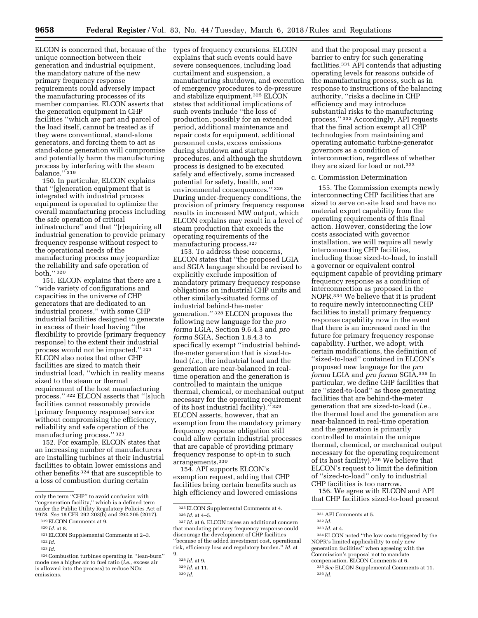ELCON is concerned that, because of the types of frequency excursions. ELCON unique connection between their generation and industrial equipment, the mandatory nature of the new primary frequency response requirements could adversely impact the manufacturing processes of its member companies. ELCON asserts that the generation equipment in CHP facilities ''which are part and parcel of the load itself, cannot be treated as if they were conventional, stand-alone generators, and forcing them to act as stand-alone generation will compromise and potentially harm the manufacturing process by interfering with the steam balance."<sup>319</sup>

150. In particular, ELCON explains that ''[g]eneration equipment that is integrated with industrial process equipment is operated to optimize the overall manufacturing process including the safe operation of critical infrastructure'' and that ''[r]equiring all industrial generation to provide primary frequency response without respect to the operational needs of the manufacturing process may jeopardize the reliability and safe operation of both.'' 320

151. ELCON explains that there are a ''wide variety of configurations and capacities in the universe of CHP generators that are dedicated to an industrial process,'' with some CHP industrial facilities designed to generate in excess of their load having ''the flexibility to provide [primary frequency response] to the extent their industrial process would not be impacted.'' 321 ELCON also notes that other CHP facilities are sized to match their industrial load, ''which in reality means sized to the steam or thermal requirement of the host manufacturing process.'' 322 ELCON asserts that ''[s]uch facilities cannot reasonably provide [primary frequency response] service without compromising the efficiency, reliability and safe operation of the manufacturing process.'' 323

152. For example, ELCON states that an increasing number of manufacturers are installing turbines at their industrial facilities to obtain lower emissions and other benefits 324 that are susceptible to a loss of combustion during certain

explains that such events could have severe consequences, including load curtailment and suspension, a manufacturing shutdown, and execution of emergency procedures to de-pressure and stabilize equipment.325 ELCON states that additional implications of such events include ''the loss of production, possibly for an extended period, additional maintenance and repair costs for equipment, additional personnel costs, excess emissions during shutdown and startup procedures, and although the shutdown process is designed to be executed safely and effectively, some increased potential for safety, health, and environmental consequences.'' 326 During under-frequency conditions, the provision of primary frequency response results in increased MW output, which ELCON explains may result in a level of steam production that exceeds the operating requirements of the manufacturing process.327

153. To address these concerns, ELCON states that ''the proposed LGIA and SGIA language should be revised to explicitly exclude imposition of mandatory primary frequency response obligations on industrial CHP units and other similarly-situated forms of industrial behind-the-meter generation.'' 328 ELCON proposes the following new language for the *pro forma* LGIA, Section 9.6.4.3 and *pro forma* SGIA, Section 1.8.4.3 to specifically exempt ''industrial behindthe-meter generation that is sized-toload (*i.e.,* the industrial load and the generation are near-balanced in realtime operation and the generation is controlled to maintain the unique thermal, chemical, or mechanical output necessary for the operating requirement of its host industrial facility).'' 329 ELCON asserts, however, that an exemption from the mandatory primary frequency response obligation still could allow certain industrial processes that are capable of providing primary frequency response to opt-in to such arrangements.330

154. API supports ELCON's exemption request, adding that CHP facilities bring certain benefits such as high efficiency and lowered emissions

325ELCON Supplemental Comments at 4.

and that the proposal may present a barrier to entry for such generating facilities.331 API contends that adjusting operating levels for reasons outside of the manufacturing process, such as in response to instructions of the balancing authority, ''risks a decline in CHP efficiency and may introduce substantial risks to the manufacturing process.'' 332 Accordingly, API requests that the final action exempt all CHP technologies from maintaining and operating automatic turbine-generator governors as a condition of interconnection, regardless of whether they are sized for load or not.<sup>333</sup>

#### c. Commission Determination

155. The Commission exempts newly interconnecting CHP facilities that are sized to serve on-site load and have no material export capability from the operating requirements of this final action. However, considering the low costs associated with governor installation, we will require all newly interconnecting CHP facilities, including those sized-to-load, to install a governor or equivalent control equipment capable of providing primary frequency response as a condition of interconnection as proposed in the NOPR.334 We believe that it is prudent to require newly interconnecting CHP facilities to install primary frequency response capability now in the event that there is an increased need in the future for primary frequency response capability. Further, we adopt, with certain modifications, the definition of ''sized-to-load'' contained in ELCON's proposed new language for the *pro forma* LGIA and *pro forma* SGIA.335 In particular, we define CHP facilities that are ''sized-to-load'' as those generating facilities that are behind-the-meter generation that are sized-to-load (*i.e.,*  the thermal load and the generation are near-balanced in real-time operation and the generation is primarily controlled to maintain the unique thermal, chemical, or mechanical output necessary for the operating requirement of its host facility).336 We believe that ELCON's request to limit the definition of ''sized-to-load'' only to industrial CHP facilities is too narrow.

156. We agree with ELCON and API that CHP facilities sized-to-load present

only the term ''CHP'' to avoid confusion with ''cogeneration facility,'' which is a defined term under the Public Utility Regulatory Policies Act of<br>1978. See 18 CFR 292.203(b) and 292.205 (2017).

<sup>&</sup>lt;sup>319</sup> ELCON Comments at 9.<br><sup>320</sup>*Id.* at 8.<br><sup>321</sup> ELCON Supplemental Comments at 2–3. 322 *Id.* 

<sup>323</sup> *Id.* 

<sup>324</sup>Combustion turbines operating in ''lean-burn'' mode use a higher air to fuel ratio (*i.e.,* excess air is allowed into the process) to reduce NOx emissions.

<sup>326</sup> *Id.* at 4–5.

<sup>327</sup> *Id.* at 6. ELCON raises an additional concern that mandating primary frequency response could discourage the development of CHP facilities ''because of the added investment cost, operational risk, efficiency loss and regulatory burden.'' *Id.* at 9.

<sup>328</sup> *Id.* at 9.

<sup>329</sup> *Id.* at 11.

<sup>330</sup> *Id.* 

<sup>331</sup>API Comments at 5.

<sup>332</sup> *Id.* 

<sup>333</sup> *Id.* at 4.

<sup>334</sup>ELCON noted ''the low costs triggered by the NOPR's limited applicability to only new generation facilities'' when agreeing with the Commission's proposal not to mandate compensation. ELCON Comments at 6.

<sup>335</sup>*See* ELCON Supplemental Comments at 11. 336 *Id.*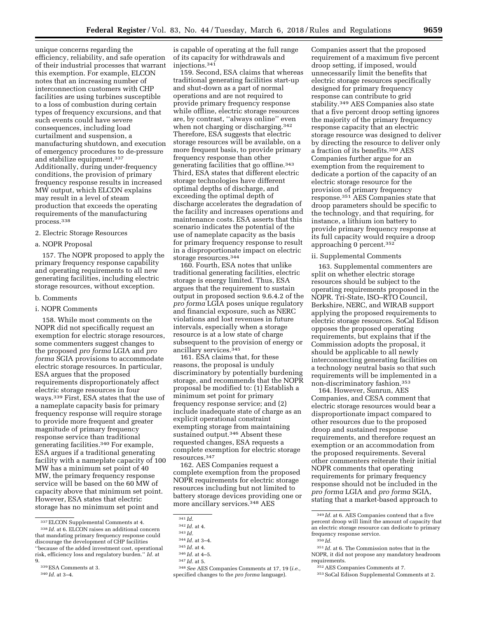unique concerns regarding the efficiency, reliability, and safe operation of their industrial processes that warrant this exemption. For example, ELCON notes that an increasing number of interconnection customers with CHP facilities are using turbines susceptible to a loss of combustion during certain types of frequency excursions, and that such events could have severe consequences, including load curtailment and suspension, a manufacturing shutdown, and execution of emergency procedures to de-pressure and stabilize equipment.337 Additionally, during under-frequency conditions, the provision of primary frequency response results in increased MW output, which ELCON explains may result in a level of steam production that exceeds the operating requirements of the manufacturing process.338

# 2. Electric Storage Resources

#### a. NOPR Proposal

157. The NOPR proposed to apply the primary frequency response capability and operating requirements to all new generating facilities, including electric storage resources, without exception.

#### b. Comments

## i. NOPR Comments

158. While most comments on the NOPR did not specifically request an exemption for electric storage resources, some commenters suggest changes to the proposed *pro forma* LGIA and *pro forma* SGIA provisions to accommodate electric storage resources. In particular, ESA argues that the proposed requirements disproportionately affect electric storage resources in four ways.339 First, ESA states that the use of a nameplate capacity basis for primary frequency response will require storage to provide more frequent and greater magnitude of primary frequency response service than traditional generating facilities.340 For example, ESA argues if a traditional generating facility with a nameplate capacity of 100 MW has a minimum set point of 40 MW, the primary frequency response service will be based on the 60 MW of capacity above that minimum set point. However, ESA states that electric storage has no minimum set point and

is capable of operating at the full range of its capacity for withdrawals and injections.341

159. Second, ESA claims that whereas traditional generating facilities start-up and shut-down as a part of normal operations and are not required to provide primary frequency response while offline, electric storage resources are, by contrast, ''always online'' even when not charging or discharging.<sup>342</sup> Therefore, ESA suggests that electric storage resources will be available, on a more frequent basis, to provide primary frequency response than other generating facilities that go offline.343 Third, ESA states that different electric storage technologies have different optimal depths of discharge, and exceeding the optimal depth of discharge accelerates the degradation of the facility and increases operations and maintenance costs. ESA asserts that this scenario indicates the potential of the use of nameplate capacity as the basis for primary frequency response to result in a disproportionate impact on electric storage resources.344

160. Fourth, ESA notes that unlike traditional generating facilities, electric storage is energy limited. Thus, ESA argues that the requirement to sustain output in proposed section 9.6.4.2 of the *pro forma* LGIA poses unique regulatory and financial exposure, such as NERC violations and lost revenues in future intervals, especially when a storage resource is at a low state of charge subsequent to the provision of energy or ancillary services.<sup>345</sup>

161. ESA claims that, for these reasons, the proposal is unduly discriminatory by potentially burdening storage, and recommends that the NOPR proposal be modified to: (1) Establish a minimum set point for primary frequency response service; and (2) include inadequate state of charge as an explicit operational constraint exempting storage from maintaining sustained output.346 Absent these requested changes, ESA requests a complete exemption for electric storage resources.347

162. AES Companies request a complete exemption from the proposed NOPR requirements for electric storage resources including but not limited to battery storage devices providing one or more ancillary services.<sup>348</sup> AES

348*See* AES Companies Comments at 17, 19 (*i.e.,*  specified changes to the *pro forma* language).

Companies assert that the proposed requirement of a maximum five percent droop setting, if imposed, would unnecessarily limit the benefits that electric storage resources specifically designed for primary frequency response can contribute to grid stability.349 AES Companies also state that a five percent droop setting ignores the majority of the primary frequency response capacity that an electric storage resource was designed to deliver by directing the resource to deliver only a fraction of its benefits.350 AES Companies further argue for an exemption from the requirement to dedicate a portion of the capacity of an electric storage resource for the provision of primary frequency response.351 AES Companies state that droop parameters should be specific to the technology, and that requiring, for instance, a lithium ion battery to provide primary frequency response at its full capacity would require a droop approaching 0 percent.352

## ii. Supplemental Comments

163. Supplemental commenters are split on whether electric storage resources should be subject to the operating requirements proposed in the NOPR. Tri-State, ISO–RTO Council, Berkshire, NERC, and WIRAB support applying the proposed requirements to electric storage resources. SoCal Edison opposes the proposed operating requirements, but explains that if the Commission adopts the proposal, it should be applicable to all newly interconnecting generating facilities on a technology neutral basis so that such requirements will be implemented in a non-discriminatory fashion.353

164. However, Sunrun, AES Companies, and CESA comment that electric storage resources would bear a disproportionate impact compared to other resources due to the proposed droop and sustained response requirements, and therefore request an exemption or an accommodation from the proposed requirements. Several other commenters reiterate their initial NOPR comments that operating requirements for primary frequency response should not be included in the *pro forma* LGIA and *pro forma* SGIA, stating that a market-based approach to

<sup>337</sup>ELCON Supplemental Comments at 4. 338 *Id.* at 6. ELCON raises an additional concern that mandating primary frequency response could discourage the development of CHP facilities ''because of the added investment cost, operational risk, efficiency loss and regulatory burden.'' *Id.* at 9.

<sup>339</sup>ESA Comments at 3.

<sup>340</sup> *Id.* at 3–4.

<sup>341</sup> *Id.* 

<sup>342</sup> *Id.* at 4.

<sup>343</sup> *Id.* 

<sup>344</sup> *Id.* at 3–4.

<sup>345</sup> *Id.* at 4.

<sup>346</sup> *Id.* at 4–5.

<sup>347</sup> *Id.* at 5.

<sup>349</sup> *Id.* at 6. AES Companies contend that a five percent droop will limit the amount of capacity that an electric storage resource can dedicate to primary frequency response service. 350 *Id.* 

<sup>351</sup> *Id.* at 6. The Commission notes that in the NOPR, it did not propose any mandatory headroom requirements.

<sup>352</sup>AES Companies Comments at 7.

<sup>353</sup>SoCal Edison Supplemental Comments at 2.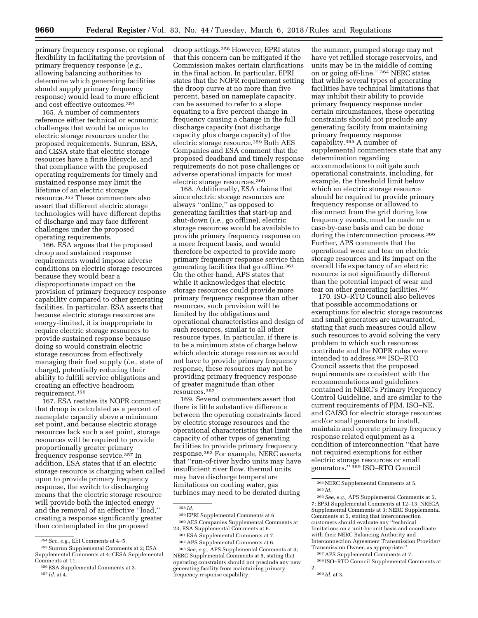primary frequency response, or regional flexibility in facilitating the provision of primary frequency response (*e.g.,*  allowing balancing authorities to determine which generating facilities should supply primary frequency response) would lead to more efficient and cost effective outcomes.354

165. A number of commenters reference either technical or economic challenges that would be unique to electric storage resources under the proposed requirements. Sunrun, ESA, and CESA state that electric storage resources have a finite lifecycle, and that compliance with the proposed operating requirements for timely and sustained response may limit the lifetime of an electric storage resource.355 These commenters also assert that different electric storage technologies will have different depths of discharge and may face different challenges under the proposed operating requirements.

166. ESA argues that the proposed droop and sustained response requirements would impose adverse conditions on electric storage resources because they would bear a disproportionate impact on the provision of primary frequency response capability compared to other generating facilities. In particular, ESA asserts that because electric storage resources are energy-limited, it is inappropriate to require electric storage resources to provide sustained response because doing so would constrain electric storage resources from effectively managing their fuel supply (*i.e.,* state of charge), potentially reducing their ability to fulfill service obligations and creating an effective headroom requirement.356

167. ESA restates its NOPR comment that droop is calculated as a percent of nameplate capacity above a minimum set point, and because electric storage resources lack such a set point, storage resources will be required to provide proportionally greater primary frequency response service.357 In addition, ESA states that if an electric storage resource is charging when called upon to provide primary frequency response, the switch to discharging means that the electric storage resource will provide both the injected energy and the removal of an effective ''load,'' creating a response significantly greater than contemplated in the proposed

droop settings.358 However, EPRI states that this concern can be mitigated if the Commission makes certain clarifications in the final action. In particular, EPRI states that the NOPR requirement setting the droop curve at no more than five percent, based on nameplate capacity, can be assumed to refer to a slope equating to a five percent change in frequency causing a change in the full discharge capacity (not discharge capacity plus charge capacity) of the electric storage resource.359 Both AES Companies and ESA comment that the proposed deadband and timely response requirements do not pose challenges or adverse operational impacts for most electric storage resources.360

168. Additionally, ESA claims that since electric storage resources are always ''online,'' as opposed to generating facilities that start-up and shut-down (*i.e.,* go offline), electric storage resources would be available to provide primary frequency response on a more frequent basis, and would therefore be expected to provide more primary frequency response service than generating facilities that go offline.361 On the other hand, APS states that while it acknowledges that electric storage resources could provide more primary frequency response than other resources, such provision will be limited by the obligations and operational characteristics and design of such resources, similar to all other resource types. In particular, if there is to be a minimum state of charge below which electric storage resources would not have to provide primary frequency response, these resources may not be providing primary frequency response of greater magnitude than other resources.362

169. Several commenters assert that there is little substantive difference between the operating constraints faced by electric storage resources and the operational characteristics that limit the capacity of other types of generating facilities to provide primary frequency response.363 For example, NERC asserts that ''run-of-river hydro units may have insufficient river flow, thermal units may have discharge temperature limitations on cooling water, gas turbines may need to be derated during

358 *Id.* 

360AES Companies Supplemental Comments at 23; ESA Supplemental Comments at 6.

363*See, e.g.,* APS Supplemental Comments at 4; NERC Supplemental Comments at 5, stating that operating constraints should not preclude any new generating facility from maintaining primary frequency response capability.

the summer, pumped storage may not have yet refilled storage reservoirs, and units may be in the middle of coming on or going off-line.'' 364 NERC states that while several types of generating facilities have technical limitations that may inhibit their ability to provide primary frequency response under certain circumstances, these operating constraints should not preclude any generating facility from maintaining primary frequency response capability.365 A number of supplemental commenters state that any determination regarding accommodations to mitigate such operational constraints, including, for example, the threshold limit below which an electric storage resource should be required to provide primary frequency response or allowed to disconnect from the grid during low frequency events, must be made on a case-by-case basis and can be done during the interconnection process.<sup>366</sup> Further, APS comments that the operational wear and tear on electric storage resources and its impact on the overall life expectancy of an electric resource is not significantly different than the potential impact of wear and tear on other generating facilities.367

170. ISO–RTO Council also believes that possible accommodations or exemptions for electric storage resources and small generators are unwarranted, stating that such measures could allow such resources to avoid solving the very problem to which such resources contribute and the NOPR rules were intended to address.368 ISO–RTO Council asserts that the proposed requirements are consistent with the recommendations and guidelines contained in NERC's Primary Frequency Control Guideline, and are similar to the current requirements of PJM, ISO–NE, and CAISO for electric storage resources and/or small generators to install, maintain and operate primary frequency response related equipment as a condition of interconnection ''that have not required exemptions for either electric storage resources or small generators.'' 369 ISO–RTO Council

367APS Supplemental Comments at 7.

368 ISO–RTO Council Supplemental Comments at 2. 369 *Id.* at 3.

<sup>354</sup>*See, e.g.,* EEI Comments at 4–5.

<sup>355</sup>Sunrun Supplemental Comments at 2; ESA Supplemental Comments at 4; CESA Supplemental Comments at 11.

<sup>356</sup>ESA Supplemental Comments at 3. 357 *Id.* at 4.

<sup>359</sup>EPRI Supplemental Comments at 6.

<sup>361</sup>ESA Supplemental Comments at 7.

<sup>362</sup>APS Supplemental Comments at 6.

<sup>364</sup>NERC Supplemental Comments at 5. 365 *Id.* 

<sup>366</sup>*See, e.g.,* APS Supplemental Comments at 5, 7; EPRI Supplemental Comments at 12–13; NRECA Supplemental Comments at 3; NERC Supplemental Comments at 5, stating that interconnection customers should evaluate any ''technical limitations on a unit-by-unit basis and coordinate with their NERC Balancing Authority and Interconnection Agreement Transmission Provider/ Transmission Owner, as appropriate.''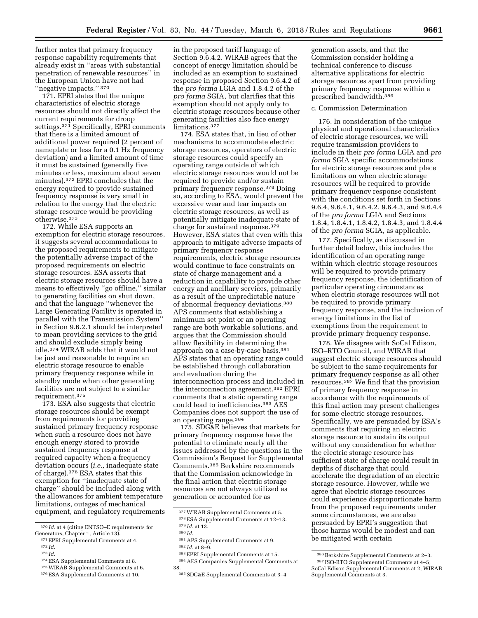further notes that primary frequency response capability requirements that already exist in ''areas with substantial penetration of renewable resources'' in the European Union have not had ''negative impacts.'' 370

171. EPRI states that the unique characteristics of electric storage resources should not directly affect the current requirements for droop settings.<sup>371</sup> Specifically, EPRI comments that there is a limited amount of additional power required (2 percent of nameplate or less for a 0.1 Hz frequency deviation) and a limited amount of time it must be sustained (generally five minutes or less, maximum about seven minutes).372 EPRI concludes that the energy required to provide sustained frequency response is very small in relation to the energy that the electric storage resource would be providing otherwise.373

172. While ESA supports an exemption for electric storage resources, it suggests several accommodations to the proposed requirements to mitigate the potentially adverse impact of the proposed requirements on electric storage resources. ESA asserts that electric storage resources should have a means to effectively ''go offline,'' similar to generating facilities on shut down, and that the language ''whenever the Large Generating Facility is operated in parallel with the Transmission System'' in Section 9.6.2.1 should be interpreted to mean providing services to the grid and should exclude simply being idle.374 WIRAB adds that it would not be just and reasonable to require an electric storage resource to enable primary frequency response while in standby mode when other generating facilities are not subject to a similar requirement.375

173. ESA also suggests that electric storage resources should be exempt from requirements for providing sustained primary frequency response when such a resource does not have enough energy stored to provide sustained frequency response at required capacity when a frequency deviation occurs (*i.e.,* inadequate state of charge).376 ESA states that this exemption for ''inadequate state of charge'' should be included along with the allowances for ambient temperature limitations, outages of mechanical equipment, and regulatory requirements

- 
- <sup>373</sup> Id.<br><sup>374</sup> ESA Supplemental Comments at 8.

in the proposed tariff language of Section 9.6.4.2. WIRAB agrees that the concept of energy limitation should be included as an exemption to sustained response in proposed Section 9.6.4.2 of the *pro forma* LGIA and 1.8.4.2 of the *pro forma* SGIA, but clarifies that this exemption should not apply only to electric storage resources because other generating facilities also face energy limitations.377

174. ESA states that, in lieu of other mechanisms to accommodate electric storage resources, operators of electric storage resources could specify an operating range outside of which electric storage resources would not be required to provide and/or sustain primary frequency response.378 Doing so, according to ESA, would prevent the excessive wear and tear impacts on electric storage resources, as well as potentially mitigate inadequate state of charge for sustained response.379 However, ESA states that even with this approach to mitigate adverse impacts of primary frequency response requirements, electric storage resources would continue to face constraints on state of charge management and a reduction in capability to provide other energy and ancillary services, primarily as a result of the unpredictable nature of abnormal frequency deviations.380 APS comments that establishing a minimum set point or an operating range are both workable solutions, and argues that the Commission should allow flexibility in determining the approach on a case-by-case basis.381 APS states that an operating range could be established through collaboration and evaluation during the interconnection process and included in the interconnection agreement.382 EPRI comments that a static operating range could lead to inefficiencies.383 AES Companies does not support the use of an operating range.384

175. SDG&E believes that markets for primary frequency response have the potential to eliminate nearly all the issues addressed by the questions in the Commission's Request for Supplemental Comments.385 Berkshire recommends that the Commission acknowledge in the final action that electric storage resources are not always utilized as generation or accounted for as

generation assets, and that the Commission consider holding a technical conference to discuss alternative applications for electric storage resources apart from providing primary frequency response within a prescribed bandwidth.386

#### c. Commission Determination

176. In consideration of the unique physical and operational characteristics of electric storage resources, we will require transmission providers to include in their *pro forma* LGIA and *pro forma* SGIA specific accommodations for electric storage resources and place limitations on when electric storage resources will be required to provide primary frequency response consistent with the conditions set forth in Sections 9.6.4, 9.6.4.1, 9.6.4.2, 9.6.4.3, and 9.6.4.4 of the *pro forma* LGIA and Sections 1.8.4, 1.8.4.1, 1.8.4.2, 1.8.4.3, and 1.8.4.4 of the *pro forma* SGIA, as applicable.

177. Specifically, as discussed in further detail below, this includes the identification of an operating range within which electric storage resources will be required to provide primary frequency response, the identification of particular operating circumstances when electric storage resources will not be required to provide primary frequency response, and the inclusion of energy limitations in the list of exemptions from the requirement to provide primary frequency response.

178. We disagree with SoCal Edison, ISO–RTO Council, and WIRAB that suggest electric storage resources should be subject to the same requirements for primary frequency response as all other resources.387 We find that the provision of primary frequency response in accordance with the requirements of this final action may present challenges for some electric storage resources. Specifically, we are persuaded by ESA's comments that requiring an electric storage resource to sustain its output without any consideration for whether the electric storage resource has sufficient state of charge could result in depths of discharge that could accelerate the degradation of an electric storage resource. However, while we agree that electric storage resources could experience disproportionate harm from the proposed requirements under some circumstances, we are also persuaded by EPRI's suggestion that those harms would be modest and can be mitigated with certain

<sup>&</sup>lt;sup>370</sup> *Id.* at 4 (citing ENTSO–E requirements for Generators, Chapter 1, Article 13).

<sup>&</sup>lt;sup>371</sup> EPRI Supplemental Comments at 4. <sup>372</sup> *Id.* 

<sup>&</sup>lt;sup>375</sup> WIRAB Supplemental Comments at 6. <sup>376</sup> ESA Supplemental Comments at 10.

<sup>377</sup>WIRAB Supplemental Comments at 5. 378ESA Supplemental Comments at 12–13. 379 *Id.* at 13.

<sup>380</sup> *Id.* 

<sup>381</sup>APS Supplemental Comments at 9.

<sup>382</sup> *Id.* at 8–9.

<sup>383</sup>EPRI Supplemental Comments at 15. 384AES Companies Supplemental Comments at 38.

<sup>385</sup>SDG&E Supplemental Comments at 3–4

<sup>386</sup>Berkshire Supplemental Comments at 2–3. 387 ISO-RTO Supplemental Comments at 4–5; SoCal Edison Supplemental Comments at 2; WIRAB Supplemental Comments at 3.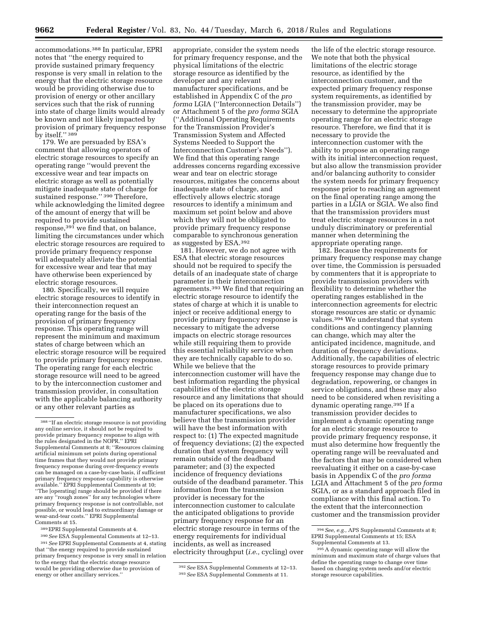accommodations.388 In particular, EPRI notes that ''the energy required to provide sustained primary frequency response is very small in relation to the energy that the electric storage resource would be providing otherwise due to provision of energy or other ancillary services such that the risk of running into state of charge limits would already be known and not likely impacted by provision of primary frequency response by itself." 389

179. We are persuaded by ESA's comment that allowing operators of electric storage resources to specify an operating range ''would prevent the excessive wear and tear impacts on electric storage as well as potentially mitigate inadequate state of charge for sustained response." <sup>390</sup> Therefore, while acknowledging the limited degree of the amount of energy that will be required to provide sustained response,391 we find that, on balance, limiting the circumstances under which electric storage resources are required to provide primary frequency response will adequately alleviate the potential for excessive wear and tear that may have otherwise been experienced by electric storage resources.

180. Specifically, we will require electric storage resources to identify in their interconnection request an operating range for the basis of the provision of primary frequency response. This operating range will represent the minimum and maximum states of charge between which an electric storage resource will be required to provide primary frequency response. The operating range for each electric storage resource will need to be agreed to by the interconnection customer and transmission provider, in consultation with the applicable balancing authority or any other relevant parties as

- 389EPRI Supplemental Comments at 4.
- 390*See* ESA Supplemental Comments at 12–13.

391*See* EPRI Supplemental Comments at 4, stating that ''the energy required to provide sustained primary frequency response is very small in relation to the energy that the electric storage resource would be providing otherwise due to provision of energy or other ancillary services.'

appropriate, consider the system needs for primary frequency response, and the physical limitations of the electric storage resource as identified by the developer and any relevant manufacturer specifications, and be established in Appendix C of the *pro forma* LGIA (''Interconnection Details'') or Attachment 5 of the *pro forma* SGIA (''Additional Operating Requirements for the Transmission Provider's Transmission System and Affected Systems Needed to Support the Interconnection Customer's Needs''). We find that this operating range addresses concerns regarding excessive wear and tear on electric storage resources, mitigates the concerns about inadequate state of charge, and effectively allows electric storage resources to identify a minimum and maximum set point below and above which they will not be obligated to provide primary frequency response comparable to synchronous generation as suggested by ESA.392

181. However, we do not agree with ESA that electric storage resources should not be required to specify the details of an inadequate state of charge parameter in their interconnection agreements.393 We find that requiring an electric storage resource to identify the states of charge at which it is unable to inject or receive additional energy to provide primary frequency response is necessary to mitigate the adverse impacts on electric storage resources while still requiring them to provide this essential reliability service when they are technically capable to do so. While we believe that the interconnection customer will have the best information regarding the physical capabilities of the electric storage resource and any limitations that should be placed on its operations due to manufacturer specifications, we also believe that the transmission provider will have the best information with respect to: (1) The expected magnitude of frequency deviations; (2) the expected duration that system frequency will remain outside of the deadband parameter; and (3) the expected incidence of frequency deviations outside of the deadband parameter. This information from the transmission provider is necessary for the interconnection customer to calculate the anticipated obligations to provide primary frequency response for an electric storage resource in terms of the energy requirements for individual incidents, as well as increased electricity throughput (*i.e.,* cycling) over

the life of the electric storage resource. We note that both the physical limitations of the electric storage resource, as identified by the interconnection customer, and the expected primary frequency response system requirements, as identified by the transmission provider, may be necessary to determine the appropriate operating range for an electric storage resource. Therefore, we find that it is necessary to provide the interconnection customer with the ability to propose an operating range with its initial interconnection request, but also allow the transmission provider and/or balancing authority to consider the system needs for primary frequency response prior to reaching an agreement on the final operating range among the parties in a LGIA or SGIA. We also find that the transmission providers must treat electric storage resources in a not unduly discriminatory or preferential manner when determining the appropriate operating range.

182. Because the requirements for primary frequency response may change over time, the Commission is persuaded by commenters that it is appropriate to provide transmission providers with flexibility to determine whether the operating ranges established in the interconnection agreements for electric storage resources are static or dynamic values.394 We understand that system conditions and contingency planning can change, which may alter the anticipated incidence, magnitude, and duration of frequency deviations. Additionally, the capabilities of electric storage resources to provide primary frequency response may change due to degradation, repowering, or changes in service obligations, and these may also need to be considered when revisiting a dynamic operating range.395 If a transmission provider decides to implement a dynamic operating range for an electric storage resource to provide primary frequency response, it must also determine how frequently the operating range will be reevaluated and the factors that may be considered when reevaluating it either on a case-by-case basis in Appendix C of the *pro forma*  LGIA and Attachment 5 of the *pro forma*  SGIA, or as a standard approach filed in compliance with this final action. To the extent that the interconnection customer and the transmission provider

<sup>388</sup> ''If an electric storage resource is not providing any online service, it should not be required to provide primary frequency response to align with the rules designated in the NOPR.'' EPRI Supplemental Comments at 8; ''Resources claiming artificial minimum set points during operational time frames that they would not provide primary frequency response during over-frequency events can be managed on a case-by-case basis, if sufficient primary frequency response capability is otherwise available.'' EPRI Supplemental Comments at 10; ''The [operating] range should be provided if there are any ''rough zones'' for any technologies where primary frequency response is not controllable, not possible, or would lead to extraordinary damage or wear-and-tear costs.'' EPRI Supplemental Comments at 15.

<sup>392</sup>*See* ESA Supplemental Comments at 12–13. 393*See* ESA Supplemental Comments at 11.

<sup>394</sup>*See, e.g.,* APS Supplemental Comments at 8; EPRI Supplemental Comments at 15; ESA Supplemental Comments at 13.

<sup>395</sup>A dynamic operating range will allow the minimum and maximum state of charge values that define the operating range to change over time based on changing system needs and/or electric storage resource capabilities.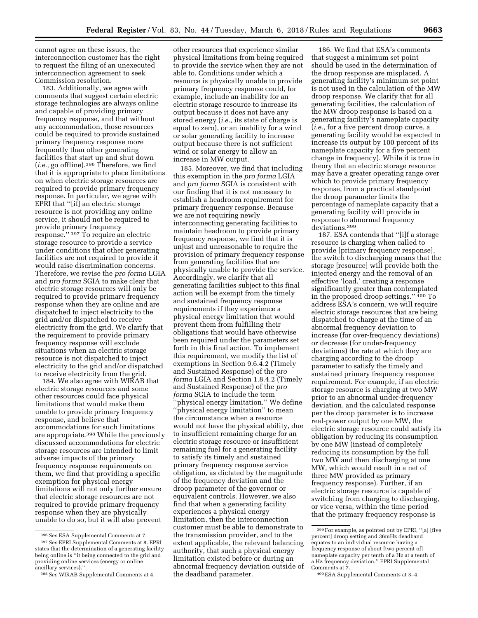cannot agree on these issues, the interconnection customer has the right to request the filing of an unexecuted interconnection agreement to seek Commission resolution.

183. Additionally, we agree with comments that suggest certain electric storage technologies are always online and capable of providing primary frequency response, and that without any accommodation, those resources could be required to provide sustained primary frequency response more frequently than other generating facilities that start up and shut down (*i.e.,* go offline).396 Therefore, we find that it is appropriate to place limitations on when electric storage resources are required to provide primary frequency response. In particular, we agree with EPRI that ''[if] an electric storage resource is not providing any online service, it should not be required to provide primary frequency response.'' 397 To require an electric storage resource to provide a service under conditions that other generating facilities are not required to provide it would raise discrimination concerns. Therefore, we revise the *pro forma* LGIA and *pro forma* SGIA to make clear that electric storage resources will only be required to provide primary frequency response when they are online and are dispatched to inject electricity to the grid and/or dispatched to receive electricity from the grid. We clarify that the requirement to provide primary frequency response will exclude situations when an electric storage resource is not dispatched to inject electricity to the grid and/or dispatched to receive electricity from the grid.

184. We also agree with WIRAB that electric storage resources and some other resources could face physical limitations that would make them unable to provide primary frequency response, and believe that accommodations for such limitations are appropriate.398 While the previously discussed accommodations for electric storage resources are intended to limit adverse impacts of the primary frequency response requirements on them, we find that providing a specific exemption for physical energy limitations will not only further ensure that electric storage resources are not required to provide primary frequency response when they are physically unable to do so, but it will also prevent

other resources that experience similar physical limitations from being required to provide the service when they are not able to. Conditions under which a resource is physically unable to provide primary frequency response could, for example, include an inability for an electric storage resource to increase its output because it does not have any stored energy (*i.e.,* its state of charge is equal to zero), or an inability for a wind or solar generating facility to increase output because there is not sufficient wind or solar energy to allow an increase in MW output.

185. Moreover, we find that including this exemption in the *pro forma* LGIA and *pro forma* SGIA is consistent with our finding that it is not necessary to establish a headroom requirement for primary frequency response. Because we are not requiring newly interconnecting generating facilities to maintain headroom to provide primary frequency response, we find that it is unjust and unreasonable to require the provision of primary frequency response from generating facilities that are physically unable to provide the service. Accordingly, we clarify that all generating facilities subject to this final action will be exempt from the timely and sustained frequency response requirements if they experience a physical energy limitation that would prevent them from fulfilling their obligations that would have otherwise been required under the parameters set forth in this final action. To implement this requirement, we modify the list of exemptions in Section 9.6.4.2 (Timely and Sustained Response) of the *pro forma* LGIA and Section 1.8.4.2 (Timely and Sustained Response) of the *pro forma* SGIA to include the term 'physical energy limitation." We define ''physical energy limitation'' to mean the circumstance when a resource would not have the physical ability, due to insufficient remaining charge for an electric storage resource or insufficient remaining fuel for a generating facility to satisfy its timely and sustained primary frequency response service obligation, as dictated by the magnitude of the frequency deviation and the droop parameter of the governor or equivalent controls. However, we also find that when a generating facility experiences a physical energy limitation, then the interconnection customer must be able to demonstrate to the transmission provider, and to the extent applicable, the relevant balancing authority, that such a physical energy limitation existed before or during an abnormal frequency deviation outside of the deadband parameter.

186. We find that ESA's comments that suggest a minimum set point should be used in the determination of the droop response are misplaced. A generating facility's minimum set point is not used in the calculation of the MW droop response. We clarify that for all generating facilities, the calculation of the MW droop response is based on a generating facility's nameplate capacity (*i.e.,* for a five percent droop curve, a generating facility would be expected to increase its output by 100 percent of its nameplate capacity for a five percent change in frequency). While it is true in theory that an electric storage resource may have a greater operating range over which to provide primary frequency response, from a practical standpoint the droop parameter limits the percentage of nameplate capacity that a generating facility will provide in response to abnormal frequency deviations.399

187. ESA contends that ''[i]f a storage resource is charging when called to provide [primary frequency response], the switch to discharging means that the storage [resource] will provide both the injected energy and the removal of an effective 'load,' creating a response significantly greater than contemplated in the proposed droop settings.'' 400 To address ESA's concern, we will require electric storage resources that are being dispatched to charge at the time of an abnormal frequency deviation to increase (for over-frequency deviations) or decrease (for under-frequency deviations) the rate at which they are charging according to the droop parameter to satisfy the timely and sustained primary frequency response requirement. For example, if an electric storage resource is charging at two MW prior to an abnormal under-frequency deviation, and the calculated response per the droop parameter is to increase real-power output by one MW, the electric storage resource could satisfy its obligation by reducing its consumption by one MW (instead of completely reducing its consumption by the full two MW and then discharging at one MW, which would result in a net of three MW provided as primary frequency response). Further, if an electric storage resource is capable of switching from charging to discharging, or vice versa, within the time period that the primary frequency response is

<sup>396</sup>*See* ESA Supplemental Comments at 7.

<sup>397</sup>*See* EPRI Supplemental Comments at 8. EPRI states that the determination of a generating facility being online is ''it being connected to the grid and providing online services (energy or online ancillary services).''

<sup>398</sup>*See* WIRAB Supplemental Comments at 4.

<sup>399</sup>For example, as pointed out by EPRI, ''[a] [five percent] droop setting and 36mHz deadband equates to an individual resource having a frequency response of about [two percent of] nameplate capacity per tenth of a Hz at a tenth of a Hz frequency deviation.'' EPRI Supplemental Comments at 7.

<sup>400</sup>ESA Supplemental Comments at 3–4.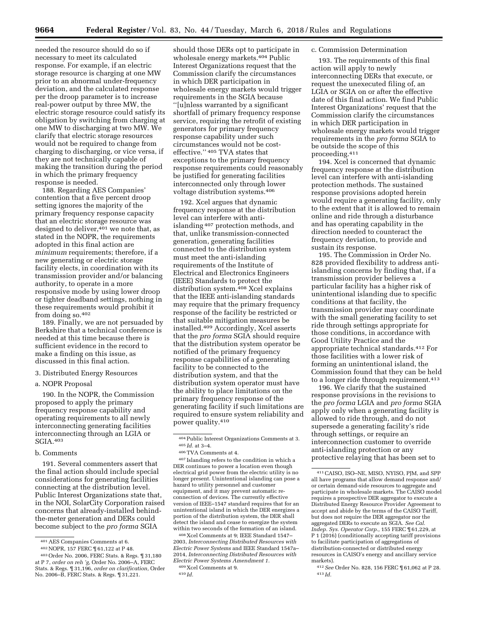needed the resource should do so if necessary to meet its calculated response. For example, if an electric storage resource is charging at one MW prior to an abnormal under-frequency deviation, and the calculated response per the droop parameter is to increase real-power output by three MW, the electric storage resource could satisfy its obligation by switching from charging at one MW to discharging at two MW. We clarify that electric storage resources would not be required to change from charging to discharging, or vice versa, if they are not technically capable of making the transition during the period in which the primary frequency response is needed.

188. Regarding AES Companies' contention that a five percent droop setting ignores the majority of the primary frequency response capacity that an electric storage resource was designed to deliver,  $401$  we note that, as stated in the NOPR, the requirements adopted in this final action are *minimum* requirements; therefore, if a new generating or electric storage facility elects, in coordination with its transmission provider and/or balancing authority, to operate in a more responsive mode by using lower droop or tighter deadband settings, nothing in these requirements would prohibit it from doing so.402

189. Finally, we are not persuaded by Berkshire that a technical conference is needed at this time because there is sufficient evidence in the record to make a finding on this issue, as discussed in this final action.

#### 3. Distributed Energy Resources

a. NOPR Proposal

190. In the NOPR, the Commission proposed to apply the primary frequency response capability and operating requirements to all newly interconnecting generating facilities interconnecting through an LGIA or SGIA.403

b. Comments

191. Several commenters assert that the final action should include special considerations for generating facilities connecting at the distribution level. Public Interest Organizations state that, in the NOI, SolarCity Corporation raised concerns that already-installed behindthe-meter generation and DERs could become subject to the *pro forma* SGIA

should those DERs opt to participate in wholesale energy markets.<sup>404</sup> Public Interest Organizations request that the Commission clarify the circumstances in which DER participation in wholesale energy markets would trigger requirements in the SGIA because ''[u]nless warranted by a significant shortfall of primary frequency response service, requiring the retrofit of existing generators for primary frequency response capability under such circumstances would not be costeffective.'' 405 TVA states that exceptions to the primary frequency response requirements could reasonably be justified for generating facilities interconnected only through lower voltage distribution systems.406

192. Xcel argues that dynamic frequency response at the distribution level can interfere with antiislanding 407 protection methods, and that, unlike transmission-connected generation, generating facilities connected to the distribution system must meet the anti-islanding requirements of the Institute of Electrical and Electronics Engineers (IEEE) Standards to protect the distribution system.<sup>408</sup> Xcel explains that the IEEE anti-islanding standards may require that the primary frequency response of the facility be restricted or that suitable mitigation measures be installed.409 Accordingly, Xcel asserts that the *pro forma* SGIA should require that the distribution system operator be notified of the primary frequency response capabilities of a generating facility to be connected to the distribution system, and that the distribution system operator must have the ability to place limitations on the primary frequency response of the generating facility if such limitations are required to ensure system reliability and power quality.410

407 Islanding refers to the condition in which a DER continues to power a location even though electrical grid power from the electric utility is no longer present. Unintentional islanding can pose a hazard to utility personnel and customer equipment, and it may prevent automatic reconnection of devices. The currently effective version of IEEE–1547 standard requires that for an unintentional island in which the DER energizes a portion of the distribution system, the DER shall detect the island and cease to energize the system within two seconds of the formation of an island.

408 Xcel Comments at 9; IEEE Standard 1547– 2003, *Interconnecting Distributed Resources with Electric Power Systems* and IEEE Standard 1547a– 2014, *Interconnecting Distributed Resources with Electric Power Systems Amendment 1.*  409 Xcel Comments at 9.

#### c. Commission Determination

193. The requirements of this final action will apply to newly interconnecting DERs that execute, or request the unexecuted filing of, an LGIA or SGIA on or after the effective date of this final action. We find Public Interest Organizations' request that the Commission clarify the circumstances in which DER participation in wholesale energy markets would trigger requirements in the *pro forma* SGIA to be outside the scope of this proceeding.411

194. Xcel is concerned that dynamic frequency response at the distribution level can interfere with anti-islanding protection methods. The sustained response provisions adopted herein would require a generating facility, only to the extent that it is allowed to remain online and ride through a disturbance and has operating capability in the direction needed to counteract the frequency deviation, to provide and sustain its response.

195. The Commission in Order No. 828 provided flexibility to address antiislanding concerns by finding that, if a transmission provider believes a particular facility has a higher risk of unintentional islanding due to specific conditions at that facility, the transmission provider may coordinate with the small generating facility to set ride through settings appropriate for those conditions, in accordance with Good Utility Practice and the appropriate technical standards.412 For those facilities with a lower risk of forming an unintentional island, the Commission found that they can be held to a longer ride through requirement.413

196. We clarify that the sustained response provisions in the revisions to the *pro forma* LGIA and *pro forma* SGIA apply only when a generating facility is allowed to ride through, and do not supersede a generating facility's ride through settings, or require an interconnection customer to override anti-islanding protection or any protective relaying that has been set to

<sup>401</sup>AES Companies Comments at 6.

<sup>402</sup>NOPR, 157 FERC ¶ 61,122 at P 48.

<sup>403</sup>Order No. 2006, FERC Stats. & Regs. ¶ 31,180 at P 7, *order on reh 'g,* Order No. 2006–A, FERC Stats. & Regs. ¶ 31,196, *order on clarification,* Order No. 2006–B, FERC Stats. & Regs. ¶ 31,221.

<sup>404</sup>Public Interest Organizations Comments at 3. 405 *Id.* at 3–4.

<sup>406</sup>TVA Comments at 4.

<sup>410</sup> *Id.* 

<sup>411</sup>CAISO, ISO–NE, MISO, NYISO, PJM, and SPP all have programs that allow demand response and/ or certain demand-side resources to aggregate and participate in wholesale markets. The CAISO model requires a prospective DER aggregator to execute a Distributed Energy Resource Provider Agreement to accept and abide by the terms of the CAISO Tariff, but does not require the DER aggregator nor the aggregated DERs to execute an SGIA. *See Cal. Indep. Sys. Operator Corp.,* 155 FERC ¶ 61,229, at P 1 (2016) (conditionally accepting tariff provisions to facilitate participation of aggregations of distribution-connected or distributed energy resources in CAISO's energy and ancillary service markets).

<sup>412</sup>*See* Order No. 828, 156 FERC ¶ 61,062 at P 28. 413 *Id.*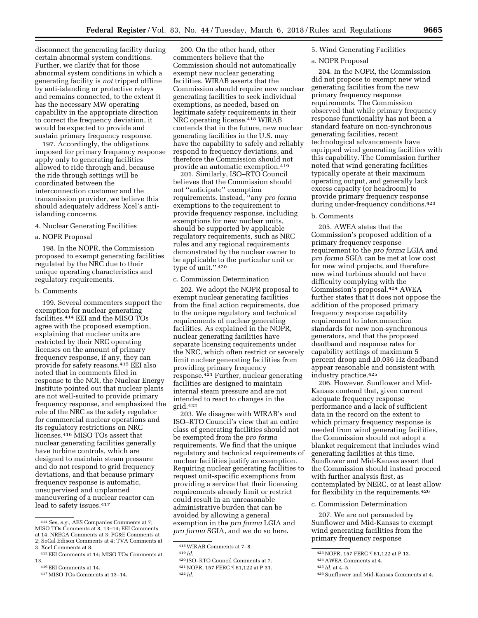200. On the other hand, other

disconnect the generating facility during certain abnormal system conditions. Further, we clarify that for those abnormal system conditions in which a generating facility is *not* tripped offline by anti-islanding or protective relays and remains connected, to the extent it has the necessary MW operating capability in the appropriate direction to correct the frequency deviation, it would be expected to provide and sustain primary frequency response.

197. Accordingly, the obligations imposed for primary frequency response apply only to generating facilities allowed to ride through and, because the ride through settings will be coordinated between the interconnection customer and the transmission provider, we believe this should adequately address Xcel's antiislanding concerns.

## 4. Nuclear Generating Facilities

## a. NOPR Proposal

198. In the NOPR, the Commission proposed to exempt generating facilities regulated by the NRC due to their unique operating characteristics and regulatory requirements.

#### b. Comments

199. Several commenters support the exemption for nuclear generating facilities.414 EEI and the MISO TOs agree with the proposed exemption, explaining that nuclear units are restricted by their NRC operating licenses on the amount of primary frequency response, if any, they can provide for safety reasons.415 EEI also noted that in comments filed in response to the NOI, the Nuclear Energy Institute pointed out that nuclear plants are not well-suited to provide primary frequency response, and emphasized the role of the NRC as the safety regulator for commercial nuclear operations and its regulatory restrictions on NRC licenses.416 MISO TOs assert that nuclear generating facilities generally have turbine controls, which are designed to maintain steam pressure and do not respond to grid frequency deviations, and that because primary frequency response is automatic, unsupervised and unplanned maneuvering of a nuclear reactor can lead to safety issues.417

commenters believe that the Commission should not automatically exempt new nuclear generating facilities. WIRAB asserts that the Commission should require new nuclear generating facilities to seek individual exemptions, as needed, based on legitimate safety requirements in their NRC operating license.418 WIRAB contends that in the future, new nuclear generating facilities in the U.S. may have the capability to safely and reliably respond to frequency deviations, and therefore the Commission should not provide an automatic exemption.419

201. Similarly, ISO–RTO Council believes that the Commission should not ''anticipate'' exemption requirements. Instead, ''any *pro forma*  exemptions to the requirement to provide frequency response, including exemptions for new nuclear units, should be supported by applicable regulatory requirements, such as NRC rules and any regional requirements demonstrated by the nuclear owner to be applicable to the particular unit or type of unit.'' 420

#### c. Commission Determination

202. We adopt the NOPR proposal to exempt nuclear generating facilities from the final action requirements, due to the unique regulatory and technical requirements of nuclear generating facilities. As explained in the NOPR, nuclear generating facilities have separate licensing requirements under the NRC, which often restrict or severely limit nuclear generating facilities from providing primary frequency response.421 Further, nuclear generating facilities are designed to maintain internal steam pressure and are not intended to react to changes in the grid.422

203. We disagree with WIRAB's and ISO–RTO Council's view that an entire class of generating facilities should not be exempted from the *pro forma*  requirements. We find that the unique regulatory and technical requirements of nuclear facilities justify an exemption. Requiring nuclear generating facilities to request unit-specific exemptions from providing a service that their licensing requirements already limit or restrict could result in an unreasonable administrative burden that can be avoided by allowing a general exemption in the *pro forma* LGIA and *pro forma* SGIA, and we do so here.

# 5. Wind Generating Facilities

## a. NOPR Proposal

204. In the NOPR, the Commission did not propose to exempt new wind generating facilities from the new primary frequency response requirements. The Commission observed that while primary frequency response functionality has not been a standard feature on non-synchronous generating facilities, recent technological advancements have equipped wind generating facilities with this capability. The Commission further noted that wind generating facilities typically operate at their maximum operating output, and generally lack excess capacity (or headroom) to provide primary frequency response during under-frequency conditions.<sup>423</sup>

## b. Comments

205. AWEA states that the Commission's proposed addition of a primary frequency response requirement to the *pro forma* LGIA and *pro forma* SGIA can be met at low cost for new wind projects, and therefore new wind turbines should not have difficulty complying with the Commission's proposal.424 AWEA further states that it does not oppose the addition of the proposed primary frequency response capability requirement to interconnection standards for new non-synchronous generators, and that the proposed deadband and response rates for capability settings of maximum 5 percent droop and ±0.036 Hz deadband appear reasonable and consistent with industry practice.425

206. However, Sunflower and Mid-Kansas contend that, given current adequate frequency response performance and a lack of sufficient data in the record on the extent to which primary frequency response is needed from wind generating facilities, the Commission should not adopt a blanket requirement that includes wind generating facilities at this time. Sunflower and Mid-Kansas assert that the Commission should instead proceed with further analysis first, as contemplated by NERC, or at least allow for flexibility in the requirements.426

#### c. Commission Determination

207. We are not persuaded by Sunflower and Mid-Kansas to exempt wind generating facilities from the primary frequency response

426Sunflower and Mid-Kansas Comments at 4.

<sup>414</sup>*See, e.g.,* AES Companies Comments at 7; MISO TOs Comments at 8, 13–14; EEI Comments at 14; NRECA Comments at 3; PG&E Comments at 2; SoCal Edison Comments at 4; TVA Comments at 3; Xcel Comments at 8.

<sup>415</sup>EEI Comments at 14; MISO TOs Comments at 13.

<sup>416</sup>EEI Comments at 14.

<sup>417</sup>MISO TOs Comments at 13–14.

<sup>418</sup>WIRAB Comments at 7–8.

<sup>419</sup> *Id.* 

<sup>420</sup> ISO–RTO Council Comments at 7.

<sup>421</sup>NOPR, 157 FERC ¶ 61,122 at P 31. 422 *Id.* 

<sup>423</sup>NOPR, 157 FERC ¶ 61,122 at P 13.

<sup>424</sup>AWEA Comments at 4.

<sup>425</sup> *Id.* at 4–5.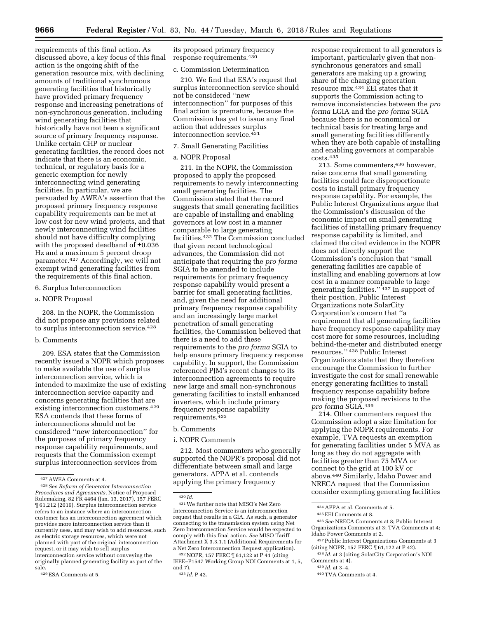requirements of this final action. As discussed above, a key focus of this final action is the ongoing shift of the generation resource mix, with declining amounts of traditional synchronous generating facilities that historically have provided primary frequency response and increasing penetrations of non-synchronous generation, including wind generating facilities that historically have not been a significant source of primary frequency response. Unlike certain CHP or nuclear generating facilities, the record does not indicate that there is an economic, technical, or regulatory basis for a generic exemption for newly interconnecting wind generating facilities. In particular, we are persuaded by AWEA's assertion that the proposed primary frequency response capability requirements can be met at low cost for new wind projects, and that newly interconnecting wind facilities should not have difficulty complying with the proposed deadband of  $\pm 0.036$ Hz and a maximum 5 percent droop parameter.427 Accordingly, we will not exempt wind generating facilities from the requirements of this final action.

#### 6. Surplus Interconnection

a. NOPR Proposal

208. In the NOPR, the Commission did not propose any provisions related to surplus interconnection service.<sup>428</sup>

## b. Comments

209. ESA states that the Commission recently issued a NOPR which proposes to make available the use of surplus interconnection service, which is intended to maximize the use of existing interconnection service capacity and concerns generating facilities that are existing interconnection customers.<sup>429</sup> ESA contends that these forms of interconnections should not be considered ''new interconnection'' for the purposes of primary frequency response capability requirements, and requests that the Commission exempt surplus interconnection services from

its proposed primary frequency response requirements.430

#### c. Commission Determination

210. We find that ESA's request that surplus interconnection service should not be considered ''new interconnection'' for purposes of this final action is premature, because the Commission has yet to issue any final action that addresses surplus interconnection service.431

## 7. Small Generating Facilities

## a. NOPR Proposal

211. In the NOPR, the Commission proposed to apply the proposed requirements to newly interconnecting small generating facilities. The Commission stated that the record suggests that small generating facilities are capable of installing and enabling governors at low cost in a manner comparable to large generating facilities.432 The Commission concluded that given recent technological advances, the Commission did not anticipate that requiring the *pro forma*  SGIA to be amended to include requirements for primary frequency response capability would present a barrier for small generating facilities, and, given the need for additional primary frequency response capability and an increasingly large market penetration of small generating facilities, the Commission believed that there is a need to add these requirements to the *pro forma* SGIA to help ensure primary frequency response capability. In support, the Commission referenced PJM's recent changes to its interconnection agreements to require new large and small non-synchronous generating facilities to install enhanced inverters, which include primary frequency response capability requirements.433

### b. Comments

#### i. NOPR Comments

212. Most commenters who generally supported the NOPR's proposal did not differentiate between small and large generators. APPA et al. contends applying the primary frequency

response requirement to all generators is important, particularly given that nonsynchronous generators and small generators are making up a growing share of the changing generation resource mix.434 EEI states that it supports the Commission acting to remove inconsistencies between the *pro forma* LGIA and the *pro forma* SGIA because there is no economical or technical basis for treating large and small generating facilities differently when they are both capable of installing and enabling governors at comparable costs.435

213. Some commenters,436 however, raise concerns that small generating facilities could face disproportionate costs to install primary frequency response capability. For example, the Public Interest Organizations argue that the Commission's discussion of the economic impact on small generating facilities of installing primary frequency response capability is limited, and claimed the cited evidence in the NOPR does not directly support the Commission's conclusion that ''small generating facilities are capable of installing and enabling governors at low cost in a manner comparable to large generating facilities.'' 437 In support of their position, Public Interest Organizations note SolarCity Corporation's concern that ''a requirement that all generating facilities have frequency response capability may cost more for some resources, including behind-the-meter and distributed energy resources.'' 438 Public Interest Organizations state that they therefore encourage the Commission to further investigate the cost for small renewable energy generating facilities to install frequency response capability before making the proposed revisions to the *pro forma* SGIA.439

214. Other commenters request the Commission adopt a size limitation for applying the NOPR requirements. For example, TVA requests an exemption for generating facilities under 5 MVA as long as they do not aggregate with facilities greater than 75 MVA or connect to the grid at 100 kV or above.440 Similarly, Idaho Power and NRECA request that the Commission consider exempting generating facilities

<sup>427</sup>AWEA Comments at 4.

<sup>428</sup>*See Reform of Generator Interconnection Procedures and Agreements,* Notice of Proposed Rulemaking, 82 FR 4464 (Jan. 13, 2017), 157 FERC ¶ 61,212 (2016). Surplus interconnection service refers to an instance where an interconnection customer has an interconnection agreement which provides more interconnection service than it currently uses, and may wish to add resources, such as electric storage resources, which were not planned with part of the original interconnection request, or it may wish to sell surplus interconnection service without conveying the originally planned generating facility as part of the sale.

<sup>429</sup>ESA Comments at 5.

<sup>430</sup> *Id.* 

<sup>431</sup>We further note that MISO's Net Zero Interconnection Service is an interconnection request that results in a GIA. As such, a generator connecting to the transmission system using Net Zero Interconnection Service would be expected to comply with this final action. *See* MISO Tariff Attachment X 3.3.1.1 (Additional Requirements for a Net Zero Interconnection Request application).

<sup>432</sup>NOPR, 157 FERC ¶ 61,122 at P 41 (citing IEEE–P1547 Working Group NOI Comments at 1, 5, and 7).

<sup>433</sup> *Id.* P 42.

<sup>434</sup>APPA et al. Comments at 5.

<sup>435</sup>EEI Comments at 8.

<sup>436</sup>*See* NRECA Comments at 8; Public Interest Organizations Comments at 3; TVA Comments at 4; Idaho Power Comments at 2.

<sup>437</sup>Public Interest Organizations Comments at 3 (citing NOPR, 157 FERC ¶ 61,122 at P 42).

<sup>438</sup> *Id.* at 3 (citing SolarCity Corporation's NOI Comments at 4).

<sup>439</sup> *Id.* at 3–4.

<sup>440</sup>TVA Comments at 4.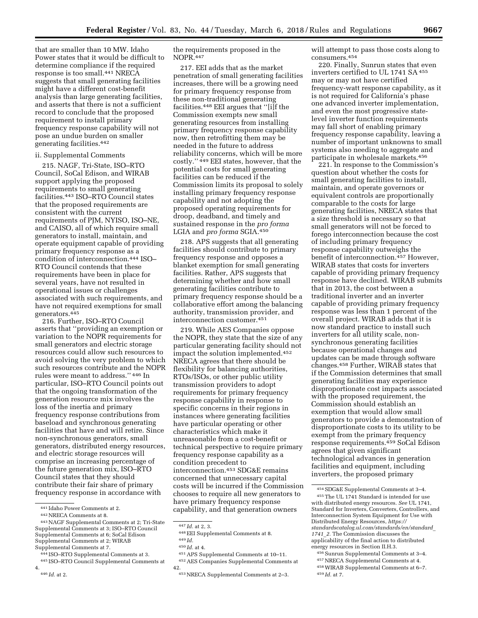that are smaller than 10 MW. Idaho Power states that it would be difficult to determine compliance if the required response is too small.441 NRECA suggests that small generating facilities might have a different cost-benefit analysis than large generating facilities, and asserts that there is not a sufficient record to conclude that the proposed requirement to install primary frequency response capability will not pose an undue burden on smaller generating facilities.442

#### ii. Supplemental Comments

215. NAGF, Tri-State, ISO–RTO Council, SoCal Edison, and WIRAB support applying the proposed requirements to small generating facilities.443 ISO–RTO Council states that the proposed requirements are consistent with the current requirements of PJM, NYISO, ISO–NE, and CAISO, all of which require small generators to install, maintain, and operate equipment capable of providing primary frequency response as a condition of interconnection.444 ISO– RTO Council contends that these requirements have been in place for several years, have not resulted in operational issues or challenges associated with such requirements, and have not required exemptions for small generators.445

216. Further, ISO–RTO Council asserts that ''providing an exemption or variation to the NOPR requirements for small generators and electric storage resources could allow such resources to avoid solving the very problem to which such resources contribute and the NOPR rules were meant to address.'' 446 In particular, ISO–RTO Council points out that the ongoing transformation of the generation resource mix involves the loss of the inertia and primary frequency response contributions from baseload and synchronous generating facilities that have and will retire. Since non-synchronous generators, small generators, distributed energy resources, and electric storage resources will comprise an increasing percentage of the future generation mix, ISO–RTO Council states that they should contribute their fair share of primary frequency response in accordance with

- Supplemental Comments at 7.
- 444 ISO–RTO Supplemental Comments at 3.
- 445 ISO–RTO Council Supplemental Comments at 4.

the requirements proposed in the NOPR.447

217. EEI adds that as the market penetration of small generating facilities increases, there will be a growing need for primary frequency response from these non-traditional generating facilities.448 EEI argues that ''[i]f the Commission exempts new small generating resources from installing primary frequency response capability now, then retrofitting them may be needed in the future to address reliability concerns, which will be more costly.'' 449 EEI states, however, that the potential costs for small generating facilities can be reduced if the Commission limits its proposal to solely installing primary frequency response capability and not adopting the proposed operating requirements for droop, deadband, and timely and sustained response in the *pro forma*  LGIA and *pro forma* SGIA.450

218. APS suggests that all generating facilities should contribute to primary frequency response and opposes a blanket exemption for small generating facilities. Rather, APS suggests that determining whether and how small generating facilities contribute to primary frequency response should be a collaborative effort among the balancing authority, transmission provider, and interconnection customer.451

219. While AES Companies oppose the NOPR, they state that the size of any particular generating facility should not impact the solution implemented.452 NRECA agrees that there should be flexibility for balancing authorities, RTOs/ISOs, or other public utility transmission providers to adopt requirements for primary frequency response capability in response to specific concerns in their regions in instances where generating facilities have particular operating or other characteristics which make it unreasonable from a cost-benefit or technical perspective to require primary frequency response capability as a condition precedent to interconnection.453 SDG&E remains concerned that unnecessary capital costs will be incurred if the Commission chooses to require all new generators to have primary frequency response capability, and that generation owners

- 451APS Supplemental Comments at 10–11.
- 452AES Companies Supplemental Comments at 42.

will attempt to pass those costs along to consumers.454

220. Finally, Sunrun states that even inverters certified to UL 1741 SA 455 may or may not have certified frequency-watt response capability, as it is not required for California's phase one advanced inverter implementation, and even the most progressive statelevel inverter function requirements may fall short of enabling primary frequency response capability, leaving a number of important unknowns to small systems also needing to aggregate and participate in wholesale markets.456

221. In response to the Commission's question about whether the costs for small generating facilities to install, maintain, and operate governors or equivalent controls are proportionally comparable to the costs for large generating facilities, NRECA states that a size threshold is necessary so that small generators will not be forced to forego interconnection because the cost of including primary frequency response capability outweighs the benefit of interconnection.457 However, WIRAB states that costs for inverters capable of providing primary frequency response have declined. WIRAB submits that in 2013, the cost between a traditional inverter and an inverter capable of providing primary frequency response was less than 1 percent of the overall project. WIRAB adds that it is now standard practice to install such inverters for all utility scale, nonsynchronous generating facilities because operational changes and updates can be made through software changes.458 Further, WIRAB states that if the Commission determines that small generating facilities may experience disproportionate cost impacts associated with the proposed requirement, the Commission should establish an exemption that would allow small generators to provide a demonstration of disproportionate costs to its utility to be exempt from the primary frequency response requirements.459 SoCal Edison agrees that given significant technological advances in generation facilities and equipment, including inverters, the proposed primary

- 456Sunrun Supplemental Comments at 3–4.
- 457NRECA Supplemental Comments at 4. 458WIRAB Supplemental Comments at 6–7.
- 459 *Id.* at 7.

<sup>441</sup> Idaho Power Comments at 2.

<sup>442</sup>NRECA Comments at 8.

<sup>443</sup>NAGF Supplemental Comments at 2; Tri-State Supplemental Comments at 3; ISO–RTO Council Supplemental Comments at 6; SoCal Edison Supplemental Comments at 2; WIRAB

<sup>446</sup> *Id.* at 2.

<sup>447</sup> *Id.* at 2, 3.

<sup>448</sup>EEI Supplemental Comments at 8.

<sup>449</sup> *Id.* 

<sup>450</sup> *Id.* at 4.

<sup>453</sup>NRECA Supplemental Comments at 2–3.

<sup>454</sup>SDG&E Supplemental Comments at 3–4. 455The UL 1741 Standard is intended for use with distributed energy resources. *See* UL 1741, Standard for Inverters, Converters, Controllers, and Interconnection System Equipment for Use with Distributed Energy Resources, *[https://](https://standardscatalog.ul.com/standards/en/standard_1741_2) [standardscatalog.ul.com/standards/en/standard](https://standardscatalog.ul.com/standards/en/standard_1741_2)*\_ *[1741](https://standardscatalog.ul.com/standards/en/standard_1741_2)*\_*2.* The Commission discusses the applicability of the final action to distributed energy resources in Section II.H.3.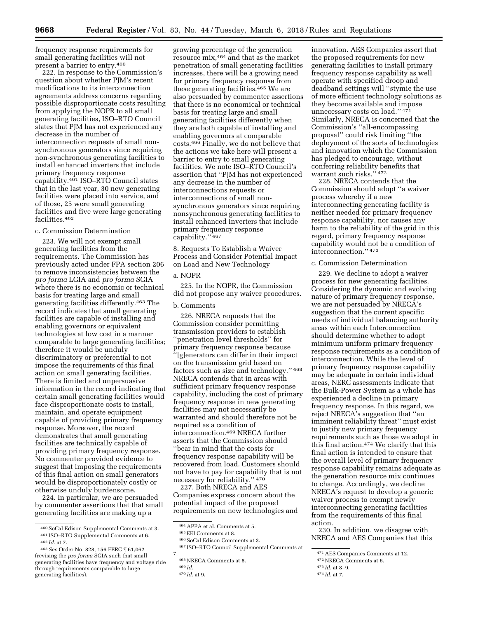frequency response requirements for small generating facilities will not present a barrier to entry.460

222. In response to the Commission's question about whether PJM's recent modifications to its interconnection agreements address concerns regarding possible disproportionate costs resulting from applying the NOPR to all small generating facilities, ISO–RTO Council states that PJM has not experienced any decrease in the number of interconnection requests of small nonsynchronous generators since requiring non-synchronous generating facilities to install enhanced inverters that include primary frequency response capability.461 ISO–RTO Council states that in the last year, 30 new generating facilities were placed into service, and of those, 25 were small generating facilities and five were large generating facilities.462

### c. Commission Determination

223. We will not exempt small generating facilities from the requirements. The Commission has previously acted under FPA section 206 to remove inconsistencies between the *pro forma* LGIA and *pro forma* SGIA where there is no economic or technical basis for treating large and small generating facilities differently.463 The record indicates that small generating facilities are capable of installing and enabling governors or equivalent technologies at low cost in a manner comparable to large generating facilities; therefore it would be unduly discriminatory or preferential to not impose the requirements of this final action on small generating facilities. There is limited and unpersuasive information in the record indicating that certain small generating facilities would face disproportionate costs to install, maintain, and operate equipment capable of providing primary frequency response. Moreover, the record demonstrates that small generating facilities are technically capable of providing primary frequency response. No commenter provided evidence to suggest that imposing the requirements of this final action on small generators would be disproportionately costly or otherwise unduly burdensome.

224. In particular, we are persuaded by commenter assertions that that small generating facilities are making up a

growing percentage of the generation resource mix,464 and that as the market penetration of small generating facilities increases, there will be a growing need for primary frequency response from these generating facilities.465 We are also persuaded by commenter assertions that there is no economical or technical basis for treating large and small generating facilities differently when they are both capable of installing and enabling governors at comparable costs.466 Finally, we do not believe that the actions we take here will present a barrier to entry to small generating facilities. We note ISO–RTO Council's assertion that ''PJM has not experienced any decrease in the number of interconnections requests or interconnections of small nonsynchronous generators since requiring nonsynchronous generating facilities to install enhanced inverters that include primary frequency response capability.'' 467

8. Requests To Establish a Waiver Process and Consider Potential Impact on Load and New Technology

## a. NOPR

225. In the NOPR, the Commission did not propose any waiver procedures.

#### b. Comments

226. NRECA requests that the Commission consider permitting transmission providers to establish ''penetration level thresholds'' for primary frequency response because ''[g]enerators can differ in their impact on the transmission grid based on factors such as size and technology.'' 468 NRECA contends that in areas with sufficient primary frequency response capability, including the cost of primary frequency response in new generating facilities may not necessarily be warranted and should therefore not be required as a condition of interconnection.469 NRECA further asserts that the Commission should ''bear in mind that the costs for frequency response capability will be recovered from load. Customers should not have to pay for capability that is not necessary for reliability.'' 470

227. Both NRECA and AES Companies express concern about the potential impact of the proposed requirements on new technologies and

464APPA et al. Comments at 5.

467 ISO–RTO Council Supplemental Comments at

7.

innovation. AES Companies assert that the proposed requirements for new generating facilities to install primary frequency response capability as well operate with specified droop and deadband settings will ''stymie the use of more efficient technology solutions as they become available and impose unnecessary costs on load.'' 471 Similarly, NRECA is concerned that the Commission's ''all-encompassing proposal'' could risk limiting ''the deployment of the sorts of technologies and innovation which the Commission has pledged to encourage, without conferring reliability benefits that warrant such risks." 472

228. NRECA contends that the Commission should adopt ''a waiver process whereby if a new interconnecting generating facility is neither needed for primary frequency response capability, nor causes any harm to the reliability of the grid in this regard, primary frequency response capability would not be a condition of interconnection.'' 473

#### c. Commission Determination

229. We decline to adopt a waiver process for new generating facilities. Considering the dynamic and evolving nature of primary frequency response, we are not persuaded by NRECA's suggestion that the current specific needs of individual balancing authority areas within each Interconnection should determine whether to adopt minimum uniform primary frequency response requirements as a condition of interconnection. While the level of primary frequency response capability may be adequate in certain individual areas, NERC assessments indicate that the Bulk-Power System as a whole has experienced a decline in primary frequency response. In this regard, we reject NRECA's suggestion that ''an imminent reliability threat'' must exist to justify new primary frequency requirements such as those we adopt in this final action.474 We clarify that this final action is intended to ensure that the overall level of primary frequency response capability remains adequate as the generation resource mix continues to change. Accordingly, we decline NRECA's request to develop a generic waiver process to exempt newly interconnecting generating facilities from the requirements of this final action.

230. In addition, we disagree with NRECA and AES Companies that this

<sup>460</sup>SoCal Edison Supplemental Comments at 3.

<sup>461</sup> ISO–RTO Supplemental Comments at 6.

<sup>462</sup> *Id.* at 7.

<sup>463</sup>*See* Order No. 828, 156 FERC ¶ 61,062 (revising the *pro forma* SGIA such that small generating facilities have frequency and voltage ride through requirements comparable to large generating facilities).

<sup>465</sup>EEI Comments at 8.

<sup>466</sup>SoCal Edison Comments at 3.

<sup>468</sup>NRECA Comments at 8.

<sup>469</sup> *Id.* 

<sup>470</sup> *Id.* at 9.

<sup>471</sup>AES Companies Comments at 12.

<sup>472</sup>NRECA Comments at 6.

<sup>473</sup> *Id.* at 8–9.

<sup>474</sup> *Id.* at 7.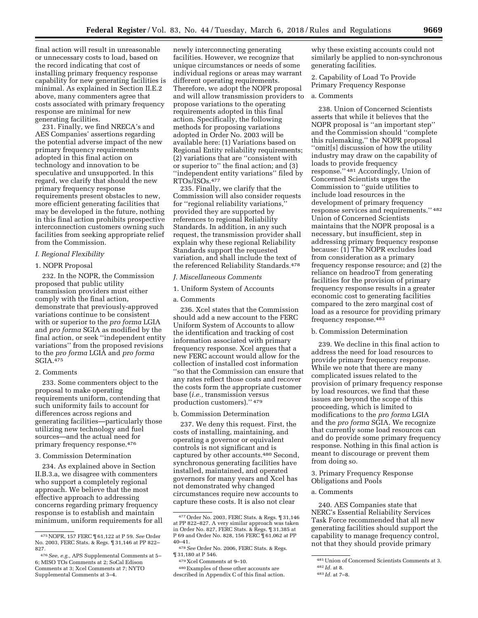final action will result in unreasonable or unnecessary costs to load, based on the record indicating that cost of installing primary frequency response capability for new generating facilities is minimal. As explained in Section II.E.2 above, many commenters agree that costs associated with primary frequency response are minimal for new generating facilities.

231. Finally, we find NRECA's and AES Companies' assertions regarding the potential adverse impact of the new primary frequency requirements adopted in this final action on technology and innovation to be speculative and unsupported. In this regard, we clarify that should the new primary frequency response requirements present obstacles to new, more efficient generating facilities that may be developed in the future, nothing in this final action prohibits prospective interconnection customers owning such facilities from seeking appropriate relief from the Commission.

## *I. Regional Flexibility*

#### 1. NOPR Proposal

232. In the NOPR, the Commission proposed that public utility transmission providers must either comply with the final action, demonstrate that previously-approved variations continue to be consistent with or superior to the *pro forma* LGIA and *pro forma* SGIA as modified by the final action, or seek ''independent entity variations'' from the proposed revisions to the *pro forma* LGIA and *pro forma*  SGIA.475

## 2. Comments

233. Some commenters object to the proposal to make operating requirements uniform, contending that such uniformity fails to account for differences across regions and generating facilities—particularly those utilizing new technology and fuel sources—and the actual need for primary frequency response.476

#### 3. Commission Determination

234. As explained above in Section II.B.3.a, we disagree with commenters who support a completely regional approach. We believe that the most effective approach to addressing concerns regarding primary frequency response is to establish and maintain minimum, uniform requirements for all

newly interconnecting generating facilities. However, we recognize that unique circumstances or needs of some individual regions or areas may warrant different operating requirements. Therefore, we adopt the NOPR proposal and will allow transmission providers to propose variations to the operating requirements adopted in this final action. Specifically, the following methods for proposing variations adopted in Order No. 2003 will be available here: (1) Variations based on Regional Entity reliability requirements; (2) variations that are ''consistent with or superior to'' the final action; and (3) ''independent entity variations'' filed by RTOs/ISOs.477

235. Finally, we clarify that the Commission will also consider requests for ''regional reliability variations,'' provided they are supported by references to regional Reliability Standards. In addition, in any such request, the transmission provider shall explain why these regional Reliability Standards support the requested variation, and shall include the text of the referenced Reliability Standards.478

## *J. Miscellaneous Comments*

1. Uniform System of Accounts

#### a. Comments

236. Xcel states that the Commission should add a new account to the FERC Uniform System of Accounts to allow the identification and tracking of cost information associated with primary frequency response. Xcel argues that a new FERC account would allow for the collection of installed cost information ''so that the Commission can ensure that any rates reflect those costs and recover the costs form the appropriate customer base (*i.e.,* transmission versus production customers).'' 479

#### b. Commission Determination

237. We deny this request. First, the costs of installing, maintaining, and operating a governor or equivalent controls is not significant and is captured by other accounts.480 Second, synchronous generating facilities have installed, maintained, and operated governors for many years and Xcel has not demonstrated why changed circumstances require new accounts to capture these costs. It is also not clear

why these existing accounts could not similarly be applied to non-synchronous generating facilities.

## 2. Capability of Load To Provide Primary Frequency Response

## a. Comments

238. Union of Concerned Scientists asserts that while it believes that the NOPR proposal is ''an important step'' and the Commission should ''complete this rulemaking,'' the NOPR proposal ''omit[s] discussion of how the utility industry may draw on the capability of loads to provide frequency response.'' 481 Accordingly, Union of Concerned Scientists urges the Commission to ''guide utilities to include load resources in the development of primary frequency response services and requirements.'' 482 Union of Concerned Scientists maintains that the NOPR proposal is a necessary, but insufficient, step in addressing primary frequency response because: (1) The NOPR excludes load from consideration as a primary frequency response resource; and (2) the reliance on headrooT from generating facilities for the provision of primary frequency response results in a greater economic cost to generating facilities compared to the zero marginal cost of load as a resource for providing primary frequency response.483

## b. Commission Determination

239. We decline in this final action to address the need for load resources to provide primary frequency response. While we note that there are many complicated issues related to the provision of primary frequency response by load resources, we find that these issues are beyond the scope of this proceeding, which is limited to modifications to the *pro forma* LGIA and the *pro forma* SGIA. We recognize that currently some load resources can and do provide some primary frequency response. Nothing in this final action is meant to discourage or prevent them from doing so.

## 3. Primary Frequency Response Obligations and Pools

## a. Comments

240. AES Companies state that NERC's Essential Reliability Services Task Force recommended that all new generating facilities should support the capability to manage frequency control, not that they should provide primary

<sup>475</sup>NOPR, 157 FERC ¶ 61,122 at P 59. *See* Order No. 2003, FERC Stats. & Regs. ¶ 31,146 at PP 822– 827.

<sup>476</sup>*See, e.g.,* APS Supplemental Comments at 5– 6; MISO TOs Comments at 2; SoCal Edison Comments at 3; Xcel Comments at 7; NYTO Supplemental Comments at 3–4.

<sup>477</sup>Order No. 2003, FERC Stats. & Regs. ¶ 31,146 at PP 822–827. A very similar approach was taken in Order No. 827, FERC Stats. & Regs. ¶ 31,385 at P 69 and Order No. 828, 156 FERC ¶ 61,062 at PP

<sup>40–41. 478</sup>*See* Order No. 2006, FERC Stats. & Regs. ¶ 31,180 at P 546.

<sup>479</sup> Xcel Comments at 9–10.

<sup>480</sup>Examples of these other accounts are described in Appendix C of this final action.

<sup>481</sup>Union of Concerned Scientists Comments at 3. 482 *Id.* at 8.

<sup>483</sup> *Id.* at 7–8.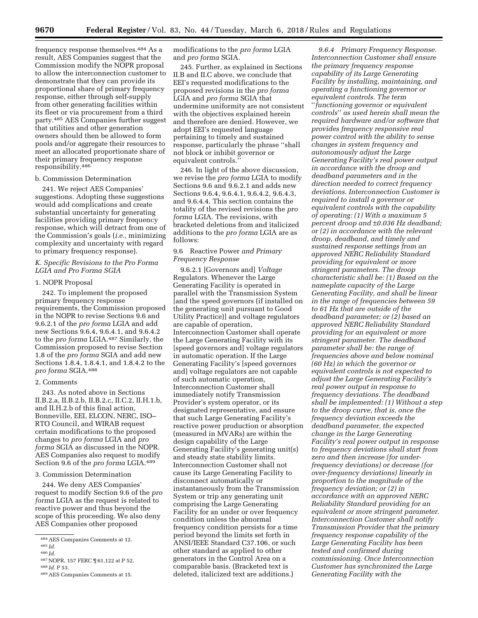frequency response themselves.484 As a result, AES Companies suggest that the Commission modify the NOPR proposal to allow the interconnection customer to demonstrate that they can provide its proportional share of primary frequency response, either through self-supply from other generating facilities within its fleet or via procurement from a third party.485 AES Companies further suggest that utilities and other generation owners should then be allowed to form pools and/or aggregate their resources to meet an allocated proportionate share of their primary frequency response responsibility.486

## b. Commission Determination

241. We reject AES Companies' suggestions. Adopting these suggestions would add complications and create substantial uncertainty for generating facilities providing primary frequency response, which will detract from one of the Commission's goals (*i.e.,* minimizing complexity and uncertainty with regard to primary frequency response).

## *K. Specific Revisions to the Pro Forma LGIA and Pro Forma SGIA*

#### 1. NOPR Proposal

242. To implement the proposed primary frequency response requirements, the Commission proposed in the NOPR to revise Sections 9.6 and 9.6.2.1 of the *pro forma* LGIA and add new Sections 9.6.4, 9.6.4.1, and 9.6.4.2 to the *pro forma* LGIA.487 Similarly, the Commission proposed to revise Section 1.8 of the *pro forma* SGIA and add new Sections 1.8.4, 1.8.4.1, and 1.8.4.2 to the *pro forma* SGIA.488

#### 2. Comments

243. As noted above in Sections II.B.2.a, II.B.2.b, II.B.2.c, II.C.2, II.H.1.b, and II.H.2.b of this final action, Bonneville, EEI, ELCON, NERC, ISO– RTO Council, and WIRAB request certain modifications to the proposed changes to *pro forma* LGIA and *pro forma* SGIA as discussed in the NOPR. AES Companies also request to modify Section 9.6 of the *pro forma* LGIA.489

#### 3. Commission Determination

244. We deny AES Companies' request to modify Section 9.6 of the *pro forma* LGIA as the request is related to reactive power and thus beyond the scope of this proceeding. We also deny AES Companies other proposed

modifications to the *pro forma* LGIA and *pro forma* SGIA.

245. Further, as explained in Sections II.B and II.C above, we conclude that EEI's requested modifications to the proposed revisions in the *pro forma*  LGIA and *pro forma* SGIA that undermine uniformity are not consistent with the objectives explained herein and therefore are denied. However, we adopt EEI's requested language pertaining to timely and sustained response, particularly the phrase ''shall not block or inhibit governor or equivalent controls.''

246. In light of the above discussion, we revise the *pro forma* LGIA to modify Sections 9.6 and 9.6.2.1 and adds new Sections 9.6.4, 9.6.4.1, 9.6.4.2, 9.6.4.3, and 9.6.4.4. This section contains the totality of the revised revisions the *pro forma* LGIA. The revisions, with bracketed deletions from and italicized additions to the *pro forma* LGIA are as follows:

## 9.6 Reactive Power *and Primary Frequency Response*

9.6.2.1 [Governors and] *Voltage*  Regulators. Whenever the Large Generating Facility is operated in parallel with the Transmission System [and the speed governors (if installed on the generating unit pursuant to Good Utility Practice)] and voltage regulators are capable of operation, Interconnection Customer shall operate the Large Generating Facility with its [speed governors and] voltage regulators in automatic operation. If the Large Generating Facility's [speed governors and] voltage regulators are not capable of such automatic operation, Interconnection Customer shall immediately notify Transmission Provider's system operator, or its designated representative, and ensure that such Large Generating Facility's reactive power production or absorption (measured in MVARs) are within the design capability of the Large Generating Facility's generating unit(s) and steady state stability limits. Interconnection Customer shall not cause its Large Generating Facility to disconnect automatically or instantaneously from the Transmission System or trip any generating unit comprising the Large Generating Facility for an under or over frequency condition unless the abnormal frequency condition persists for a time period beyond the limits set forth in ANSI/IEEE Standard C37.106, or such other standard as applied to other generators in the Control Area on a comparable basis. (Bracketed text is deleted, italicized text are additions.)

*9.6.4 Primary Frequency Response. Interconnection Customer shall ensure the primary frequency response capability of its Large Generating Facility by installing, maintaining, and operating a functioning governor or equivalent controls. The term*  ''*functioning governor or equivalent controls*'' *as used herein shall mean the required hardware and/or software that provides frequency responsive real power control with the ability to sense changes in system frequency and autonomously adjust the Large Generating Facility's real power output in accordance with the droop and deadband parameters and in the direction needed to correct frequency deviations. Interconnection Customer is required to install a governor or equivalent controls with the capability of operating: (1) With a maximum 5 percent droop and* ±*0.036 Hz deadband; or (2) in accordance with the relevant droop, deadband, and timely and sustained response settings from an approved NERC Reliability Standard providing for equivalent or more stringent parameters. The droop characteristic shall be: (1) Based on the nameplate capacity of the Large Generating Facility, and shall be linear in the range of frequencies between 59 to 61 Hz that are outside of the deadband parameter; or (2) based an approved NERC Reliability Standard providing for an equivalent or more stringent parameter. The deadband parameter shall be: the range of frequencies above and below nominal (60 Hz) in which the governor or equivalent controls is not expected to adjust the Large Generating Facility's real power output in response to frequency deviations. The deadband shall be implemented: (1) Without a step to the droop curve, that is, once the frequency deviation exceeds the deadband parameter, the expected change in the Large Generating Facility's real power output in response to frequency deviations shall start from zero and then increase (for underfrequency deviations) or decrease (for over-frequency deviations) linearly in proportion to the magnitude of the frequency deviation; or (2) in accordance with an approved NERC Reliability Standard providing for an equivalent or more stringent parameter. Interconnection Customer shall notify Transmission Provider that the primary frequency response capability of the Large Generating Facility has been tested and confirmed during commissioning. Once Interconnection Customer has synchronized the Large Generating Facility with the* 

<sup>484</sup>AES Companies Comments at 12.

<sup>485</sup> *Id.* 

<sup>486</sup> *Id.* 

<sup>487</sup>NOPR, 157 FERC ¶ 61,122 at P 52.

<sup>488</sup> *Id.* P 53.

<sup>489</sup>AES Companies Comments at 15.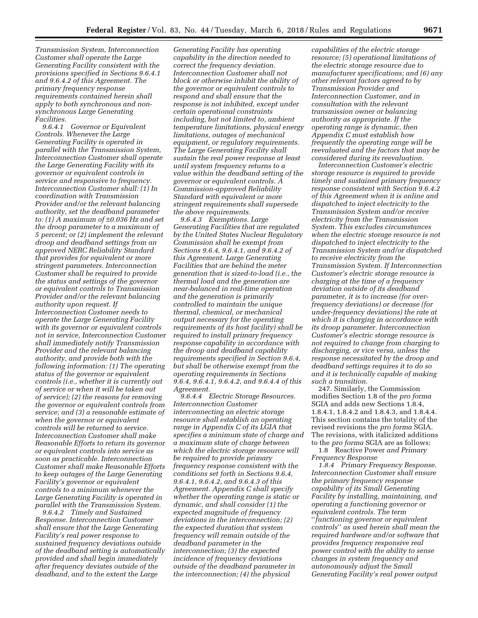*Transmission System, Interconnection Customer shall operate the Large Generating Facility consistent with the provisions specified in Sections 9.6.4.1 and 9.6.4.2 of this Agreement. The primary frequency response requirements contained herein shall apply to both synchronous and nonsynchronous Large Generating Facilities.* 

*9.6.4.1 Governor or Equivalent Controls. Whenever the Large Generating Facility is operated in parallel with the Transmission System, Interconnection Customer shall operate the Large Generating Facility with its governor or equivalent controls in service and responsive to frequency. Interconnection Customer shall: (1) In coordination with Transmission Provider and/or the relevant balancing authority, set the deadband parameter to: (1) A maximum of* ±*0.036 Hz and set the droop parameter to a maximum of 5 percent; or (2) implement the relevant droop and deadband settings from an approved NERC Reliability Standard that provides for equivalent or more stringent parameters. Interconnection Customer shall be required to provide the status and settings of the governor or equivalent controls to Transmission Provider and/or the relevant balancing authority upon request. If Interconnection Customer needs to operate the Large Generating Facility with its governor or equivalent controls not in service, Interconnection Customer shall immediately notify Transmission Provider and the relevant balancing authority, and provide both with the following information: (1) The operating status of the governor or equivalent controls (i.e., whether it is currently out of service or when it will be taken out of service); (2) the reasons for removing the governor or equivalent controls from service; and (3) a reasonable estimate of when the governor or equivalent controls will be returned to service. Interconnection Customer shall make Reasonable Efforts to return its governor or equivalent controls into service as soon as practicable. Interconnection Customer shall make Reasonable Efforts to keep outages of the Large Generating Facility's governor or equivalent controls to a minimum whenever the Large Generating Facility is operated in parallel with the Transmission System.* 

*9.6.4.2 Timely and Sustained Response. Interconnection Customer shall ensure that the Large Generating Facility's real power response to sustained frequency deviations outside of the deadband setting is automatically provided and shall begin immediately after frequency deviates outside of the deadband, and to the extent the Large* 

*Generating Facility has operating capability in the direction needed to correct the frequency deviation. Interconnection Customer shall not block or otherwise inhibit the ability of the governor or equivalent controls to respond and shall ensure that the response is not inhibited, except under certain operational constraints including, but not limited to, ambient temperature limitations, physical energy limitations, outages of mechanical equipment, or regulatory requirements. The Large Generating Facility shall sustain the real power response at least until system frequency returns to a value within the deadband setting of the governor or equivalent controls. A Commission-approved Reliability Standard with equivalent or more stringent requirements shall supersede the above requirements.* 

*9.6.4.3 Exemptions. Large Generating Facilities that are regulated by the United States Nuclear Regulatory Commission shall be exempt from Sections 9.6.4, 9.6.4.1, and 9.6.4.2 of this Agreement. Large Generating Facilities that are behind the meter generation that is sized-to-load (i.e., the thermal load and the generation are near-balanced in real-time operation and the generation is primarily controlled to maintain the unique thermal, chemical, or mechanical output necessary for the operating requirements of its host facility) shall be required to install primary frequency response capability in accordance with the droop and deadband capability requirements specified in Section 9.6.4, but shall be otherwise exempt from the operating requirements in Sections 9.6.4, 9.6.4.1, 9.6.4.2, and 9.6.4.4 of this Agreement.* 

*9.6.4.4 Electric Storage Resources. Interconnection Customer interconnecting an electric storage resource shall establish an operating range in Appendix C of its LGIA that specifies a minimum state of charge and a maximum state of charge between which the electric storage resource will be required to provide primary frequency response consistent with the conditions set forth in Sections 9.6.4, 9.6.4.1, 9.6.4.2, and 9.6.4.3 of this Agreement. Appendix C shall specify whether the operating range is static or dynamic, and shall consider (1) the expected magnitude of frequency deviations in the interconnection; (2) the expected duration that system frequency will remain outside of the deadband parameter in the interconnection; (3) the expected incidence of frequency deviations outside of the deadband parameter in the interconnection; (4) the physical* 

*capabilities of the electric storage resource; (5) operational limitations of the electric storage resource due to manufacturer specifications; and (6) any other relevant factors agreed to by Transmission Provider and Interconnection Customer, and in consultation with the relevant transmission owner or balancing authority as appropriate. If the operating range is dynamic, then Appendix C must establish how frequently the operating range will be reevaluated and the factors that may be considered during its reevaluation.* 

*Interconnection Customer's electric storage resource is required to provide timely and sustained primary frequency response consistent with Section 9.6.4.2 of this Agreement when it is online and dispatched to inject electricity to the Transmission System and/or receive electricity from the Transmission System. This excludes circumstances when the electric storage resource is not dispatched to inject electricity to the Transmission System and/or dispatched to receive electricity from the Transmission System. If Interconnection Customer's electric storage resource is charging at the time of a frequency deviation outside of its deadband parameter, it is to increase (for overfrequency deviations) or decrease (for under-frequency deviations) the rate at which it is charging in accordance with its droop parameter. Interconnection Customer's electric storage resource is not required to change from charging to discharging, or vice versa, unless the response necessitated by the droop and deadband settings requires it to do so and it is technically capable of making such a transition.* 

247. Similarly, the Commission modifies Section 1.8 of the *pro forma*  SGIA and adds new Sections 1.8.4, 1.8.4.1, 1.8.4.2 and 1.8.4.3, and 1.8.4.4. This section contains the totality of the revised revisions the *pro forma* SGIA. The revisions, with italicized additions to the *pro forma* SGIA are as follows:

1.8 Reactive Power *and Primary Frequency Response* 

*1.8.4 Primary Frequency Response. Interconnection Customer shall ensure the primary frequency response capability of its Small Generating Facility by installing, maintaining, and operating a functioning governor or equivalent controls. The term*  ''*functioning governor or equivalent controls*'' *as used herein shall mean the required hardware and/or software that provides frequency responsive real power control with the ability to sense changes in system frequency and autonomously adjust the Small Generating Facility's real power output*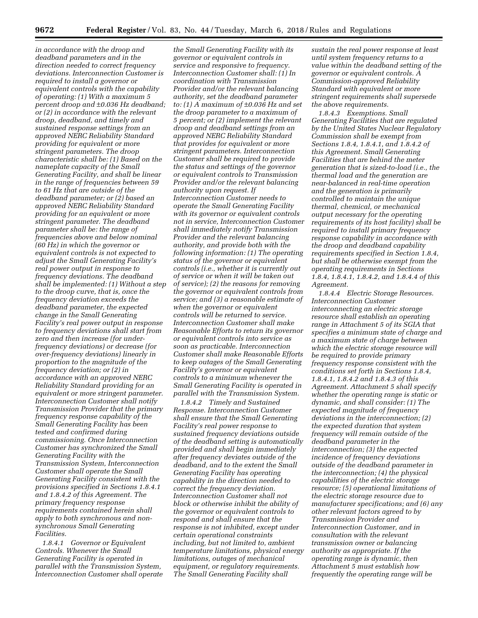*in accordance with the droop and deadband parameters and in the direction needed to correct frequency deviations. Interconnection Customer is required to install a governor or equivalent controls with the capability of operating: (1) With a maximum 5 percent droop and* ±*0.036 Hz deadband; or (2) in accordance with the relevant droop, deadband, and timely and sustained response settings from an approved NERC Reliability Standard providing for equivalent or more stringent parameters. The droop characteristic shall be: (1) Based on the nameplate capacity of the Small Generating Facility, and shall be linear in the range of frequencies between 59 to 61 Hz that are outside of the deadband parameter; or (2) based an approved NERC Reliability Standard providing for an equivalent or more stringent parameter. The deadband parameter shall be: the range of frequencies above and below nominal (60 Hz) in which the governor or equivalent controls is not expected to adjust the Small Generating Facility's real power output in response to frequency deviations. The deadband shall be implemented: (1) Without a step to the droop curve, that is, once the frequency deviation exceeds the deadband parameter, the expected change in the Small Generating Facility's real power output in response to frequency deviations shall start from zero and then increase (for underfrequency deviations) or decrease (for over-frequency deviations) linearly in proportion to the magnitude of the frequency deviation; or (2) in accordance with an approved NERC Reliability Standard providing for an equivalent or more stringent parameter. Interconnection Customer shall notify Transmission Provider that the primary frequency response capability of the Small Generating Facility has been tested and confirmed during commissioning. Once Interconnection Customer has synchronized the Small Generating Facility with the Transmission System, Interconnection Customer shall operate the Small Generating Facility consistent with the provisions specified in Sections 1.8.4.1 and 1.8.4.2 of this Agreement. The primary frequency response requirements contained herein shall apply to both synchronous and nonsynchronous Small Generating Facilities.* 

*1.8.4.1 Governor or Equivalent Controls. Whenever the Small Generating Facility is operated in parallel with the Transmission System, Interconnection Customer shall operate* 

*the Small Generating Facility with its governor or equivalent controls in service and responsive to frequency. Interconnection Customer shall: (1) In coordination with Transmission Provider and/or the relevant balancing authority, set the deadband parameter to: (1) A maximum of* ±*0.036 Hz and set the droop parameter to a maximum of 5 percent; or (2) implement the relevant droop and deadband settings from an approved NERC Reliability Standard that provides for equivalent or more stringent parameters. Interconnection Customer shall be required to provide the status and settings of the governor or equivalent controls to Transmission Provider and/or the relevant balancing authority upon request. If Interconnection Customer needs to operate the Small Generating Facility with its governor or equivalent controls not in service, Interconnection Customer shall immediately notify Transmission Provider and the relevant balancing authority, and provide both with the following information: (1) The operating status of the governor or equivalent controls (i.e., whether it is currently out of service or when it will be taken out of service); (2) the reasons for removing the governor or equivalent controls from service; and (3) a reasonable estimate of when the governor or equivalent controls will be returned to service. Interconnection Customer shall make Reasonable Efforts to return its governor or equivalent controls into service as soon as practicable. Interconnection Customer shall make Reasonable Efforts to keep outages of the Small Generating Facility's governor or equivalent controls to a minimum whenever the Small Generating Facility is operated in parallel with the Transmission System.* 

*1.8.4.2 Timely and Sustained Response. Interconnection Customer shall ensure that the Small Generating Facility's real power response to sustained frequency deviations outside of the deadband setting is automatically provided and shall begin immediately after frequency deviates outside of the deadband, and to the extent the Small Generating Facility has operating capability in the direction needed to correct the frequency deviation. Interconnection Customer shall not block or otherwise inhibit the ability of the governor or equivalent controls to respond and shall ensure that the response is not inhibited, except under certain operational constraints including, but not limited to, ambient temperature limitations, physical energy limitations, outages of mechanical equipment, or regulatory requirements. The Small Generating Facility shall* 

*sustain the real power response at least until system frequency returns to a value within the deadband setting of the governor or equivalent controls. A Commission-approved Reliability Standard with equivalent or more stringent requirements shall supersede the above requirements.* 

*1.8.4.3 Exemptions. Small Generating Facilities that are regulated by the United States Nuclear Regulatory Commission shall be exempt from Sections 1.8.4, 1.8.4.1, and 1.8.4.2 of this Agreement. Small Generating Facilities that are behind the meter generation that is sized-to-load (i.e., the thermal load and the generation are near-balanced in real-time operation and the generation is primarily controlled to maintain the unique thermal, chemical, or mechanical output necessary for the operating requirements of its host facility) shall be required to install primary frequency response capability in accordance with the droop and deadband capability requirements specified in Section 1.8.4, but shall be otherwise exempt from the operating requirements in Sections 1.8.4, 1.8.4.1, 1.8.4.2, and 1.8.4.4 of this Agreement.* 

*1.8.4.4 Electric Storage Resources. Interconnection Customer interconnecting an electric storage resource shall establish an operating range in Attachment 5 of its SGIA that specifies a minimum state of charge and a maximum state of charge between which the electric storage resource will be required to provide primary frequency response consistent with the conditions set forth in Sections 1.8.4, 1.8.4.1, 1.8.4.2 and 1.8.4.3 of this Agreement. Attachment 5 shall specify whether the operating range is static or dynamic, and shall consider: (1) The expected magnitude of frequency deviations in the interconnection; (2) the expected duration that system frequency will remain outside of the deadband parameter in the interconnection; (3) the expected incidence of frequency deviations outside of the deadband parameter in the interconnection; (4) the physical capabilities of the electric storage resource; (5) operational limitations of the electric storage resource due to manufacturer specifications; and (6) any other relevant factors agreed to by Transmission Provider and Interconnection Customer, and in consultation with the relevant transmission owner or balancing authority as appropriate. If the operating range is dynamic, then Attachment 5 must establish how frequently the operating range will be*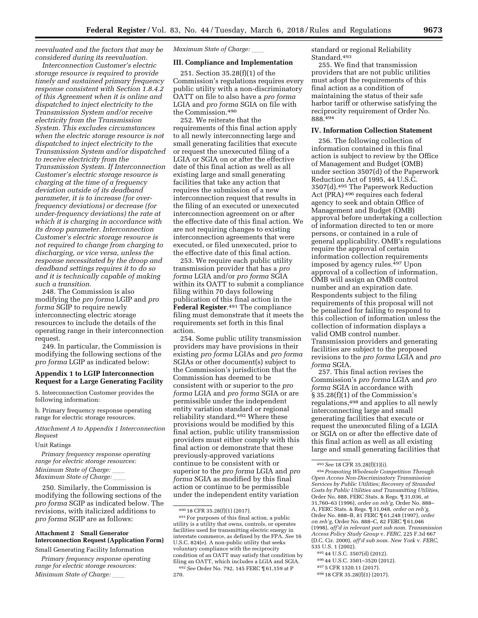*reevaluated and the factors that may be considered during its reevaluation.* 

*Interconnection Customer's electric storage resource is required to provide timely and sustained primary frequency response consistent with Section 1.8.4.2 of this Agreement when it is online and dispatched to inject electricity to the Transmission System and/or receive electricity from the Transmission System. This excludes circumstances when the electric storage resource is not dispatched to inject electricity to the Transmission System and/or dispatched to receive electricity from the Transmission System. If Interconnection Customer's electric storage resource is charging at the time of a frequency deviation outside of its deadband parameter, it is to increase (for overfrequency deviations) or decrease (for under-frequency deviations) the rate at which it is charging in accordance with its droop parameter. Interconnection Customer's electric storage resource is not required to change from charging to discharging, or vice versa, unless the response necessitated by the droop and deadband settings requires it to do so and it is technically capable of making such a transition.* 

248. The Commission is also modifying the *pro forma* LGIP and *pro forma* SGIP to require newly interconnecting electric storage resources to include the details of the operating range in their interconnection request.

249. In particular, the Commission is modifying the following sections of the *pro forma* LGIP as indicated below:

## **Appendix 1 to LGIP Interconnection Request for a Large Generating Facility**

5. Interconnection Customer provides the following information:

h. Primary frequency response operating range for electric storage resources.

*Attachment A to Appendix 1 Interconnection Request* 

## Unit Ratings

*Primary frequency response operating range for electric storage resources: Minimum State of Charge: Maximum State of Charge:* 

250. Similarly, the Commission is modifying the following sections of the *pro forma* SGIP as indicated below. The revisions, with italicized additions to *pro forma* SGIP are as follows:

# **Attachment 2 Small Generator Interconnection Request (Application Form)**

Small Generating Facility Information

*Primary frequency response operating range for electric storage resources: Minimum State of Charge:* 

*Maximum State of Charge:* 

#### **III. Compliance and Implementation**

251. Section 35.28(f)(1) of the Commission's regulations requires every public utility with a non-discriminatory OATT on file to also have a *pro forma*  LGIA and *pro forma* SGIA on file with the Commission.490

252. We reiterate that the requirements of this final action apply to all newly interconnecting large and small generating facilities that execute or request the unexecuted filing of a LGIA or SGIA on or after the effective date of this final action as well as all existing large and small generating facilities that take any action that requires the submission of a new interconnection request that results in the filing of an executed or unexecuted interconnection agreement on or after the effective date of this final action. We are not requiring changes to existing interconnection agreements that were executed, or filed unexecuted, prior to the effective date of this final action.

253. We require each public utility transmission provider that has a *pro forma* LGIA and/or *pro forma* SGIA within its OATT to submit a compliance filing within 70 days following publication of this final action in the **Federal Register**.491 The compliance filing must demonstrate that it meets the requirements set forth in this final action.

254. Some public utility transmission providers may have provisions in their existing *pro forma* LGIAs and *pro forma*  SGIAs or other document(s) subject to the Commission's jurisdiction that the Commission has deemed to be consistent with or superior to the *pro forma* LGIA and *pro forma* SGIA or are permissible under the independent entity variation standard or regional reliability standard.492 Where these provisions would be modified by this final action, public utility transmission providers must either comply with this final action or demonstrate that these previously-approved variations continue to be consistent with or superior to the *pro forma* LGIA and *pro forma* SGIA as modified by this final action or continue to be permissible under the independent entity variation

standard or regional Reliability Standard.493

255. We find that transmission providers that are not public utilities must adopt the requirements of this final action as a condition of maintaining the status of their safe harbor tariff or otherwise satisfying the reciprocity requirement of Order No. 888.494

#### **IV. Information Collection Statement**

256. The following collection of information contained in this final action is subject to review by the Office of Management and Budget (OMB) under section 3507(d) of the Paperwork Reduction Act of 1995, 44 U.S.C. 3507(d).495 The Paperwork Reduction Act (PRA) 496 requires each federal agency to seek and obtain Office of Management and Budget (OMB) approval before undertaking a collection of information directed to ten or more persons, or contained in a rule of general applicability. OMB's regulations require the approval of certain information collection requirements imposed by agency rules.497 Upon approval of a collection of information, OMB will assign an OMB control number and an expiration date. Respondents subject to the filing requirements of this proposal will not be penalized for failing to respond to this collection of information unless the collection of information displays a valid OMB control number. Transmission providers and generating facilities are subject to the proposed revisions to the *pro forma* LGIA and *pro forma* SGIA.

257. This final action revises the Commission's *pro forma* LGIA and *pro forma* SGIA in accordance with § 35.28(f)(1) of the Commission's regulations,498 and applies to all newly interconnecting large and small generating facilities that execute or request the unexecuted filing of a LGIA or SGIA on or after the effective date of this final action as well as all existing large and small generating facilities that

496 44 U.S.C. 3501–3520 (2012).

<sup>490</sup> 18 CFR 35.28(f)(1) (2017).

<sup>491</sup>For purposes of this final action, a public utility is a utility that owns, controls, or operates facilities used for transmitting electric energy in interstate commerce, as defined by the FPA. *See* 16 U.S.C. 824(e). A non-public utility that seeks voluntary compliance with the reciprocity condition of an OATT may satisfy that condition by filing an OATT, which includes a LGIA and SGIA. 492*See* Order No. 792, 145 FERC ¶ 61,159 at P 270.

<sup>493</sup>*See* 18 CFR 35.28(f)(1)(i).

<sup>494</sup>*Promoting Wholesale Competition Through Open Access Non-Discriminatory Transmission Services by Public Utilities; Recovery of Stranded Costs by Public Utilities and Transmitting Utilities,*  Order No. 888, FERC Stats. & Regs. ¶ 31,036, at 31,760–63 (1996), *order on reh'g,* Order No. 888– A, FERC Stats. & Regs. ¶ 31,048, *order on reh'g,*  Order No. 888–B, 81 FERC ¶ 61,248 (1997), *order on reh'g,* Order No. 888–C, 82 FERC ¶ 61,046 (1998), *aff'd in relevant part sub nom. Transmission Access Policy Study Group* v. *FERC,* 225 F.3d 667 (D.C. Cir. 2000), *aff'd sub nom. New York* v. *FERC,*  535 U.S. 1 (2002).

<sup>495</sup> 44 U.S.C. 3507(d) (2012).

<sup>497</sup> 5 CFR 1320.11 (2017).

<sup>498</sup> 18 CFR 35.28(f)(1) (2017).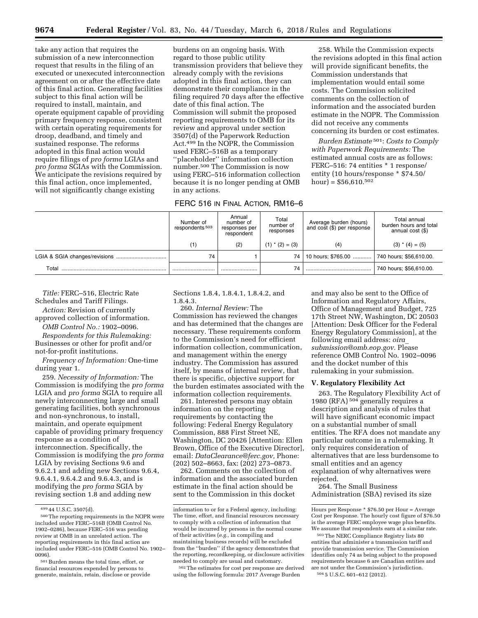take any action that requires the submission of a new interconnection request that results in the filing of an executed or unexecuted interconnection agreement on or after the effective date of this final action. Generating facilities subject to this final action will be required to install, maintain, and operate equipment capable of providing primary frequency response, consistent with certain operating requirements for droop, deadband, and timely and sustained response. The reforms adopted in this final action would require filings of *pro forma* LGIAs and *pro forma* SGIAs with the Commission. We anticipate the revisions required by this final action, once implemented, will not significantly change existing

burdens on an ongoing basis. With regard to those public utility transmission providers that believe they already comply with the revisions adopted in this final action, they can demonstrate their compliance in the filing required 70 days after the effective date of this final action. The Commission will submit the proposed reporting requirements to OMB for its review and approval under section 3507(d) of the Paperwork Reduction Act.499 In the NOPR, the Commission used FERC–516B as a temporary ''placeholder'' information collection number.500 The Commission is now using FERC–516 information collection because it is no longer pending at OMB in any actions.

| FERC 516 IN FINAL ACTION, RM16-6 |  |  |
|----------------------------------|--|--|
|----------------------------------|--|--|

258. While the Commission expects the revisions adopted in this final action will provide significant benefits, the Commission understands that implementation would entail some costs. The Commission solicited comments on the collection of information and the associated burden estimate in the NOPR. The Commission did not receive any comments concerning its burden or cost estimates.

*Burden Estimate* 501: *Costs to Comply with Paperwork Requirements:* The estimated annual costs are as follows: FERC–516: 74 entities \* 1 response/ entity (10 hours/response \* \$74.50/  $hour) = $56,610.<sup>502</sup>$ 

|       | Number of<br>respondents <sup>503</sup> | Annual<br>number of<br>responses per<br>respondent | Total<br>number of<br>responses | Average burden (hours)<br>and cost (\$) per response | Total annual<br>burden hours and total<br>annual cost (\$) |
|-------|-----------------------------------------|----------------------------------------------------|---------------------------------|------------------------------------------------------|------------------------------------------------------------|
|       | (1)                                     | (2)                                                | $(1)$ * $(2) = (3)$             | (4)                                                  | $(3)$ * $(4) = (5)$                                        |
|       | 74                                      |                                                    | 74 I                            | 10 hours; \$765.00                                   | 740 hours; \$56,610.00.                                    |
| Total |                                         |                                                    | 74                              |                                                      | 740 hours; \$56,610.00.                                    |

*Title:* FERC–516, Electric Rate Schedules and Tariff Filings.

*Action:* Revision of currently approved collection of information.

*OMB Control No.:* 1902–0096.

*Respondents for this Rulemaking:*  Businesses or other for profit and/or not-for-profit institutions.

*Frequency of Information:* One-time during year 1.

259. *Necessity of Information:* The Commission is modifying the *pro forma*  LGIA and *pro forma* SGIA to require all newly interconnecting large and small generating facilities, both synchronous and non-synchronous, to install, maintain, and operate equipment capable of providing primary frequency response as a condition of interconnection. Specifically, the Commission is modifying the *pro forma*  LGIA by revising Sections 9.6 and 9.6.2.1 and adding new Sections 9.6.4, 9.6.4.1, 9.6.4.2 and 9.6.4.3, and is modifying the *pro forma* SGIA by revising section 1.8 and adding new

Sections 1.8.4, 1.8.4.1, 1.8.4.2, and 1.8.4.3.

260. *Internal Review:* The Commission has reviewed the changes and has determined that the changes are necessary. These requirements conform to the Commission's need for efficient information collection, communication, and management within the energy industry. The Commission has assured itself, by means of internal review, that there is specific, objective support for the burden estimates associated with the information collection requirements.

261. Interested persons may obtain information on the reporting requirements by contacting the following: Federal Energy Regulatory Commission, 888 First Street NE, Washington, DC 20426 [Attention: Ellen Brown, Office of the Executive Director], email: *[DataClearance@ferc.gov,](mailto:DataClearance@ferc.gov)* Phone: (202) 502–8663, fax: (202) 273–0873.

262. Comments on the collection of information and the associated burden estimate in the final action should be sent to the Commission in this docket

502The estimates for cost per response are derived using the following formula: 2017 Average Burden

and may also be sent to the Office of Information and Regulatory Affairs, Office of Management and Budget, 725 17th Street NW, Washington, DC 20503 [Attention: Desk Officer for the Federal Energy Regulatory Commission], at the following email address: *[oira](mailto:oira_submission@omb.eop.gov)*\_ *[submission@omb.eop.gov.](mailto:oira_submission@omb.eop.gov)* Please reference OMB Control No. 1902–0096 and the docket number of this rulemaking in your submission.

## **V. Regulatory Flexibility Act**

263. The Regulatory Flexibility Act of 1980 (RFA)<sup>504</sup> generally requires a description and analysis of rules that will have significant economic impact on a substantial number of small entities. The RFA does not mandate any particular outcome in a rulemaking. It only requires consideration of alternatives that are less burdensome to small entities and an agency explanation of why alternatives were rejected.

264. The Small Business Administration (SBA) revised its size

<sup>499</sup> 44 U.S.C. 3507(d).

<sup>500</sup>The reporting requirements in the NOPR were included under FERC–516B (OMB Control No. 1902–0286), because FERC–516 was pending review at OMB in an unrelated action. The reporting requirements in this final action are included under FERC–516 (OMB Control No. 1902– 0096).

<sup>501</sup>Burden means the total time, effort, or financial resources expended by persons to generate, maintain, retain, disclose or provide

information to or for a Federal agency, including: The time, effort, and financial resources necessary to comply with a collection of information that would be incurred by persons in the normal course of their activities (*e.g.,* in compiling and maintaining business records) will be excluded from the ''burden'' if the agency demonstrates that the reporting, recordkeeping, or disclosure activities needed to comply are usual and customary.

Hours per Response \* \$76.50 per Hour = Average Cost per Response. The hourly cost figure of \$76.50 is the average FERC employee wage plus benefits. We assume that respondents earn at a similar rate.

<sup>503</sup>The NERC Compliance Registry lists 80 entities that administer a transmission tariff and provide transmission service. The Commission identifies only 74 as being subject to the proposed requirements because 6 are Canadian entities and are not under the Commission's jurisdiction. 504 5 U.S.C. 601–612 (2012).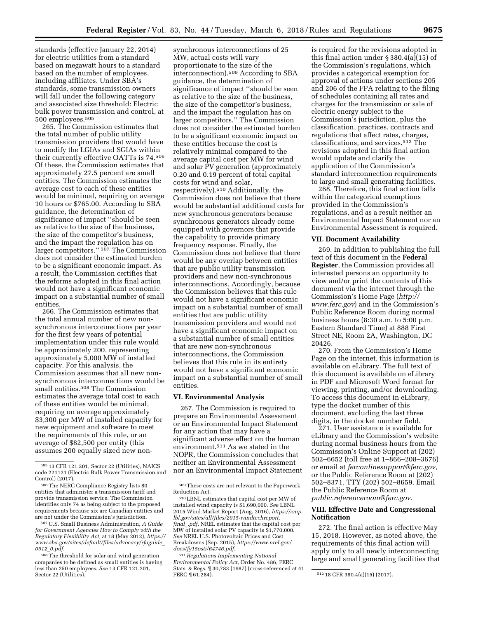standards (effective January 22, 2014) for electric utilities from a standard based on megawatt hours to a standard based on the number of employees, including affiliates. Under SBA's standards, some transmission owners will fall under the following category and associated size threshold: Electric bulk power transmission and control, at 500 employees.505

265. The Commission estimates that the total number of public utility transmission providers that would have to modify the LGIAs and SGIAs within their currently effective OATTs is 74.506 Of these, the Commission estimates that approximately 27.5 percent are small entities. The Commission estimates the average cost to each of these entities would be minimal, requiring on average 10 hours or \$765.00. According to SBA guidance, the determination of significance of impact ''should be seen as relative to the size of the business, the size of the competitor's business, and the impact the regulation has on larger competitors." <sup>507</sup> The Commission does not consider the estimated burden to be a significant economic impact. As a result, the Commission certifies that the reforms adopted in this final action would not have a significant economic impact on a substantial number of small entities.

266. The Commission estimates that the total annual number of new nonsynchronous interconnections per year for the first few years of potential implementation under this rule would be approximately 200, representing approximately 5,000 MW of installed capacity. For this analysis, the Commission assumes that all new nonsynchronous interconnections would be small entities.508 The Commission estimates the average total cost to each of these entities would be minimal, requiring on average approximately \$3,300 per MW of installed capacity for new equipment and software to meet the requirements of this rule, or an average of \$82,500 per entity (this assumes 200 equally sized new non-

synchronous interconnections of 25 MW, actual costs will vary proportionate to the size of the interconnection).509 According to SBA guidance, the determination of significance of impact ''should be seen as relative to the size of the business, the size of the competitor's business, and the impact the regulation has on larger competitors.'' The Commission does not consider the estimated burden to be a significant economic impact on these entities because the cost is relatively minimal compared to the average capital cost per MW for wind and solar PV generation (approximately 0.20 and 0.19 percent of total capital costs for wind and solar, respectively).510 Additionally, the Commission does not believe that there would be substantial additional costs for new synchronous generators because synchronous generators already come equipped with governors that provide the capability to provide primary frequency response. Finally, the Commission does not believe that there would be any overlap between entities that are public utility transmission providers and new non-synchronous interconnections. Accordingly, because the Commission believes that this rule would not have a significant economic impact on a substantial number of small entities that are public utility transmission providers and would not have a significant economic impact on a substantial number of small entities that are new non-synchronous interconnections, the Commission believes that this rule in its entirety would not have a significant economic impact on a substantial number of small entities.

#### **VI. Environmental Analysis**

267. The Commission is required to prepare an Environmental Assessment or an Environmental Impact Statement for any action that may have a significant adverse effect on the human environment.511 As we stated in the NOPR, the Commission concludes that neither an Environmental Assessment nor an Environmental Impact Statement is required for the revisions adopted in this final action under § 380.4(a)(15) of the Commission's regulations, which provides a categorical exemption for approval of actions under sections 205 and 206 of the FPA relating to the filing of schedules containing all rates and charges for the transmission or sale of electric energy subject to the Commission's jurisdiction, plus the classification, practices, contracts and regulations that affect rates, charges, classifications, and services.512 The revisions adopted in this final action would update and clarify the application of the Commission's standard interconnection requirements to large and small generating facilities.

268. Therefore, this final action falls within the categorical exemptions provided in the Commission's regulations, and as a result neither an Environmental Impact Statement nor an Environmental Assessment is required.

#### **VII. Document Availability**

269. In addition to publishing the full text of this document in the **Federal Register**, the Commission provides all interested persons an opportunity to view and/or print the contents of this document via the internet through the Commission's Home Page (*[http://](http://www.ferc.gov) [www.ferc.gov](http://www.ferc.gov)*) and in the Commission's Public Reference Room during normal business hours (8:30 a.m. to 5:00 p.m. Eastern Standard Time) at 888 First Street NE, Room 2A, Washington, DC 20426.

270. From the Commission's Home Page on the internet, this information is available on eLibrary. The full text of this document is available on eLibrary in PDF and Microsoft Word format for viewing, printing, and/or downloading. To access this document in eLibrary, type the docket number of this document, excluding the last three digits, in the docket number field.

271. User assistance is available for eLibrary and the Commission's website during normal business hours from the Commission's Online Support at (202) 502–6652 (toll free at 1–866–208–3676) or email at *[ferconlinesupport@ferc.gov,](mailto:ferconlinesupport@ferc.gov)*  or the Public Reference Room at (202) 502–8371, TTY (202) 502–8659. Email the Public Reference Room at *[public.referenceroom@ferc.gov.](mailto:public.referenceroom@ferc.gov)* 

## **VIII. Effective Date and Congressional Notification**

272. The final action is effective May 15, 2018. However, as noted above, the requirements of this final action will apply only to all newly interconnecting large and small generating facilities that

<sup>505</sup> 13 CFR 121.201, Sector 22 (Utilities), NAICS code 221121 (Electric Bulk Power Transmission and Control) (2017).

<sup>506</sup>The NERC Compliance Registry lists 80 entities that administer a transmission tariff and provide transmission service. The Commission identifies only 74 as being subject to the proposed requirements because six are Canadian entities and are not under the Commission's jurisdiction.

<sup>507</sup>U.S. Small Business Administration, *A Guide for Government Agencies How to Comply with the Regulatory Flexibility Act,* at 18 (May 2012), *[https://](https://www.sba.gov/sites/default/files/advocacy/rfaguide_0512_0.pdf) [www.sba.gov/sites/default/files/advocacy/rfaguide](https://www.sba.gov/sites/default/files/advocacy/rfaguide_0512_0.pdf)*\_ *0512*\_*[0.pdf.](https://www.sba.gov/sites/default/files/advocacy/rfaguide_0512_0.pdf)* 

<sup>508</sup>The threshold for solar and wind generation companies to be defined as small entities is having less than 250 employees. *See* 13 CFR 121.201, Sector 22 (Utilities).

<sup>509</sup>These costs are not relevant to the Paperwork Reduction Act.

<sup>510</sup>LBNL estimates that capital cost per MW of installed wind capacity is \$1,690,000. *See* LBNL 2015 Wind Market Report (Aug. 2016), *[https://emp.](https://emp.lbl.gov/sites/all/files/2015-windtechreport.final_.pdf) [lbl.gov/sites/all/files/2015-windtechreport.](https://emp.lbl.gov/sites/all/files/2015-windtechreport.final_.pdf) [final](https://emp.lbl.gov/sites/all/files/2015-windtechreport.final_.pdf)*\_*.pdf.* NREL estimates that the capital cost per MW of installed solar PV capacity is \$1,770,000. *See* NREL U.S. Photovoltaic Prices and Cost Breakdowns (Sep. 2015), *[https://www.nrel.gov/](https://www.nrel.gov/docs/fy15osti/64746.pdf)  [docs/fy15osti/64746.pdf.](https://www.nrel.gov/docs/fy15osti/64746.pdf)* 

<sup>511</sup>*Regulations Implementing National Environmental Policy Act,* Order No. 486, FERC Stats. & Regs. ¶ 30,783 (1987) (cross-referenced at 41

<sup>512 18</sup> CFR 380.4(a)(15) (2017).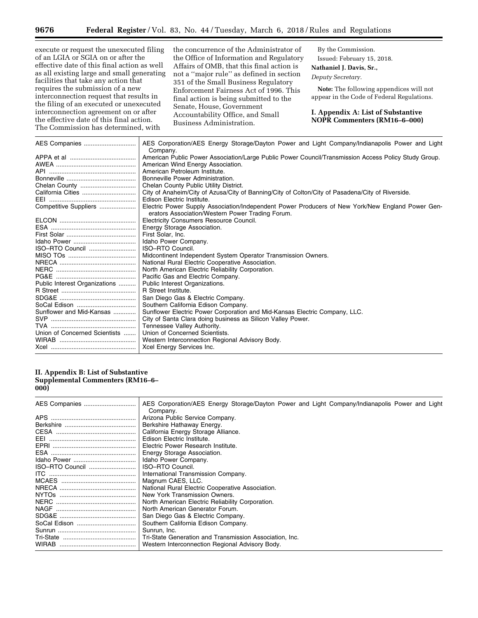execute or request the unexecuted filing of an LGIA or SGIA on or after the effective date of this final action as well as all existing large and small generating facilities that take any action that requires the submission of a new interconnection request that results in the filing of an executed or unexecuted interconnection agreement on or after the effective date of this final action. The Commission has determined, with

the concurrence of the Administrator of the Office of Information and Regulatory Affairs of OMB, that this final action is not a ''major rule'' as defined in section 351 of the Small Business Regulatory Enforcement Fairness Act of 1996. This final action is being submitted to the Senate, House, Government Accountability Office, and Small Business Administration.

By the Commission. Issued: February 15, 2018. **Nathaniel J. Davis, Sr.,** 

*Deputy Secretary.* 

**Note:** The following appendices will not appear in the Code of Federal Regulations.

**I. Appendix A: List of Substantive NOPR Commenters (RM16–6–000)** 

|                               | AES Corporation/AES Energy Storage/Dayton Power and Light Company/Indianapolis Power and Light<br>Company.                                           |
|-------------------------------|------------------------------------------------------------------------------------------------------------------------------------------------------|
|                               | American Public Power Association/Large Public Power Council/Transmission Access Policy Study Group.                                                 |
|                               | American Wind Energy Association.                                                                                                                    |
|                               | American Petroleum Institute.                                                                                                                        |
|                               | Bonneville Power Administration.                                                                                                                     |
| Chelan County                 | Chelan County Public Utility District.                                                                                                               |
|                               | City of Anaheim/City of Azusa/City of Banning/City of Colton/City of Pasadena/City of Riverside.                                                     |
|                               | Edison Electric Institute.                                                                                                                           |
| Competitive Suppliers         | Electric Power Supply Association/Independent Power Producers of New York/New England Power Gen-<br>erators Association/Western Power Trading Forum. |
|                               | Electricity Consumers Resource Council.                                                                                                              |
|                               | Energy Storage Association.                                                                                                                          |
|                               | First Solar, Inc.                                                                                                                                    |
|                               | Idaho Power Company.                                                                                                                                 |
| ISO-RTO Council               | ISO-RTO Council.                                                                                                                                     |
|                               | Midcontinent Independent System Operator Transmission Owners.                                                                                        |
|                               | National Rural Electric Cooperative Association.                                                                                                     |
|                               | North American Electric Reliability Corporation.                                                                                                     |
|                               | Pacific Gas and Electric Company.                                                                                                                    |
| Public Interest Organizations | Public Interest Organizations.                                                                                                                       |
|                               | R Street Institute.                                                                                                                                  |
|                               | San Diego Gas & Electric Company.                                                                                                                    |
|                               | Southern California Edison Company.                                                                                                                  |
| Sunflower and Mid-Kansas      | Sunflower Electric Power Corporation and Mid-Kansas Electric Company, LLC.                                                                           |
|                               | City of Santa Clara doing business as Silicon Valley Power.                                                                                          |
|                               | Tennessee Valley Authority.                                                                                                                          |
| Union of Concerned Scientists | Union of Concerned Scientists.                                                                                                                       |
|                               | Western Interconnection Regional Advisory Body.                                                                                                      |
|                               | Xcel Energy Services Inc.                                                                                                                            |

## **II. Appendix B: List of Substantive Supplemental Commenters (RM16–6– 000)**

|                 | AES Corporation/AES Energy Storage/Dayton Power and Light Company/Indianapolis Power and Light<br>Company. |
|-----------------|------------------------------------------------------------------------------------------------------------|
|                 | Arizona Public Service Company.                                                                            |
|                 | Berkshire Hathaway Energy.                                                                                 |
|                 | California Energy Storage Alliance.                                                                        |
|                 | Edison Electric Institute.                                                                                 |
|                 | Electric Power Research Institute.                                                                         |
|                 | Energy Storage Association.                                                                                |
|                 | Idaho Power Company.                                                                                       |
| ISO-RTO Council | <b>ISO-RTO Council.</b>                                                                                    |
|                 | International Transmission Company.                                                                        |
|                 | Magnum CAES, LLC.                                                                                          |
|                 | National Rural Electric Cooperative Association.                                                           |
| NYTOs           | New York Transmission Owners.                                                                              |
|                 | North American Electric Reliability Corporation.                                                           |
|                 | North American Generator Forum.                                                                            |
|                 | San Diego Gas & Electric Company.                                                                          |
|                 | Southern California Edison Company.                                                                        |
|                 | Sunrun, Inc.                                                                                               |
|                 | Tri-State Generation and Transmission Association. Inc.                                                    |
| WIRAB           | Western Interconnection Regional Advisory Body.                                                            |

▀